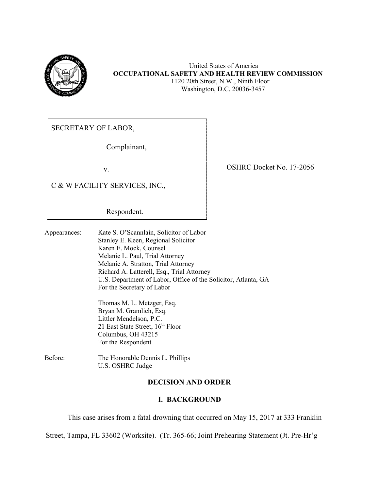

United States of America **OCCUPATIONAL SAFETY AND HEALTH REVIEW COMMISSION** 1120 20th Street, N.W., Ninth Floor Washington, D.C. 20036-3457

SECRETARY OF LABOR,

Complainant,

v.

C & W FACILITY SERVICES, INC.,

Respondent.

Appearances: Kate S. O'Scannlain, Solicitor of Labor Stanley E. Keen, Regional Solicitor Karen E. Mock, Counsel Melanie L. Paul, Trial Attorney Melanie A. Stratton, Trial Attorney Richard A. Latterell, Esq., Trial Attorney U.S. Department of Labor, Office of the Solicitor, Atlanta, GA For the Secretary of Labor

> Thomas M. L. Metzger, Esq. Bryan M. Gramlich, Esq. Littler Mendelson, P.C. 21 East State Street,  $16^{th}$  Floor Columbus, OH 43215 For the Respondent

Before: The Honorable Dennis L. Phillips U.S. OSHRC Judge

## **DECISION AND ORDER**

### **I. BACKGROUND**

This case arises from a fatal drowning that occurred on May 15, 2017 at 333 Franklin

Street, Tampa, FL 33602 (Worksite). (Tr. 365-66; Joint Prehearing Statement (Jt. Pre-Hr'g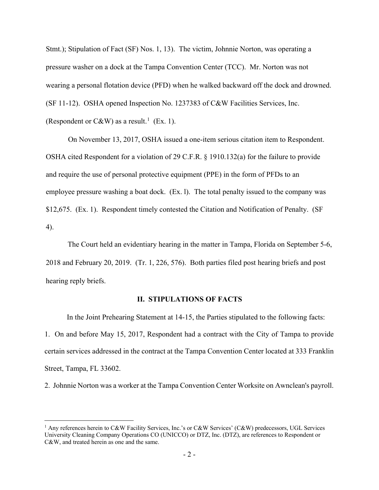Stmt.); Stipulation of Fact (SF) Nos. 1, 13). The victim, Johnnie Norton, was operating a pressure washer on a dock at the Tampa Convention Center (TCC). Mr. Norton was not wearing a personal flotation device (PFD) when he walked backward off the dock and drowned. (SF 11-12). OSHA opened Inspection No. 1237383 of C&W Facilities Services, Inc. (Respondent or C&W) as a result.<sup>[1](#page-1-0)</sup> (Ex. 1).

On November 13, 2017, OSHA issued a one-item serious citation item to Respondent. OSHA cited Respondent for a violation of 29 C.F.R. § 1910.132(a) for the failure to provide and require the use of personal protective equipment (PPE) in the form of PFDs to an employee pressure washing a boat dock. (Ex. l). The total penalty issued to the company was \$12,675. (Ex. 1). Respondent timely contested the Citation and Notification of Penalty. (SF 4).

The Court held an evidentiary hearing in the matter in Tampa, Florida on September 5-6, 2018 and February 20, 2019. (Tr. 1, 226, 576). Both parties filed post hearing briefs and post hearing reply briefs.

### **II. STIPULATIONS OF FACTS**

In the Joint Prehearing Statement at 14-15, the Parties stipulated to the following facts: 1. On and before May 15, 2017, Respondent had a contract with the City of Tampa to provide certain services addressed in the contract at the Tampa Convention Center located at 333 Franklin Street, Tampa, FL 33602.

2. Johnnie Norton was a worker at the Tampa Convention Center Worksite on Awnclean's payroll.

<span id="page-1-0"></span><sup>&</sup>lt;sup>1</sup> Any references herein to C&W Facility Services, Inc.'s or C&W Services' (C&W) predecessors, UGL Services University Cleaning Company Operations CO (UNICCO) or DTZ, Inc. (DTZ), are references to Respondent or C&W, and treated herein as one and the same.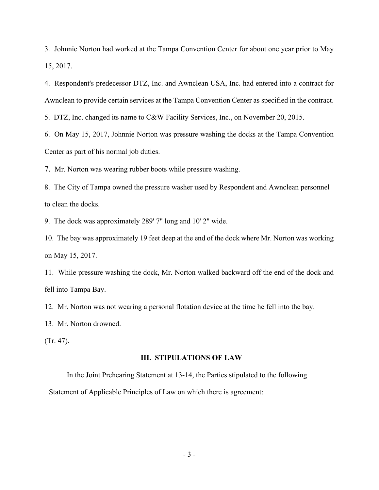3. Johnnie Norton had worked at the Tampa Convention Center for about one year prior to May 15, 2017.

4. Respondent's predecessor DTZ, Inc. and Awnclean USA, Inc. had entered into a contract for Awnclean to provide certain services at the Tampa Convention Center as specified in the contract.

5. DTZ, Inc. changed its name to C&W Facility Services, Inc., on November 20, 2015.

6. On May 15, 2017, Johnnie Norton was pressure washing the docks at the Tampa Convention Center as part of his normal job duties.

7. Mr. Norton was wearing rubber boots while pressure washing.

8. The City of Tampa owned the pressure washer used by Respondent and Awnclean personnel to clean the docks.

9. The dock was approximately 289' 7" long and 10' 2" wide.

10. The bay was approximately 19 feet deep at the end of the dock where Mr. Norton was working on May 15, 2017.

11. While pressure washing the dock, Mr. Norton walked backward off the end of the dock and fell into Tampa Bay.

12. Mr. Norton was not wearing a personal flotation device at the time he fell into the bay.

13. Mr. Norton drowned.

(Tr. 47).

#### **III. STIPULATIONS OF LAW**

In the Joint Prehearing Statement at 13-14, the Parties stipulated to the following Statement of Applicable Principles of Law on which there is agreement: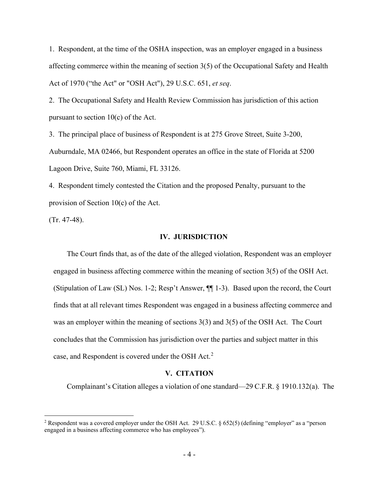1. Respondent, at the time of the OSHA inspection, was an employer engaged in a business affecting commerce within the meaning of section 3(5) of the Occupational Safety and Health Act of 1970 ("the Act" or "OSH Act"), 29 U.S.C. 651, *et seq*.

2. The Occupational Safety and Health Review Commission has jurisdiction of this action pursuant to section  $10(c)$  of the Act.

3. The principal place of business of Respondent is at 275 Grove Street, Suite 3-200, Auburndale, MA 02466, but Respondent operates an office in the state of Florida at 5200 Lagoon Drive, Suite 760, Miami, FL 33126.

4. Respondent timely contested the Citation and the proposed Penalty, pursuant to the provision of Section 10(c) of the Act.

(Tr. 47-48).

#### **IV. JURISDICTION**

The Court finds that, as of the date of the alleged violation, Respondent was an employer engaged in business affecting commerce within the meaning of section 3(5) of the OSH Act. (Stipulation of Law (SL) Nos. 1-2; Resp't Answer, ¶¶ 1-3). Based upon the record, the Court finds that at all relevant times Respondent was engaged in a business affecting commerce and was an employer within the meaning of sections 3(3) and 3(5) of the OSH Act. The Court concludes that the Commission has jurisdiction over the parties and subject matter in this case, and Respondent is covered under the OSH Act.<sup>[2](#page-3-0)</sup>

#### **V. CITATION**

Complainant's Citation alleges a violation of one standard—29 C.F.R. § 1910.132(a). The

<span id="page-3-0"></span><sup>&</sup>lt;sup>2</sup> Respondent was a covered employer under the OSH Act. 29 U.S.C.  $\S 652(5)$  (defining "employer" as a "person engaged in a business affecting commerce who has employees").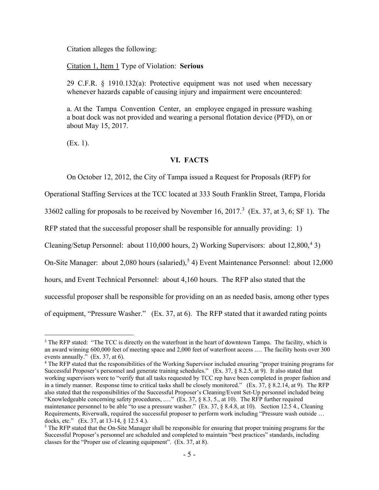Citation alleges the following:

Citation 1, Item 1 Type of Violation: **Serious**

29 C.F.R. § 1910.132(a): Protective equipment was not used when necessary whenever hazards capable of causing injury and impairment were encountered:

a. At the Tampa Convention Center, an employee engaged in pressure washing a boat dock was not provided and wearing a personal flotation device (PFD), on or about May 15, 2017.

(Ex. 1).

## **VI. FACTS**

On October 12, 2012, the City of Tampa issued a Request for Proposals (RFP) for

Operational Staffing Services at the TCC located at 333 South Franklin Street, Tampa, Florida

[3](#page-4-0)3602 calling for proposals to be received by November 16, 2017.<sup>3</sup> (Ex. 37, at 3, 6; SF 1). The

RFP stated that the successful proposer shall be responsible for annually providing: 1)

Cleaning/Setup Personnel: about 110,000 hours, 2) Working Supervisors: about 12,800,<sup>[4](#page-4-1)</sup> 3)

On-Site Manager: about 2,080 hours (salaried),<sup>[5](#page-4-2)</sup> 4) Event Maintenance Personnel: about 12,000

hours, and Event Technical Personnel: about 4,160 hours. The RFP also stated that the

successful proposer shall be responsible for providing on an as needed basis, among other types

of equipment, "Pressure Washer." (Ex. 37, at 6). The RFP stated that it awarded rating points

<span id="page-4-1"></span><sup>4</sup> The RFP stated that the responsibilities of the Working Supervisor included ensuring "proper training programs for Successful Proposer's personnel and generate training schedules." (Ex. 37, § 8.2.5, at 9). It also stated that working supervisors were to "verify that all tasks requested by TCC rep have been completed in proper fashion and in a timely manner. Response time to critical tasks shall be closely monitored." (Ex. 37, § 8.2.14, at 9). The RFP also stated that the responsibilities of the Successful Proposer's Cleaning/Event Set-Up personnel included being "Knowledgeable concerning safety procedures, .…" (Ex. 37, § 8.3, 5., at 10). The RFP further required maintenance personnel to be able "to use a pressure washer." (Ex. 37, § 8.4.8, at 10). Section 12.5 4., Cleaning Requirements, Riverwalk, required the successful proposer to perform work including "Pressure wash outside … docks, etc." (Ex. 37, at 13-14, § 12.5 4.).

<span id="page-4-0"></span><sup>&</sup>lt;sup>3</sup> The RFP stated: "The TCC is directly on the waterfront in the heart of downtown Tampa. The facility, which is an award winning 600,000 feet of meeting space and 2,000 feet of waterfront access .… The facility hosts over 300 events annually." (Ex. 37, at 6).

<span id="page-4-2"></span> $<sup>5</sup>$  The RFP stated that the On-Site Manager shall be responsible for ensuring that proper training programs for the</sup> Successful Proposer's personnel are scheduled and completed to maintain "best practices" standards, including classes for the "Proper use of cleaning equipment". (Ex. 37, at 8).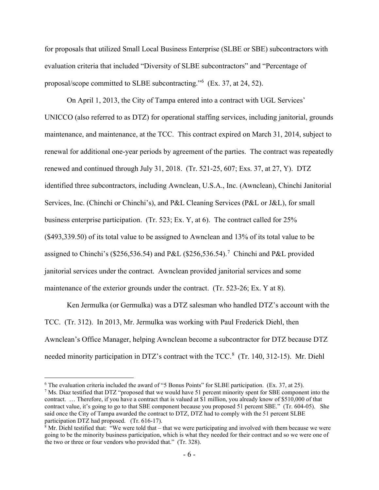for proposals that utilized Small Local Business Enterprise (SLBE or SBE) subcontractors with evaluation criteria that included "Diversity of SLBE subcontractors" and "Percentage of proposal/scope committed to SLBE subcontracting."<sup>[6](#page-5-0)</sup> (Ex. 37, at 24, 52).

On April 1, 2013, the City of Tampa entered into a contract with UGL Services' UNICCO (also referred to as DTZ) for operational staffing services, including janitorial, grounds maintenance, and maintenance, at the TCC. This contract expired on March 31, 2014, subject to renewal for additional one-year periods by agreement of the parties. The contract was repeatedly renewed and continued through July 31, 2018. (Tr. 521-25, 607; Exs. 37, at 27, Y). DTZ identified three subcontractors, including Awnclean, U.S.A., Inc. (Awnclean), Chinchi Janitorial Services, Inc. (Chinchi or Chinchi's), and P&L Cleaning Services (P&L or J&L), for small business enterprise participation. (Tr. 523; Ex. Y, at 6). The contract called for 25% (\$493,339.50) of its total value to be assigned to Awnclean and 13% of its total value to be assigned to Chinchi's (\$256,536.54) and P&L (\$256,536.54).<sup>[7](#page-5-1)</sup> Chinchi and P&L provided janitorial services under the contract. Awnclean provided janitorial services and some maintenance of the exterior grounds under the contract. (Tr. 523-26; Ex. Y at 8).

Ken Jermulka (or Germulka) was a DTZ salesman who handled DTZ's account with the TCC. (Tr. 312). In 2013, Mr. Jermulka was working with Paul Frederick Diehl, then Awnclean's Office Manager, helping Awnclean become a subcontractor for DTZ because DTZ needed minority participation in DTZ's contract with the TCC.<sup>[8](#page-5-2)</sup> (Tr. 140, 312-15). Mr. Diehl

<span id="page-5-0"></span><sup>&</sup>lt;sup>6</sup> The evaluation criteria included the award of "5 Bonus Points" for SLBE participation. (Ex. 37, at 25). <sup>7</sup> Ms. Diaz testified that DTZ "proposed that we would have 51 percent minority spent for SBE component into the

<span id="page-5-1"></span>contract. … Therefore, if you have a contract that is valued at \$1 million, you already know of \$510,000 of that contract value, it's going to go to that SBE component because you proposed 51 percent SBE." (Tr. 604-05). She said once the City of Tampa awarded the contract to DTZ, DTZ had to comply with the 51 percent SLBE participation DTZ had proposed. (Tr. 616-17).

<span id="page-5-2"></span> $\frac{8}{8}$  Mr. Diehl testified that: "We were told that – that we were participating and involved with them because we were going to be the minority business participation, which is what they needed for their contract and so we were one of the two or three or four vendors who provided that." (Tr. 328).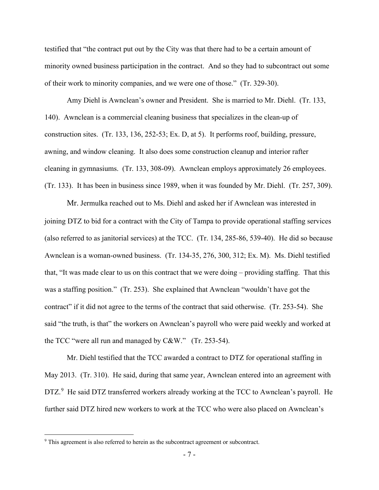testified that "the contract put out by the City was that there had to be a certain amount of minority owned business participation in the contract. And so they had to subcontract out some of their work to minority companies, and we were one of those." (Tr. 329-30).

Amy Diehl is Awnclean's owner and President. She is married to Mr. Diehl. (Tr. 133, 140). Awnclean is a commercial cleaning business that specializes in the clean-up of construction sites. (Tr. 133, 136, 252-53; Ex. D, at 5). It performs roof, building, pressure, awning, and window cleaning. It also does some construction cleanup and interior rafter cleaning in gymnasiums. (Tr. 133, 308-09). Awnclean employs approximately 26 employees. (Tr. 133). It has been in business since 1989, when it was founded by Mr. Diehl. (Tr. 257, 309).

Mr. Jermulka reached out to Ms. Diehl and asked her if Awnclean was interested in joining DTZ to bid for a contract with the City of Tampa to provide operational staffing services (also referred to as janitorial services) at the TCC. (Tr. 134, 285-86, 539-40). He did so because Awnclean is a woman-owned business. (Tr. 134-35, 276, 300, 312; Ex. M). Ms. Diehl testified that, "It was made clear to us on this contract that we were doing – providing staffing. That this was a staffing position." (Tr. 253). She explained that Awnclean "wouldn't have got the contract" if it did not agree to the terms of the contract that said otherwise. (Tr. 253-54). She said "the truth, is that" the workers on Awnclean's payroll who were paid weekly and worked at the TCC "were all run and managed by C&W." (Tr. 253-54).

Mr. Diehl testified that the TCC awarded a contract to DTZ for operational staffing in May 2013. (Tr. 310). He said, during that same year, Awnclean entered into an agreement with DTZ.<sup>[9](#page-6-0)</sup> He said DTZ transferred workers already working at the TCC to Awnclean's payroll. He further said DTZ hired new workers to work at the TCC who were also placed on Awnclean's

<span id="page-6-0"></span><sup>&</sup>lt;sup>9</sup> This agreement is also referred to herein as the subcontract agreement or subcontract.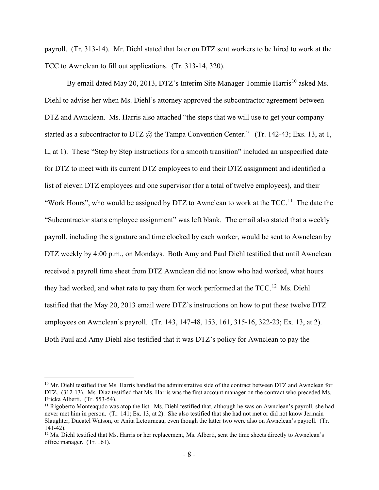payroll. (Tr. 313-14). Mr. Diehl stated that later on DTZ sent workers to be hired to work at the TCC to Awnclean to fill out applications. (Tr. 313-14, 320).

By email dated May 20, 2013, DTZ's Interim Site Manager Tommie Harris<sup>[10](#page-7-0)</sup> asked Ms. Diehl to advise her when Ms. Diehl's attorney approved the subcontractor agreement between DTZ and Awnclean. Ms. Harris also attached "the steps that we will use to get your company started as a subcontractor to DTZ  $\omega$  the Tampa Convention Center." (Tr. 142-43; Exs. 13, at 1, L, at 1). These "Step by Step instructions for a smooth transition" included an unspecified date for DTZ to meet with its current DTZ employees to end their DTZ assignment and identified a list of eleven DTZ employees and one supervisor (for a total of twelve employees), and their "Work Hours", who would be assigned by DTZ to Awnclean to work at the  $TCC$ <sup>[11](#page-7-1)</sup>. The date the "Subcontractor starts employee assignment" was left blank. The email also stated that a weekly payroll, including the signature and time clocked by each worker, would be sent to Awnclean by DTZ weekly by 4:00 p.m., on Mondays. Both Amy and Paul Diehl testified that until Awnclean received a payroll time sheet from DTZ Awnclean did not know who had worked, what hours they had worked, and what rate to pay them for work performed at the TCC.<sup>[12](#page-7-2)</sup> Ms. Diehl testified that the May 20, 2013 email were DTZ's instructions on how to put these twelve DTZ employees on Awnclean's payroll. (Tr. 143, 147-48, 153, 161, 315-16, 322-23; Ex. 13, at 2). Both Paul and Amy Diehl also testified that it was DTZ's policy for Awnclean to pay the

<span id="page-7-0"></span><sup>&</sup>lt;sup>10</sup> Mr. Diehl testified that Ms. Harris handled the administrative side of the contract between DTZ and Awnclean for DTZ. (312-13). Ms. Diaz testified that Ms. Harris was the first account manager on the contract who preceded Ms. Ericka Alberti. (Tr. 553-54).

<span id="page-7-1"></span><sup>&</sup>lt;sup>11</sup> Rigoberto Monteaqudo was atop the list. Ms. Diehl testified that, although he was on Awnclean's payroll, she had never met him in person. (Tr. 141; Ex. 13, at 2). She also testified that she had not met or did not know Jermain Slaughter, Ducatel Watson, or Anita Letourneau, even though the latter two were also on Awnclean's payroll. (Tr. 141-42).

<span id="page-7-2"></span><sup>&</sup>lt;sup>12</sup> Ms. Diehl testified that Ms. Harris or her replacement, Ms. Alberti, sent the time sheets directly to Awnclean's office manager. (Tr. 161).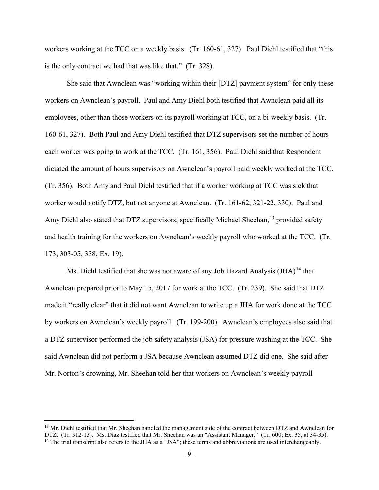workers working at the TCC on a weekly basis. (Tr. 160-61, 327). Paul Diehl testified that "this is the only contract we had that was like that." (Tr. 328).

She said that Awnclean was "working within their [DTZ] payment system" for only these workers on Awnclean's payroll. Paul and Amy Diehl both testified that Awnclean paid all its employees, other than those workers on its payroll working at TCC, on a bi-weekly basis. (Tr. 160-61, 327). Both Paul and Amy Diehl testified that DTZ supervisors set the number of hours each worker was going to work at the TCC. (Tr. 161, 356). Paul Diehl said that Respondent dictated the amount of hours supervisors on Awnclean's payroll paid weekly worked at the TCC. (Tr. 356). Both Amy and Paul Diehl testified that if a worker working at TCC was sick that worker would notify DTZ, but not anyone at Awnclean. (Tr. 161-62, 321-22, 330). Paul and Amy Diehl also stated that DTZ supervisors, specifically Michael Sheehan,<sup>13</sup> provided safety and health training for the workers on Awnclean's weekly payroll who worked at the TCC. (Tr. 173, 303-05, 338; Ex. 19).

Ms. Diehl testified that she was not aware of any Job Hazard Analysis  $(JHA)^{14}$  $(JHA)^{14}$  $(JHA)^{14}$  that Awnclean prepared prior to May 15, 2017 for work at the TCC. (Tr. 239). She said that DTZ made it "really clear" that it did not want Awnclean to write up a JHA for work done at the TCC by workers on Awnclean's weekly payroll. (Tr. 199-200). Awnclean's employees also said that a DTZ supervisor performed the job safety analysis (JSA) for pressure washing at the TCC. She said Awnclean did not perform a JSA because Awnclean assumed DTZ did one. She said after Mr. Norton's drowning, Mr. Sheehan told her that workers on Awnclean's weekly payroll

<span id="page-8-1"></span><span id="page-8-0"></span><sup>&</sup>lt;sup>13</sup> Mr. Diehl testified that Mr. Sheehan handled the management side of the contract between DTZ and Awnclean for DTZ. (Tr. 312-13). Ms. Diaz testified that Mr. Sheehan was an "Assistant Manager." (Tr. 600; Ex. 35, at 34-35). <sup>14</sup> The trial transcript also refers to the JHA as a "JSA"; these terms and abbreviations are used interchang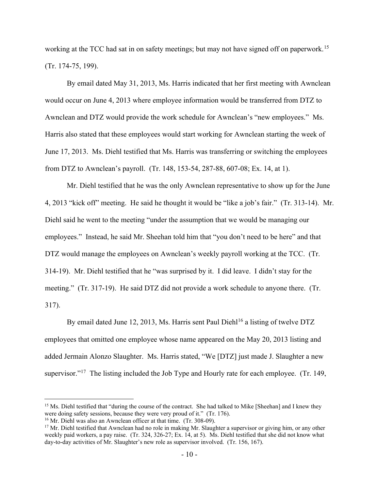working at the TCC had sat in on safety meetings; but may not have signed off on paperwork.<sup>15</sup> (Tr. 174-75, 199).

By email dated May 31, 2013, Ms. Harris indicated that her first meeting with Awnclean would occur on June 4, 2013 where employee information would be transferred from DTZ to Awnclean and DTZ would provide the work schedule for Awnclean's "new employees." Ms. Harris also stated that these employees would start working for Awnclean starting the week of June 17, 2013. Ms. Diehl testified that Ms. Harris was transferring or switching the employees from DTZ to Awnclean's payroll. (Tr. 148, 153-54, 287-88, 607-08; Ex. 14, at 1).

Mr. Diehl testified that he was the only Awnclean representative to show up for the June 4, 2013 "kick off" meeting. He said he thought it would be "like a job's fair." (Tr. 313-14). Mr. Diehl said he went to the meeting "under the assumption that we would be managing our employees." Instead, he said Mr. Sheehan told him that "you don't need to be here" and that DTZ would manage the employees on Awnclean's weekly payroll working at the TCC. (Tr. 314-19). Mr. Diehl testified that he "was surprised by it. I did leave. I didn't stay for the meeting." (Tr. 317-19). He said DTZ did not provide a work schedule to anyone there. (Tr. 317).

By email dated June 12, 2013, Ms. Harris sent Paul Diehl<sup>[16](#page-9-1)</sup> a listing of twelve DTZ employees that omitted one employee whose name appeared on the May 20, 2013 listing and added Jermain Alonzo Slaughter. Ms. Harris stated, "We [DTZ] just made J. Slaughter a new supervisor."<sup>17</sup> The listing included the Job Type and Hourly rate for each employee. (Tr. 149,

<span id="page-9-0"></span><sup>&</sup>lt;sup>15</sup> Ms. Diehl testified that "during the course of the contract. She had talked to Mike [Sheehan] and I knew they were doing safety sessions, because they were very proud of it." (Tr. 176).

<span id="page-9-1"></span><sup>&</sup>lt;sup>16</sup> Mr. Diehl was also an Awnclean officer at that time. (Tr. 308-09).

<span id="page-9-2"></span> $17$  Mr. Diehl testified that Awnclean had no role in making Mr. Slaughter a supervisor or giving him, or any other weekly paid workers, a pay raise. (Tr. 324, 326-27; Ex. 14, at 5). Ms. Diehl testified that she did not know what day-to-day activities of Mr. Slaughter's new role as supervisor involved. (Tr. 156, 167).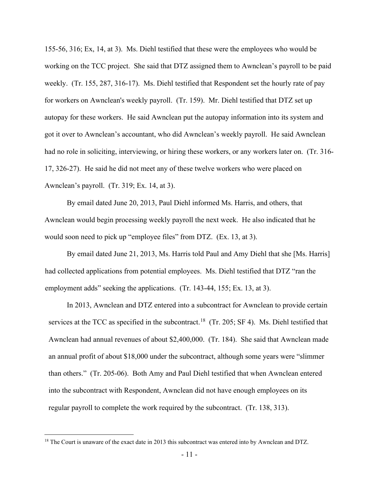155-56, 316; Ex, 14, at 3). Ms. Diehl testified that these were the employees who would be working on the TCC project. She said that DTZ assigned them to Awnclean's payroll to be paid weekly. (Tr. 155, 287, 316-17). Ms. Diehl testified that Respondent set the hourly rate of pay for workers on Awnclean's weekly payroll. (Tr. 159). Mr. Diehl testified that DTZ set up autopay for these workers. He said Awnclean put the autopay information into its system and got it over to Awnclean's accountant, who did Awnclean's weekly payroll. He said Awnclean had no role in soliciting, interviewing, or hiring these workers, or any workers later on. (Tr. 316- 17, 326-27). He said he did not meet any of these twelve workers who were placed on Awnclean's payroll. (Tr. 319; Ex. 14, at 3).

By email dated June 20, 2013, Paul Diehl informed Ms. Harris, and others, that Awnclean would begin processing weekly payroll the next week. He also indicated that he would soon need to pick up "employee files" from DTZ. (Ex. 13, at 3).

By email dated June 21, 2013, Ms. Harris told Paul and Amy Diehl that she [Ms. Harris] had collected applications from potential employees. Ms. Diehl testified that DTZ "ran the employment adds" seeking the applications. (Tr. 143-44, 155; Ex. 13, at 3).

In 2013, Awnclean and DTZ entered into a subcontract for Awnclean to provide certain services at the TCC as specified in the subcontract.<sup>18</sup> (Tr. 205; SF 4). Ms. Diehl testified that Awnclean had annual revenues of about \$2,400,000. (Tr. 184). She said that Awnclean made an annual profit of about \$18,000 under the subcontract, although some years were "slimmer than others." (Tr. 205-06). Both Amy and Paul Diehl testified that when Awnclean entered into the subcontract with Respondent, Awnclean did not have enough employees on its regular payroll to complete the work required by the subcontract. (Tr. 138, 313).

<span id="page-10-0"></span><sup>&</sup>lt;sup>18</sup> The Court is unaware of the exact date in 2013 this subcontract was entered into by Awnclean and DTZ.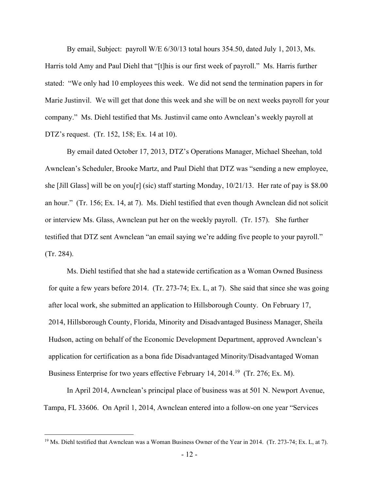By email, Subject: payroll W/E 6/30/13 total hours 354.50, dated July 1, 2013, Ms. Harris told Amy and Paul Diehl that "[t]his is our first week of payroll." Ms. Harris further stated: "We only had 10 employees this week. We did not send the termination papers in for Marie Justinvil. We will get that done this week and she will be on next weeks payroll for your company." Ms. Diehl testified that Ms. Justinvil came onto Awnclean's weekly payroll at DTZ's request. (Tr. 152, 158; Ex. 14 at 10).

 By email dated October 17, 2013, DTZ's Operations Manager, Michael Sheehan, told Awnclean's Scheduler, Brooke Martz, and Paul Diehl that DTZ was "sending a new employee, she [Jill Glass] will be on you[r] (sic) staff starting Monday, 10/21/13. Her rate of pay is \$8.00 an hour." (Tr. 156; Ex. 14, at 7). Ms. Diehl testified that even though Awnclean did not solicit or interview Ms. Glass, Awnclean put her on the weekly payroll. (Tr. 157). She further testified that DTZ sent Awnclean "an email saying we're adding five people to your payroll." (Tr. 284).

Ms. Diehl testified that she had a statewide certification as a Woman Owned Business for quite a few years before 2014. (Tr. 273-74; Ex. L, at 7). She said that since she was going after local work, she submitted an application to Hillsborough County. On February 17, 2014, Hillsborough County, Florida, Minority and Disadvantaged Business Manager, Sheila Hudson, acting on behalf of the Economic Development Department, approved Awnclean's application for certification as a bona fide Disadvantaged Minority/Disadvantaged Woman Business Enterprise for two years effective February 14, 2014.<sup>19</sup> (Tr. 276; Ex. M).

In April 2014, Awnclean's principal place of business was at 501 N. Newport Avenue, Tampa, FL 33606. On April 1, 2014, Awnclean entered into a follow-on one year "Services

<span id="page-11-0"></span><sup>&</sup>lt;sup>19</sup> Ms. Diehl testified that Awnclean was a Woman Business Owner of the Year in 2014. (Tr. 273-74; Ex. L, at 7).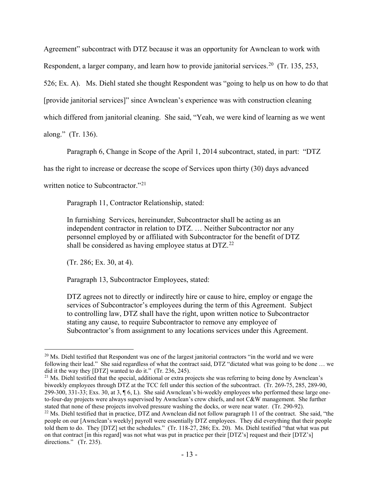Agreement" subcontract with DTZ because it was an opportunity for Awnclean to work with Respondent, a larger company, and learn how to provide janitorial services.<sup>[20](#page-12-0)</sup> (Tr. 135, 253, 526; Ex. A). Ms. Diehl stated she thought Respondent was "going to help us on how to do that [provide janitorial services]" since Awnclean's experience was with construction cleaning which differed from janitorial cleaning. She said, "Yeah, we were kind of learning as we went

along." (Tr. 136).

Paragraph 6, Change in Scope of the April 1, 2014 subcontract, stated, in part: "DTZ

has the right to increase or decrease the scope of Services upon thirty (30) days advanced

written notice to Subcontractor."<sup>[21](#page-12-1)</sup>

Paragraph 11, Contractor Relationship, stated:

In furnishing Services, hereinunder, Subcontractor shall be acting as an independent contractor in relation to DTZ. … Neither Subcontractor nor any personnel employed by or affiliated with Subcontractor for the benefit of DTZ shall be considered as having employee status at  $DTZ<sup>22</sup>$  $DTZ<sup>22</sup>$  $DTZ<sup>22</sup>$ 

(Tr. 286; Ex. 30, at 4).

Paragraph 13, Subcontractor Employees, stated:

DTZ agrees not to directly or indirectly hire or cause to hire, employ or engage the services of Subcontractor's employees during the term of this Agreement. Subject to controlling law, DTZ shall have the right, upon written notice to Subcontractor stating any cause, to require Subcontractor to remove any employee of Subcontractor's from assignment to any locations services under this Agreement.

<span id="page-12-1"></span><sup>21</sup> Ms. Diehl testified that the special, additional or extra projects she was referring to being done by Awnclean's biweekly employees through DTZ at the TCC fell under this section of the subcontract. (Tr. 269-75, 285, 289-90, 299-300, 331-33; Exs. 30, at 3, ¶ 6, L). She said Awnclean's bi-weekly employees who performed these large oneto-four-day projects were always supervised by Awnclean's crew chiefs, and not C&W management. She further stated that none of these projects involved pressure washing the docks, or were near water. (Tr. 290-92).

<span id="page-12-0"></span><sup>&</sup>lt;sup>20</sup> Ms. Diehl testified that Respondent was one of the largest janitorial contractors "in the world and we were following their lead." She said regardless of what the contract said, DTZ "dictated what was going to be done … we did it the way they [DTZ] wanted to do it." (Tr. 236, 245).

<span id="page-12-2"></span> $^{22}$  Ms. Diehl testified that in practice, DTZ and Awnclean did not follow paragraph 11 of the contract. She said, "the people on our [Awnclean's weekly] payroll were essentially DTZ employees. They did everything that their people told them to do. They [DTZ] set the schedules." (Tr. 118-27, 286; Ex. 20). Ms. Diehl testified "that what was put on that contract [in this regard] was not what was put in practice per their [DTZ's] request and their [DTZ's] directions." (Tr. 235).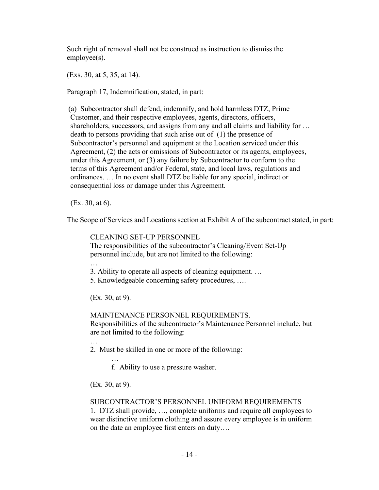Such right of removal shall not be construed as instruction to dismiss the employee(s).

(Exs. 30, at 5, 35, at 14).

Paragraph 17, Indemnification, stated, in part:

(a) Subcontractor shall defend, indemnify, and hold harmless DTZ, Prime Customer, and their respective employees, agents, directors, officers, shareholders, successors, and assigns from any and all claims and liability for ... death to persons providing that such arise out of (1) the presence of Subcontractor's personnel and equipment at the Location serviced under this Agreement, (2) the acts or omissions of Subcontractor or its agents, employees, under this Agreement, or (3) any failure by Subcontractor to conform to the terms of this Agreement and/or Federal, state, and local laws, regulations and ordinances. … In no event shall DTZ be liable for any special, indirect or consequential loss or damage under this Agreement.

(Ex. 30, at 6).

…

The Scope of Services and Locations section at Exhibit A of the subcontract stated, in part:

CLEANING SET-UP PERSONNEL The responsibilities of the subcontractor's Cleaning/Event Set-Up personnel include, but are not limited to the following:

3. Ability to operate all aspects of cleaning equipment. …

5. Knowledgeable concerning safety procedures, ….

(Ex. 30, at 9).

MAINTENANCE PERSONNEL REQUIREMENTS.

Responsibilities of the subcontractor's Maintenance Personnel include, but are not limited to the following:

… 2. Must be skilled in one or more of the following:

 … f. Ability to use a pressure washer.

(Ex. 30, at 9).

# SUBCONTRACTOR'S PERSONNEL UNIFORM REQUIREMENTS

1. DTZ shall provide, …, complete uniforms and require all employees to wear distinctive uniform clothing and assure every employee is in uniform on the date an employee first enters on duty….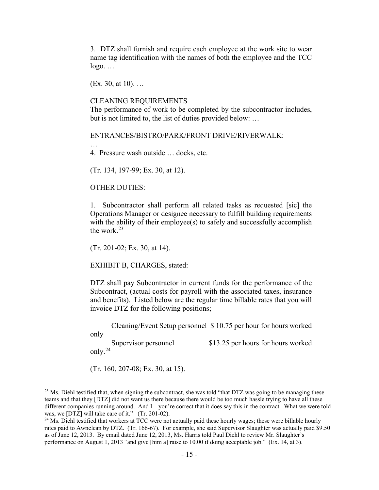3. DTZ shall furnish and require each employee at the work site to wear name tag identification with the names of both the employee and the TCC  $logo. \ldots$ 

(Ex. 30, at 10). …

#### CLEANING REQUIREMENTS

The performance of work to be completed by the subcontractor includes, but is not limited to, the list of duties provided below: …

ENTRANCES/BISTRO/PARK/FRONT DRIVE/RIVERWALK:

4. Pressure wash outside … docks, etc.

(Tr. 134, 197-99; Ex. 30, at 12).

#### OTHER DUTIES:

…

1. Subcontractor shall perform all related tasks as requested [sic] the Operations Manager or designee necessary to fulfill building requirements with the ability of their employee(s) to safely and successfully accomplish the work. $23$ 

(Tr. 201-02; Ex. 30, at 14).

EXHIBIT B, CHARGES, stated:

DTZ shall pay Subcontractor in current funds for the performance of the Subcontract, (actual costs for payroll with the associated taxes, insurance and benefits). Listed below are the regular time billable rates that you will invoice DTZ for the following positions;

Cleaning/Event Setup personnel \$ 10.75 per hour for hours worked

only

Supervisor personnel \$13.25 per hours for hours worked

only.[24](#page-14-1)

(Tr. 160, 207-08; Ex. 30, at 15).

<span id="page-14-0"></span><sup>&</sup>lt;sup>23</sup> Ms. Diehl testified that, when signing the subcontract, she was told "that DTZ was going to be managing these teams and that they [DTZ] did not want us there because there would be too much hassle trying to have all these different companies running around. And I – you're correct that it does say this in the contract. What we were told was, we [DTZ] will take care of it." (Tr. 201-02).

<span id="page-14-1"></span><sup>&</sup>lt;sup>24</sup> Ms. Diehl testified that workers at TCC were not actually paid these hourly wages; these were billable hourly rates paid to Awnclean by DTZ. (Tr. 166-67). For example, she said Supervisor Slaughter was actually paid \$9.50 as of June 12, 2013. By email dated June 12, 2013, Ms. Harris told Paul Diehl to review Mr. Slaughter's performance on August 1, 2013 "and give [him a] raise to 10.00 if doing acceptable job." (Ex. 14, at 3).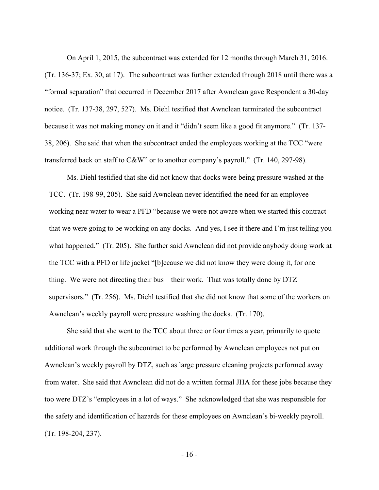On April 1, 2015, the subcontract was extended for 12 months through March 31, 2016. (Tr. 136-37; Ex. 30, at 17). The subcontract was further extended through 2018 until there was a "formal separation" that occurred in December 2017 after Awnclean gave Respondent a 30-day notice. (Tr. 137-38, 297, 527). Ms. Diehl testified that Awnclean terminated the subcontract because it was not making money on it and it "didn't seem like a good fit anymore." (Tr. 137- 38, 206). She said that when the subcontract ended the employees working at the TCC "were transferred back on staff to C&W" or to another company's payroll." (Tr. 140, 297-98).

Ms. Diehl testified that she did not know that docks were being pressure washed at the TCC. (Tr. 198-99, 205). She said Awnclean never identified the need for an employee working near water to wear a PFD "because we were not aware when we started this contract that we were going to be working on any docks. And yes, I see it there and I'm just telling you what happened." (Tr. 205). She further said Awnclean did not provide anybody doing work at the TCC with a PFD or life jacket "[b]ecause we did not know they were doing it, for one thing. We were not directing their bus – their work. That was totally done by DTZ supervisors." (Tr. 256). Ms. Diehl testified that she did not know that some of the workers on Awnclean's weekly payroll were pressure washing the docks. (Tr. 170).

She said that she went to the TCC about three or four times a year, primarily to quote additional work through the subcontract to be performed by Awnclean employees not put on Awnclean's weekly payroll by DTZ, such as large pressure cleaning projects performed away from water. She said that Awnclean did not do a written formal JHA for these jobs because they too were DTZ's "employees in a lot of ways." She acknowledged that she was responsible for the safety and identification of hazards for these employees on Awnclean's bi-weekly payroll. (Tr. 198-204, 237).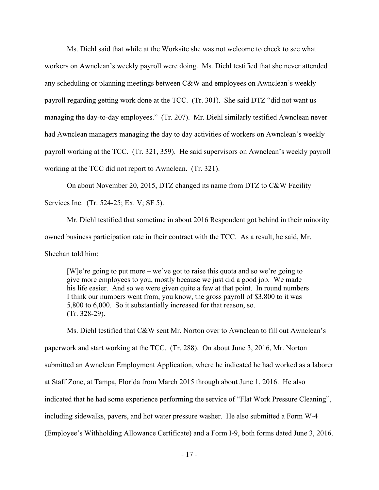Ms. Diehl said that while at the Worksite she was not welcome to check to see what workers on Awnclean's weekly payroll were doing. Ms. Diehl testified that she never attended any scheduling or planning meetings between C&W and employees on Awnclean's weekly payroll regarding getting work done at the TCC. (Tr. 301). She said DTZ "did not want us managing the day-to-day employees." (Tr. 207). Mr. Diehl similarly testified Awnclean never had Awnclean managers managing the day to day activities of workers on Awnclean's weekly payroll working at the TCC. (Tr. 321, 359). He said supervisors on Awnclean's weekly payroll working at the TCC did not report to Awnclean. (Tr. 321).

On about November 20, 2015, DTZ changed its name from DTZ to C&W Facility Services Inc. (Tr. 524-25; Ex. V; SF 5).

Mr. Diehl testified that sometime in about 2016 Respondent got behind in their minority owned business participation rate in their contract with the TCC. As a result, he said, Mr. Sheehan told him:

[W]e're going to put more – we've got to raise this quota and so we're going to give more employees to you, mostly because we just did a good job. We made his life easier. And so we were given quite a few at that point. In round numbers I think our numbers went from, you know, the gross payroll of \$3,800 to it was 5,800 to 6,000. So it substantially increased for that reason, so. (Tr. 328-29).

Ms. Diehl testified that C&W sent Mr. Norton over to Awnclean to fill out Awnclean's paperwork and start working at the TCC. (Tr. 288). On about June 3, 2016, Mr. Norton submitted an Awnclean Employment Application, where he indicated he had worked as a laborer at Staff Zone, at Tampa, Florida from March 2015 through about June 1, 2016. He also indicated that he had some experience performing the service of "Flat Work Pressure Cleaning", including sidewalks, pavers, and hot water pressure washer. He also submitted a Form W-4 (Employee's Withholding Allowance Certificate) and a Form I-9, both forms dated June 3, 2016.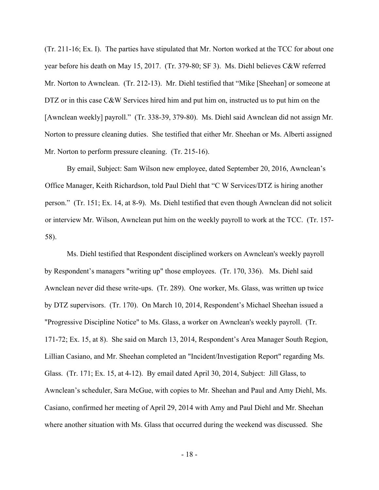(Tr. 211-16; Ex. I). The parties have stipulated that Mr. Norton worked at the TCC for about one year before his death on May 15, 2017. (Tr. 379-80; SF 3). Ms. Diehl believes C&W referred Mr. Norton to Awnclean. (Tr. 212-13). Mr. Diehl testified that "Mike [Sheehan] or someone at DTZ or in this case C&W Services hired him and put him on, instructed us to put him on the [Awnclean weekly] payroll." (Tr. 338-39, 379-80). Ms. Diehl said Awnclean did not assign Mr. Norton to pressure cleaning duties. She testified that either Mr. Sheehan or Ms. Alberti assigned Mr. Norton to perform pressure cleaning. (Tr. 215-16).

By email, Subject: Sam Wilson new employee, dated September 20, 2016, Awnclean's Office Manager, Keith Richardson, told Paul Diehl that "C W Services/DTZ is hiring another person." (Tr. 151; Ex. 14, at 8-9). Ms. Diehl testified that even though Awnclean did not solicit or interview Mr. Wilson, Awnclean put him on the weekly payroll to work at the TCC. (Tr. 157- 58).

Ms. Diehl testified that Respondent disciplined workers on Awnclean's weekly payroll by Respondent's managers "writing up" those employees. (Tr. 170, 336). Ms. Diehl said Awnclean never did these write-ups. (Tr. 289). One worker, Ms. Glass, was written up twice by DTZ supervisors. (Tr. 170). On March 10, 2014, Respondent's Michael Sheehan issued a "Progressive Discipline Notice" to Ms. Glass, a worker on Awnclean's weekly payroll. (Tr. 171-72; Ex. 15, at 8). She said on March 13, 2014, Respondent's Area Manager South Region, Lillian Casiano, and Mr. Sheehan completed an "Incident/Investigation Report" regarding Ms. Glass. (Tr. 171; Ex. 15, at 4-12). By email dated April 30, 2014, Subject: Jill Glass, to Awnclean's scheduler, Sara McGue, with copies to Mr. Sheehan and Paul and Amy Diehl, Ms. Casiano, confirmed her meeting of April 29, 2014 with Amy and Paul Diehl and Mr. Sheehan where another situation with Ms. Glass that occurred during the weekend was discussed. She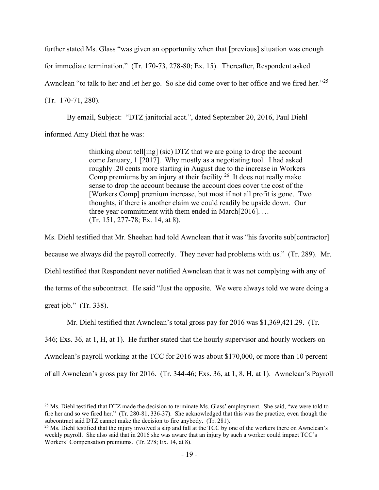further stated Ms. Glass "was given an opportunity when that [previous] situation was enough for immediate termination." (Tr. 170-73, 278-80; Ex. 15). Thereafter, Respondent asked Awnclean "to talk to her and let her go. So she did come over to her office and we fired her."<sup>25</sup> (Tr. 170-71, 280).

By email, Subject: "DTZ janitorial acct.", dated September 20, 2016, Paul Diehl informed Amy Diehl that he was:

> thinking about tell[ing] (sic) DTZ that we are going to drop the account come January, 1 [2017]. Why mostly as a negotiating tool. I had asked roughly .20 cents more starting in August due to the increase in Workers Comp premiums by an injury at their facility.<sup>[26](#page-18-1)</sup> It does not really make sense to drop the account because the account does cover the cost of the [Workers Comp] premium increase, but most if not all profit is gone. Two thoughts, if there is another claim we could readily be upside down. Our three year commitment with them ended in March[2016]. … (Tr. 151, 277-78; Ex. 14, at 8).

Ms. Diehl testified that Mr. Sheehan had told Awnclean that it was "his favorite sub[contractor] because we always did the payroll correctly. They never had problems with us." (Tr. 289). Mr. Diehl testified that Respondent never notified Awnclean that it was not complying with any of the terms of the subcontract. He said "Just the opposite. We were always told we were doing a great job." (Tr. 338).

Mr. Diehl testified that Awnclean's total gross pay for 2016 was \$1,369,421.29. (Tr. 346; Exs. 36, at 1, H, at 1). He further stated that the hourly supervisor and hourly workers on Awnclean's payroll working at the TCC for 2016 was about \$170,000, or more than 10 percent of all Awnclean's gross pay for 2016. (Tr. 344-46; Exs. 36, at 1, 8, H, at 1). Awnclean's Payroll

<span id="page-18-0"></span> $25$  Ms. Diehl testified that DTZ made the decision to terminate Ms. Glass' employment. She said, "we were told to fire her and so we fired her." (Tr. 280-81, 336-37). She acknowledged that this was the practice, even though the subcontract said DTZ cannot make the decision to fire anybody. (Tr. 281).

<span id="page-18-1"></span> $^{26}$  Ms. Diehl testified that the injury involved a slip and fall at the TCC by one of the workers there on Awnclean's weekly payroll. She also said that in 2016 she was aware that an injury by such a worker could impact TCC's Workers' Compensation premiums. (Tr. 278; Ex. 14, at 8).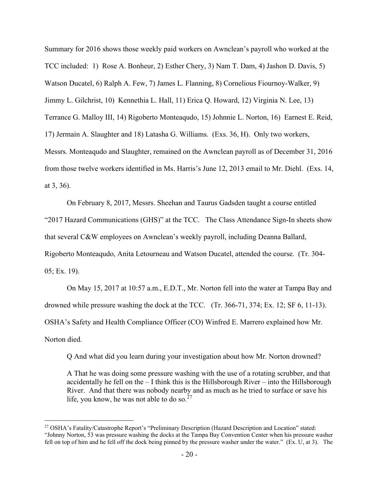Summary for 2016 shows those weekly paid workers on Awnclean's payroll who worked at the TCC included: 1) Rose A. Bonheur, 2) Esther Chery, 3) Nam T. Dam, 4) Jashon D. Davis, 5) Watson Ducatel, 6) Ralph A. Few, 7) James L. Flanning, 8) Cornelious Fiournoy-Walker, 9) Jimmy L. Gilchrist, 10) Kennethia L. Hall, 11) Erica Q. Howard, 12) Virginia N. Lee, 13) Terrance G. Malloy III, 14) Rigoberto Monteaqudo, 15) Johnnie L. Norton, 16) Earnest E. Reid, 17) Jermain A. Slaughter and 18) Latasha G. Williams. (Exs. 36, H). Only two workers, Messrs. Monteaqudo and Slaughter, remained on the Awnclean payroll as of December 31, 2016 from those twelve workers identified in Ms. Harris's June 12, 2013 email to Mr. Diehl. (Exs. 14, at 3, 36).

 On February 8, 2017, Messrs. Sheehan and Taurus Gadsden taught a course entitled "2017 Hazard Communications (GHS)" at the TCC. The Class Attendance Sign-In sheets show that several C&W employees on Awnclean's weekly payroll, including Deanna Ballard, Rigoberto Monteaqudo, Anita Letourneau and Watson Ducatel, attended the course. (Tr. 304- 05; Ex. 19).

On May 15, 2017 at 10:57 a.m., E.D.T., Mr. Norton fell into the water at Tampa Bay and drowned while pressure washing the dock at the TCC. (Tr. 366-71, 374; Ex. 12; SF 6, 11-13). OSHA's Safety and Health Compliance Officer (CO) Winfred E. Marrero explained how Mr. Norton died.

Q And what did you learn during your investigation about how Mr. Norton drowned?

A That he was doing some pressure washing with the use of a rotating scrubber, and that accidentally he fell on the – I think this is the Hillsborough River – into the Hillsborough River. And that there was nobody nearby and as much as he tried to surface or save his life, you know, he was not able to do so. $27$ 

<span id="page-19-0"></span><sup>27</sup> OSHA's Fatality/Catastrophe Report's "Preliminary Description (Hazard Description and Location" stated: "Johnny Norton, 53 was pressure washing the docks at the Tampa Bay Convention Center when his pressure washer fell on top of him and he fell off the dock being pinned by the pressure washer under the water." (Ex. U, at 3). The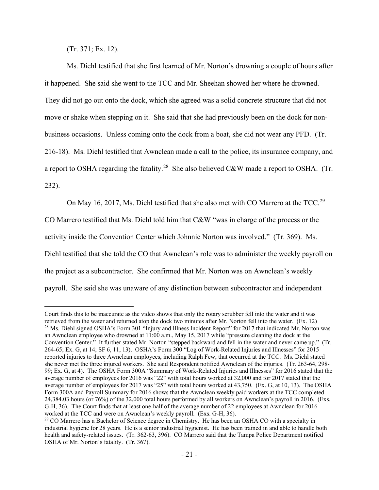(Tr. 371; Ex. 12).

Ms. Diehl testified that she first learned of Mr. Norton's drowning a couple of hours after it happened. She said she went to the TCC and Mr. Sheehan showed her where he drowned. They did not go out onto the dock, which she agreed was a solid concrete structure that did not move or shake when stepping on it. She said that she had previously been on the dock for nonbusiness occasions. Unless coming onto the dock from a boat, she did not wear any PFD. (Tr. 216-18). Ms. Diehl testified that Awnclean made a call to the police, its insurance company, and a report to OSHA regarding the fatality.<sup>[28](#page-20-0)</sup> She also believed C&W made a report to OSHA. (Tr. 232).

On May 16, 2017, Ms. Diehl testified that she also met with CO Marrero at the TCC.<sup>[29](#page-20-1)</sup>

CO Marrero testified that Ms. Diehl told him that C&W "was in charge of the process or the

activity inside the Convention Center which Johnnie Norton was involved." (Tr. 369). Ms.

Diehl testified that she told the CO that Awnclean's role was to administer the weekly payroll on

the project as a subcontractor. She confirmed that Mr. Norton was on Awnclean's weekly

payroll. She said she was unaware of any distinction between subcontractor and independent

<span id="page-20-0"></span>Court finds this to be inaccurate as the video shows that only the rotary scrubber fell into the water and it was retrieved from the water and returned atop the dock two minutes after Mr. Norton fell into the water. (Ex. 12) <sup>28</sup> Ms. Diehl signed OSHA's Form 301 "Injury and Illness Incident Report" for 2017 that indicated Mr. Norton was an Awnclean employee who drowned at 11:00 a.m., May 15, 2017 while "pressure cleaning the dock at the Convention Center." It further stated Mr. Norton "stepped backward and fell in the water and never came up." (Tr. 264-65; Ex. G, at 14; SF 6, 11, 13). OSHA's Form 300 "Log of Work-Related Injuries and Illnesses" for 2015 reported injuries to three Awnclean employees, including Ralph Few, that occurred at the TCC. Ms. Diehl stated she never met the three injured workers. She said Respondent notified Awnclean of the injuries. (Tr. 263-64, 298- 99; Ex. G, at 4). The OSHA Form 300A "Summary of Work-Related Injuries and Illnesses" for 2016 stated that the average number of employees for 2016 was "22" with total hours worked at 32,000 and for 2017 stated that the average number of employees for 2017 was "25" with total hours worked at 43,750. (Ex. G, at 10, 13). The OSHA Form 300A and Payroll Summary for 2016 shows that the Awnclean weekly paid workers at the TCC completed 24,384.03 hours (or 76%) of the 32,000 total hours performed by all workers on Awnclean's payroll in 2016. (Exs. G-H, 36). The Court finds that at least one-half of the average number of 22 employees at Awnclean for 2016 worked at the TCC and were on Awnclean's weekly payroll. (Exs. G-H, 36).

<span id="page-20-1"></span><sup>&</sup>lt;sup>29</sup> CO Marrero has a Bachelor of Science degree in Chemistry. He has been an OSHA CO with a specialty in industrial hygiene for 28 years. He is a senior industrial hygienist. He has been trained in and able to handle both health and safety-related issues. (Tr. 362-63, 396). CO Marrero said that the Tampa Police Department notified OSHA of Mr. Norton's fatality. (Tr. 367).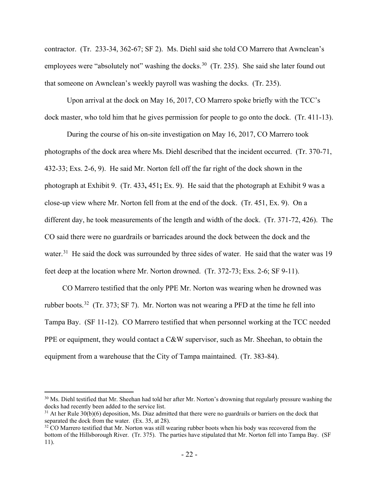contractor. (Tr. 233-34, 362-67; SF 2). Ms. Diehl said she told CO Marrero that Awnclean's employees were "absolutely not" washing the docks.<sup>[30](#page-21-0)</sup> (Tr. 235). She said she later found out that someone on Awnclean's weekly payroll was washing the docks. (Tr. 235).

Upon arrival at the dock on May 16, 2017, CO Marrero spoke briefly with the TCC's dock master, who told him that he gives permission for people to go onto the dock. (Tr. 411-13).

During the course of his on-site investigation on May 16, 2017, CO Marrero took photographs of the dock area where Ms. Diehl described that the incident occurred. (Tr. 370-71, 432-33; Exs. 2-6, 9). He said Mr. Norton fell off the far right of the dock shown in the photograph at Exhibit 9. (Tr. 433**,** 451**;** Ex. 9). He said that the photograph at Exhibit 9 was a close-up view where Mr. Norton fell from at the end of the dock. (Tr. 451, Ex. 9). On a different day, he took measurements of the length and width of the dock. (Tr. 371-72, 426). The CO said there were no guardrails or barricades around the dock between the dock and the water.<sup>[31](#page-21-1)</sup> He said the dock was surrounded by three sides of water. He said that the water was 19 feet deep at the location where Mr. Norton drowned. (Tr. 372-73; Exs. 2-6; SF 9-11).

CO Marrero testified that the only PPE Mr. Norton was wearing when he drowned was rubber boots.<sup>32</sup> (Tr. 373; SF 7). Mr. Norton was not wearing a PFD at the time he fell into Tampa Bay. (SF 11-12). CO Marrero testified that when personnel working at the TCC needed PPE or equipment, they would contact a C&W supervisor, such as Mr. Sheehan, to obtain the equipment from a warehouse that the City of Tampa maintained. (Tr. 383-84).

<span id="page-21-0"></span><sup>&</sup>lt;sup>30</sup> Ms. Diehl testified that Mr. Sheehan had told her after Mr. Norton's drowning that regularly pressure washing the docks had recently been added to the service list.

<span id="page-21-1"></span> $31$  At her Rule 30(b)(6) deposition, Ms. Diaz admitted that there were no guardrails or barriers on the dock that separated the dock from the water. (Ex. 35, at 28).

<span id="page-21-2"></span><sup>&</sup>lt;sup>32</sup> CO Marrero testified that Mr. Norton was still wearing rubber boots when his body was recovered from the bottom of the Hillsborough River. (Tr. 375). The parties have stipulated that Mr. Norton fell into Tampa Bay. (SF 11).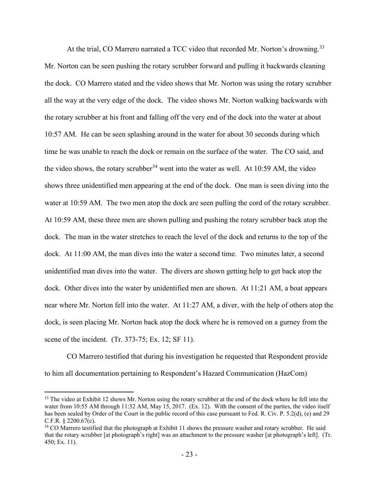At the trial, CO Marrero narrated a TCC video that recorded Mr. Norton's drowning.<sup>[33](#page-22-0)</sup> Mr. Norton can be seen pushing the rotary scrubber forward and pulling it backwards cleaning the dock. CO Marrero stated and the video shows that Mr. Norton was using the rotary scrubber all the way at the very edge of the dock. The video shows Mr. Norton walking backwards with the rotary scrubber at his front and falling off the very end of the dock into the water at about 10:57 AM. He can be seen splashing around in the water for about 30 seconds during which time he was unable to reach the dock or remain on the surface of the water. The CO said, and the video shows, the rotary scrubber<sup>[34](#page-22-1)</sup> went into the water as well. At 10:59 AM, the video shows three unidentified men appearing at the end of the dock. One man is seen diving into the water at 10:59 AM. The two men atop the dock are seen pulling the cord of the rotary scrubber. At 10:59 AM, these three men are shown pulling and pushing the rotary scrubber back atop the dock. The man in the water stretches to reach the level of the dock and returns to the top of the dock. At 11:00 AM, the man dives into the water a second time. Two minutes later, a second unidentified man dives into the water. The divers are shown getting help to get back atop the dock. Other dives into the water by unidentified men are shown. At 11:21 AM, a boat appears near where Mr. Norton fell into the water. At 11:27 AM, a diver, with the help of others atop the dock, is seen placing Mr. Norton back atop the dock where he is removed on a gurney from the scene of the incident. (Tr. 373-75; Ex. 12; SF 11).

CO Marrero testified that during his investigation he requested that Respondent provide to him all documentation pertaining to Respondent's Hazard Communication (HazCom)

<span id="page-22-0"></span><sup>&</sup>lt;sup>33</sup> The video at Exhibit 12 shows Mr. Norton using the rotary scrubber at the end of the dock where he fell into the water from 10:55 AM through 11:32 AM, May 15, 2017. (Ex. 12). With the consent of the parties, the video itself has been sealed by Order of the Court in the public record of this case pursuant to Fed. R. Civ. P. 5.2(d), (e) and 29 C.F.R. § 2200.67(c).

<span id="page-22-1"></span><sup>&</sup>lt;sup>34</sup> CO Marrero testified that the photograph at Exhibit 11 shows the pressure washer and rotary scrubber. He said that the rotary scrubber [at photograph's right] was an attachment to the pressure washer [at photograph's left]. (Tr. 450; Ex. 11).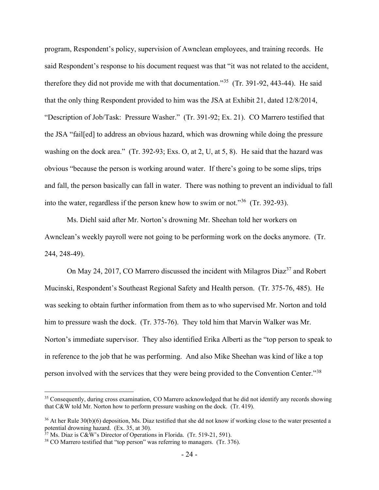program, Respondent's policy, supervision of Awnclean employees, and training records. He said Respondent's response to his document request was that "it was not related to the accident, therefore they did not provide me with that documentation."<sup>[35](#page-23-0)</sup> (Tr. 391-92, 443-44). He said that the only thing Respondent provided to him was the JSA at Exhibit 21, dated 12/8/2014, "Description of Job/Task: Pressure Washer." (Tr. 391-92; Ex. 21). CO Marrero testified that the JSA "fail[ed] to address an obvious hazard, which was drowning while doing the pressure washing on the dock area." (Tr. 392-93; Exs. O, at 2, U, at 5, 8). He said that the hazard was obvious "because the person is working around water. If there's going to be some slips, trips and fall, the person basically can fall in water. There was nothing to prevent an individual to fall into the water, regardless if the person knew how to swim or not."[36](#page-23-1) (Tr. 392-93).

Ms. Diehl said after Mr. Norton's drowning Mr. Sheehan told her workers on Awnclean's weekly payroll were not going to be performing work on the docks anymore. (Tr. 244, 248-49).

On May 24, 2017, CO Marrero discussed the incident with Milagros Diaz<sup>37</sup> and Robert Mucinski, Respondent's Southeast Regional Safety and Health person. (Tr. 375-76, 485). He was seeking to obtain further information from them as to who supervised Mr. Norton and told him to pressure wash the dock. (Tr. 375-76). They told him that Marvin Walker was Mr. Norton's immediate supervisor. They also identified Erika Alberti as the "top person to speak to in reference to the job that he was performing. And also Mike Sheehan was kind of like a top person involved with the services that they were being provided to the Convention Center."[38](#page-23-3) 

<span id="page-23-0"></span><sup>&</sup>lt;sup>35</sup> Consequently, during cross examination, CO Marrero acknowledged that he did not identify any records showing that C&W told Mr. Norton how to perform pressure washing on the dock. (Tr. 419).

<span id="page-23-1"></span><sup>&</sup>lt;sup>36</sup> At her Rule 30(b)(6) deposition, Ms. Diaz testified that she dd not know if working close to the water presented a potential drowning hazard. (Ex. 35, at 30).

<span id="page-23-2"></span> $37$  Ms. Diaz is C&W's Director of Operations in Florida. (Tr. 519-21, 591).

<span id="page-23-3"></span><sup>&</sup>lt;sup>38</sup> CO Marrero testified that "top person" was referring to managers. (Tr. 376).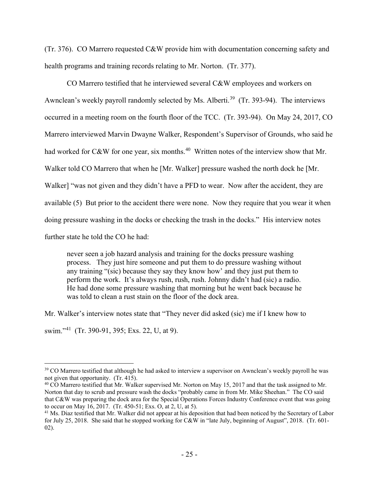(Tr. 376). CO Marrero requested C&W provide him with documentation concerning safety and health programs and training records relating to Mr. Norton. (Tr. 377).

CO Marrero testified that he interviewed several C&W employees and workers on Awnclean's weekly payroll randomly selected by Ms. Alberti.<sup>39</sup> (Tr. 393-94). The interviews occurred in a meeting room on the fourth floor of the TCC. (Tr. 393-94). On May 24, 2017, CO Marrero interviewed Marvin Dwayne Walker, Respondent's Supervisor of Grounds, who said he had worked for C&W for one year, six months.<sup>40</sup> Written notes of the interview show that Mr. Walker told CO Marrero that when he [Mr. Walker] pressure washed the north dock he [Mr. Walker] "was not given and they didn't have a PFD to wear. Now after the accident, they are available (5) But prior to the accident there were none. Now they require that you wear it when doing pressure washing in the docks or checking the trash in the docks." His interview notes further state he told the CO he had:

never seen a job hazard analysis and training for the docks pressure washing process. They just hire someone and put them to do pressure washing without any training "(sic) because they say they know how' and they just put them to perform the work. It's always rush, rush, rush. Johnny didn't had (sic) a radio. He had done some pressure washing that morning but he went back because he was told to clean a rust stain on the floor of the dock area.

Mr. Walker's interview notes state that "They never did asked (sic) me if I knew how to

swim."[41](#page-24-2) (Tr. 390-91, 395; Exs. 22, U, at 9).

<span id="page-24-0"></span><sup>&</sup>lt;sup>39</sup> CO Marrero testified that although he had asked to interview a supervisor on Awnclean's weekly payroll he was not given that opportunity. (Tr. 415).

<span id="page-24-1"></span><sup>&</sup>lt;sup>40</sup> CO Marrero testified that Mr. Walker supervised Mr. Norton on May 15, 2017 and that the task assigned to Mr. Norton that day to scrub and pressure wash the docks "probably came in from Mr. Mike Sheehan." The CO said that C&W was preparing the dock area for the Special Operations Forces Industry Conference event that was going to occur on May 16, 2017. (Tr. 450-51; Exs. O, at 2, U, at 5).  $41 \text{ Ms}$  been noticed by the Secretary of Labor  $41 \text{ Ms}$ . Diaz testified that Mr. Walker did not appear at his deposition that had been noticed by the Secre

<span id="page-24-2"></span>for July 25, 2018. She said that he stopped working for C&W in "late July, beginning of August", 2018. (Tr. 601- 02).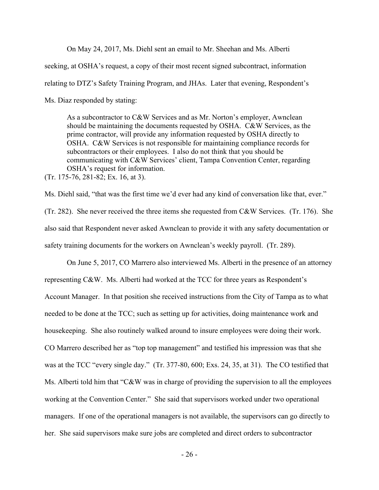On May 24, 2017, Ms. Diehl sent an email to Mr. Sheehan and Ms. Alberti seeking, at OSHA's request, a copy of their most recent signed subcontract, information relating to DTZ's Safety Training Program, and JHAs. Later that evening, Respondent's Ms. Diaz responded by stating:

As a subcontractor to C&W Services and as Mr. Norton's employer, Awnclean should be maintaining the documents requested by OSHA. C&W Services, as the prime contractor, will provide any information requested by OSHA directly to OSHA. C&W Services is not responsible for maintaining compliance records for subcontractors or their employees. I also do not think that you should be communicating with C&W Services' client, Tampa Convention Center, regarding OSHA's request for information.

(Tr. 175-76, 281-82; Ex. 16, at 3).

Ms. Diehl said, "that was the first time we'd ever had any kind of conversation like that, ever." (Tr. 282). She never received the three items she requested from C&W Services. (Tr. 176). She also said that Respondent never asked Awnclean to provide it with any safety documentation or safety training documents for the workers on Awnclean's weekly payroll. (Tr. 289).

On June 5, 2017, CO Marrero also interviewed Ms. Alberti in the presence of an attorney representing C&W. Ms. Alberti had worked at the TCC for three years as Respondent's Account Manager. In that position she received instructions from the City of Tampa as to what needed to be done at the TCC; such as setting up for activities, doing maintenance work and housekeeping. She also routinely walked around to insure employees were doing their work. CO Marrero described her as "top top management" and testified his impression was that she was at the TCC "every single day." (Tr. 377-80, 600; Exs. 24, 35, at 31). The CO testified that Ms. Alberti told him that "C&W was in charge of providing the supervision to all the employees working at the Convention Center." She said that supervisors worked under two operational managers. If one of the operational managers is not available, the supervisors can go directly to her. She said supervisors make sure jobs are completed and direct orders to subcontractor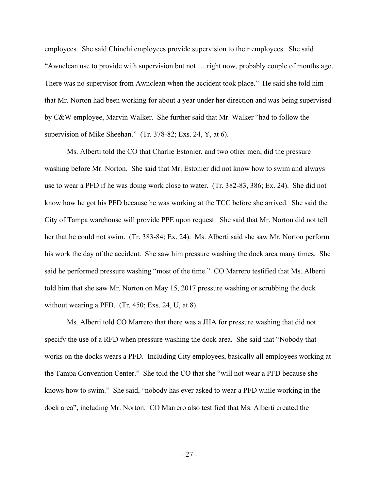employees. She said Chinchi employees provide supervision to their employees. She said "Awnclean use to provide with supervision but not … right now, probably couple of months ago. There was no supervisor from Awnclean when the accident took place." He said she told him that Mr. Norton had been working for about a year under her direction and was being supervised by C&W employee, Marvin Walker. She further said that Mr. Walker "had to follow the supervision of Mike Sheehan." (Tr. 378-82; Exs. 24, Y, at 6).

Ms. Alberti told the CO that Charlie Estonier, and two other men, did the pressure washing before Mr. Norton. She said that Mr. Estonier did not know how to swim and always use to wear a PFD if he was doing work close to water. (Tr. 382-83, 386; Ex. 24). She did not know how he got his PFD because he was working at the TCC before she arrived. She said the City of Tampa warehouse will provide PPE upon request. She said that Mr. Norton did not tell her that he could not swim. (Tr. 383-84; Ex. 24). Ms. Alberti said she saw Mr. Norton perform his work the day of the accident. She saw him pressure washing the dock area many times. She said he performed pressure washing "most of the time." CO Marrero testified that Ms. Alberti told him that she saw Mr. Norton on May 15, 2017 pressure washing or scrubbing the dock without wearing a PFD. (Tr. 450; Exs. 24, U, at 8).

Ms. Alberti told CO Marrero that there was a JHA for pressure washing that did not specify the use of a RFD when pressure washing the dock area. She said that "Nobody that works on the docks wears a PFD. Including City employees, basically all employees working at the Tampa Convention Center." She told the CO that she "will not wear a PFD because she knows how to swim." She said, "nobody has ever asked to wear a PFD while working in the dock area", including Mr. Norton. CO Marrero also testified that Ms. Alberti created the

- 27 -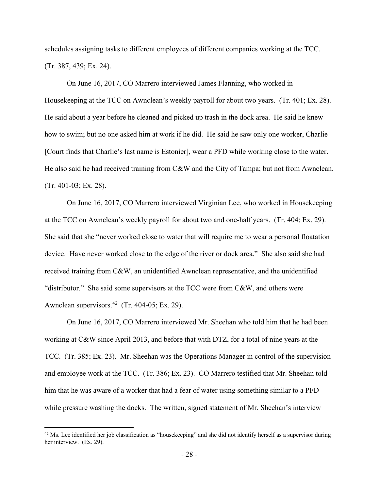schedules assigning tasks to different employees of different companies working at the TCC. (Tr. 387, 439; Ex. 24).

On June 16, 2017, CO Marrero interviewed James Flanning, who worked in Housekeeping at the TCC on Awnclean's weekly payroll for about two years. (Tr. 401; Ex. 28). He said about a year before he cleaned and picked up trash in the dock area. He said he knew how to swim; but no one asked him at work if he did. He said he saw only one worker, Charlie [Court finds that Charlie's last name is Estonier], wear a PFD while working close to the water. He also said he had received training from C&W and the City of Tampa; but not from Awnclean. (Tr. 401-03; Ex. 28).

On June 16, 2017, CO Marrero interviewed Virginian Lee, who worked in Housekeeping at the TCC on Awnclean's weekly payroll for about two and one-half years. (Tr. 404; Ex. 29). She said that she "never worked close to water that will require me to wear a personal floatation device. Have never worked close to the edge of the river or dock area." She also said she had received training from C&W, an unidentified Awnclean representative, and the unidentified "distributor." She said some supervisors at the TCC were from C&W, and others were Awnclean supervisors. $42$  (Tr. 404-05; Ex. 29).

On June 16, 2017, CO Marrero interviewed Mr. Sheehan who told him that he had been working at C&W since April 2013, and before that with DTZ, for a total of nine years at the TCC. (Tr. 385; Ex. 23). Mr. Sheehan was the Operations Manager in control of the supervision and employee work at the TCC. (Tr. 386; Ex. 23). CO Marrero testified that Mr. Sheehan told him that he was aware of a worker that had a fear of water using something similar to a PFD while pressure washing the docks. The written, signed statement of Mr. Sheehan's interview

<span id="page-27-0"></span> $42$  Ms. Lee identified her job classification as "housekeeping" and she did not identify herself as a supervisor during her interview. (Ex. 29).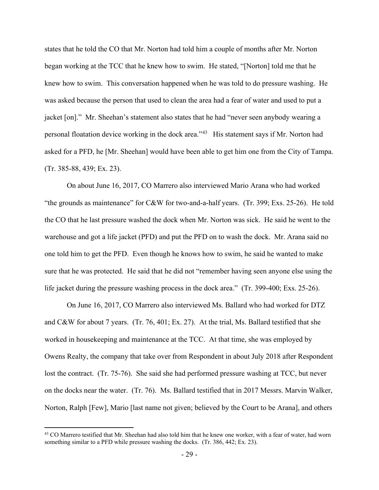states that he told the CO that Mr. Norton had told him a couple of months after Mr. Norton began working at the TCC that he knew how to swim. He stated, "[Norton] told me that he knew how to swim. This conversation happened when he was told to do pressure washing. He was asked because the person that used to clean the area had a fear of water and used to put a jacket [on]." Mr. Sheehan's statement also states that he had "never seen anybody wearing a personal floatation device working in the dock area."[43](#page-28-0) His statement says if Mr. Norton had asked for a PFD, he [Mr. Sheehan] would have been able to get him one from the City of Tampa. (Tr. 385-88, 439; Ex. 23).

On about June 16, 2017, CO Marrero also interviewed Mario Arana who had worked "the grounds as maintenance" for C&W for two-and-a-half years. (Tr. 399; Exs. 25-26). He told the CO that he last pressure washed the dock when Mr. Norton was sick. He said he went to the warehouse and got a life jacket (PFD) and put the PFD on to wash the dock. Mr. Arana said no one told him to get the PFD. Even though he knows how to swim, he said he wanted to make sure that he was protected. He said that he did not "remember having seen anyone else using the life jacket during the pressure washing process in the dock area." (Tr. 399-400; Exs. 25-26).

On June 16, 2017, CO Marrero also interviewed Ms. Ballard who had worked for DTZ and C&W for about 7 years. (Tr. 76, 401; Ex. 27). At the trial, Ms. Ballard testified that she worked in housekeeping and maintenance at the TCC. At that time, she was employed by Owens Realty, the company that take over from Respondent in about July 2018 after Respondent lost the contract. (Tr. 75-76). She said she had performed pressure washing at TCC, but never on the docks near the water. (Tr. 76). Ms. Ballard testified that in 2017 Messrs. Marvin Walker, Norton, Ralph [Few], Mario [last name not given; believed by the Court to be Arana], and others

<span id="page-28-0"></span><sup>&</sup>lt;sup>43</sup> CO Marrero testified that Mr. Sheehan had also told him that he knew one worker, with a fear of water, had worn something similar to a PFD while pressure washing the docks. (Tr. 386, 442; Ex. 23).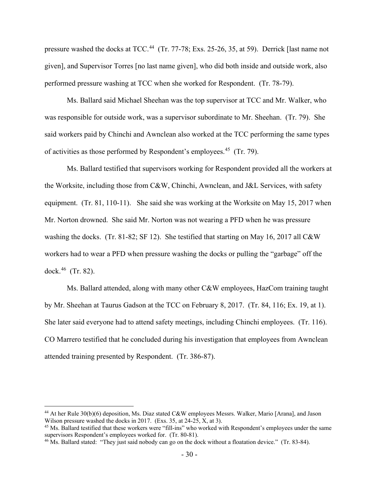pressure washed the docks at TCC.<sup>[44](#page-29-0)</sup> (Tr. 77-78; Exs. 25-26, 35, at 59). Derrick [last name not given], and Supervisor Torres [no last name given], who did both inside and outside work, also performed pressure washing at TCC when she worked for Respondent. (Tr. 78-79).

Ms. Ballard said Michael Sheehan was the top supervisor at TCC and Mr. Walker, who was responsible for outside work, was a supervisor subordinate to Mr. Sheehan. (Tr. 79). She said workers paid by Chinchi and Awnclean also worked at the TCC performing the same types of activities as those performed by Respondent's employees.[45](#page-29-1) (Tr. 79).

Ms. Ballard testified that supervisors working for Respondent provided all the workers at the Worksite, including those from C&W, Chinchi, Awnclean, and J&L Services, with safety equipment. (Tr. 81, 110-11). She said she was working at the Worksite on May 15, 2017 when Mr. Norton drowned. She said Mr. Norton was not wearing a PFD when he was pressure washing the docks. (Tr. 81-82; SF 12). She testified that starting on May 16, 2017 all C&W workers had to wear a PFD when pressure washing the docks or pulling the "garbage" off the dock.[46](#page-29-2) (Tr. 82).

Ms. Ballard attended, along with many other C&W employees, HazCom training taught by Mr. Sheehan at Taurus Gadson at the TCC on February 8, 2017. (Tr. 84, 116; Ex. 19, at 1). She later said everyone had to attend safety meetings, including Chinchi employees. (Tr. 116). CO Marrero testified that he concluded during his investigation that employees from Awnclean attended training presented by Respondent. (Tr. 386-87).

<span id="page-29-0"></span><sup>44</sup> At her Rule 30(b)(6) deposition, Ms. Diaz stated C&W employees Messrs. Walker, Mario [Arana], and Jason Wilson pressure washed the docks in 2017. (Exs. 35, at 24-25, X, at 3).

<span id="page-29-1"></span><sup>45</sup> Ms. Ballard testified that these workers were "fill-ins" who worked with Respondent's employees under the same supervisors Respondent's employees worked for. (Tr. 80-81).

<span id="page-29-2"></span><sup>&</sup>lt;sup>46</sup> Ms. Ballard stated: "They just said nobody can go on the dock without a floatation device." (Tr. 83-84).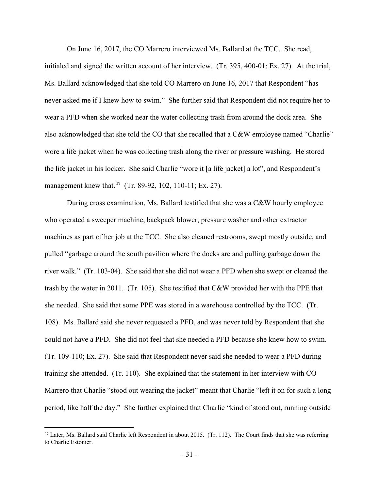On June 16, 2017, the CO Marrero interviewed Ms. Ballard at the TCC. She read,

initialed and signed the written account of her interview. (Tr. 395, 400-01; Ex. 27). At the trial, Ms. Ballard acknowledged that she told CO Marrero on June 16, 2017 that Respondent "has never asked me if I knew how to swim." She further said that Respondent did not require her to wear a PFD when she worked near the water collecting trash from around the dock area. She also acknowledged that she told the CO that she recalled that a C&W employee named "Charlie" wore a life jacket when he was collecting trash along the river or pressure washing. He stored the life jacket in his locker. She said Charlie "wore it [a life jacket] a lot", and Respondent's management knew that.<sup>47</sup> (Tr. 89-92, 102, 110-11; Ex. 27).

During cross examination, Ms. Ballard testified that she was a C&W hourly employee who operated a sweeper machine, backpack blower, pressure washer and other extractor machines as part of her job at the TCC. She also cleaned restrooms, swept mostly outside, and pulled "garbage around the south pavilion where the docks are and pulling garbage down the river walk." (Tr. 103-04). She said that she did not wear a PFD when she swept or cleaned the trash by the water in 2011. (Tr. 105). She testified that C&W provided her with the PPE that she needed. She said that some PPE was stored in a warehouse controlled by the TCC. (Tr. 108). Ms. Ballard said she never requested a PFD, and was never told by Respondent that she could not have a PFD. She did not feel that she needed a PFD because she knew how to swim. (Tr. 109-110; Ex. 27). She said that Respondent never said she needed to wear a PFD during training she attended. (Tr. 110). She explained that the statement in her interview with CO Marrero that Charlie "stood out wearing the jacket" meant that Charlie "left it on for such a long period, like half the day." She further explained that Charlie "kind of stood out, running outside

<span id="page-30-0"></span> $47$  Later, Ms. Ballard said Charlie left Respondent in about 2015. (Tr. 112). The Court finds that she was referring to Charlie Estonier.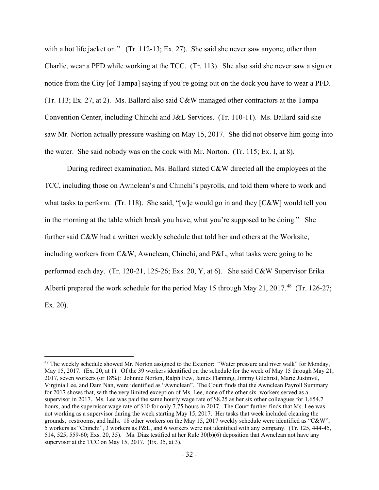with a hot life jacket on." (Tr. 112-13; Ex. 27). She said she never saw anyone, other than Charlie, wear a PFD while working at the TCC. (Tr. 113). She also said she never saw a sign or notice from the City [of Tampa] saying if you're going out on the dock you have to wear a PFD. (Tr. 113; Ex. 27, at 2). Ms. Ballard also said C&W managed other contractors at the Tampa Convention Center, including Chinchi and J&L Services. (Tr. 110-11). Ms. Ballard said she saw Mr. Norton actually pressure washing on May 15, 2017. She did not observe him going into the water. She said nobody was on the dock with Mr. Norton. (Tr. 115; Ex. I, at 8).

During redirect examination, Ms. Ballard stated C&W directed all the employees at the TCC, including those on Awnclean's and Chinchi's payrolls, and told them where to work and what tasks to perform. (Tr. 118). She said, "[w]e would go in and they [C&W] would tell you in the morning at the table which break you have, what you're supposed to be doing." She further said C&W had a written weekly schedule that told her and others at the Worksite, including workers from C&W, Awnclean, Chinchi, and P&L, what tasks were going to be performed each day. (Tr. 120-21, 125-26; Exs. 20, Y, at 6). She said C&W Supervisor Erika Alberti prepared the work schedule for the period May 15 through May 21, 2017.<sup>[48](#page-31-0)</sup> (Tr. 126-27; Ex. 20).

<span id="page-31-0"></span><sup>&</sup>lt;sup>48</sup> The weekly schedule showed Mr. Norton assigned to the Exterior: "Water pressure and river walk" for Monday, May 15, 2017. (Ex. 20, at 1). Of the 39 workers identified on the schedule for the week of May 15 through May 21, 2017, seven workers (or 18%): Johnnie Norton, Ralph Few, James Flanning, Jimmy Gilchrist, Marie Justinvil, Virginia Lee, and Dam Nan, were identified as "Awnclean". The Court finds that the Awnclean Payroll Summary for 2017 shows that, with the very limited exception of Ms. Lee, none of the other six workers served as a supervisor in 2017. Ms. Lee was paid the same hourly wage rate of \$8.25 as her six other colleagues for 1,654.7 hours, and the supervisor wage rate of \$10 for only 7.75 hours in 2017. The Court further finds that Ms. Lee was not working as a supervisor during the week starting May 15, 2017. Her tasks that week included cleaning the grounds, restrooms, and halls. 18 other workers on the May 15, 2017 weekly schedule were identified as "C&W", 5 workers as "Chinchi", 3 workers as P&L, and 6 workers were not identified with any company. (Tr. 125, 444-45, 514, 525, 559-60; Exs. 20, 35). Ms. Diaz testified at her Rule 30(b)(6) deposition that Awnclean not have any supervisor at the TCC on May 15, 2017. (Ex. 35, at 3).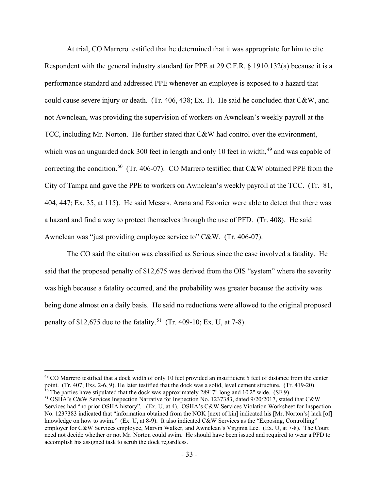At trial, CO Marrero testified that he determined that it was appropriate for him to cite Respondent with the general industry standard for PPE at 29 C.F.R. § 1910.132(a) because it is a performance standard and addressed PPE whenever an employee is exposed to a hazard that could cause severe injury or death. (Tr. 406, 438; Ex. 1). He said he concluded that C&W, and not Awnclean, was providing the supervision of workers on Awnclean's weekly payroll at the TCC, including Mr. Norton. He further stated that C&W had control over the environment, which was an unguarded dock 300 feet in length and only 10 feet in width, $49$  and was capable of correcting the condition.<sup>[50](#page-32-1)</sup> (Tr. 406-07). CO Marrero testified that C&W obtained PPE from the City of Tampa and gave the PPE to workers on Awnclean's weekly payroll at the TCC. (Tr. 81, 404, 447; Ex. 35, at 115). He said Messrs. Arana and Estonier were able to detect that there was a hazard and find a way to protect themselves through the use of PFD. (Tr. 408). He said Awnclean was "just providing employee service to" C&W. (Tr. 406-07).

The CO said the citation was classified as Serious since the case involved a fatality. He said that the proposed penalty of \$12,675 was derived from the OIS "system" where the severity was high because a fatality occurred, and the probability was greater because the activity was being done almost on a daily basis. He said no reductions were allowed to the original proposed penalty of \$12,675 due to the fatality.<sup>[51](#page-32-2)</sup> (Tr. 409-10; Ex. U, at 7-8).

<span id="page-32-0"></span><sup>&</sup>lt;sup>49</sup> CO Marrero testified that a dock width of only 10 feet provided an insufficient 5 feet of distance from the center point. (Tr. 407; Exs. 2-6, 9). He later testified that the dock was a solid, level cement structure. (Tr. 419-20).  $\frac{50}{10}$  The parties have stipulated that the dock was approximately 289' 7" long and 10'2" wide. (SF 9).

<span id="page-32-2"></span><span id="page-32-1"></span><sup>51</sup> OSHA's C&W Services Inspection Narrative for Inspection No. 1237383, dated 9/20/2017, stated that C&W Services had "no prior OSHA history". (Ex. U, at 4). OSHA's C&W Services Violation Worksheet for Inspection No. 1237383 indicated that "information obtained from the NOK [next of kin] indicated his [Mr. Norton's] lack [of] knowledge on how to swim." (Ex. U, at 8-9). It also indicated C&W Services as the "Exposing, Controlling" employer for C&W Services employee, Marvin Walker, and Awnclean's Virginia Lee. (Ex. U, at 7-8). The Court need not decide whether or not Mr. Norton could swim. He should have been issued and required to wear a PFD to accomplish his assigned task to scrub the dock regardless.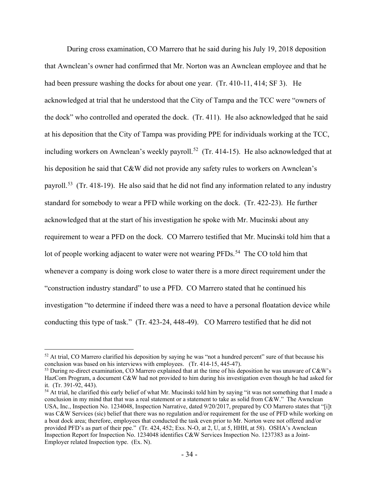During cross examination, CO Marrero that he said during his July 19, 2018 deposition that Awnclean's owner had confirmed that Mr. Norton was an Awnclean employee and that he had been pressure washing the docks for about one year. (Tr. 410-11, 414; SF 3). He acknowledged at trial that he understood that the City of Tampa and the TCC were "owners of the dock" who controlled and operated the dock. (Tr. 411). He also acknowledged that he said at his deposition that the City of Tampa was providing PPE for individuals working at the TCC, including workers on Awnclean's weekly payroll.<sup>[52](#page-33-0)</sup> (Tr. 414-15). He also acknowledged that at his deposition he said that C&W did not provide any safety rules to workers on Awnclean's payroll.<sup>53</sup> (Tr. 418-19). He also said that he did not find any information related to any industry standard for somebody to wear a PFD while working on the dock. (Tr. 422-23). He further acknowledged that at the start of his investigation he spoke with Mr. Mucinski about any requirement to wear a PFD on the dock. CO Marrero testified that Mr. Mucinski told him that a lot of people working adjacent to water were not wearing PFDs.<sup>[54](#page-33-2)</sup> The CO told him that whenever a company is doing work close to water there is a more direct requirement under the "construction industry standard" to use a PFD. CO Marrero stated that he continued his investigation "to determine if indeed there was a need to have a personal floatation device while conducting this type of task." (Tr. 423-24, 448-49). CO Marrero testified that he did not

<span id="page-33-0"></span><sup>&</sup>lt;sup>52</sup> At trial, CO Marrero clarified his deposition by saying he was "not a hundred percent" sure of that because his conclusion was based on his interviews with employees. (Tr. 414-15, 445-47).

<span id="page-33-1"></span><sup>&</sup>lt;sup>53</sup> During re-direct examination, CO Marrero explained that at the time of his deposition he was unaware of C&W's HazCom Program, a document C&W had not provided to him during his investigation even though he had asked for it. (Tr. 391-92, 443).

<span id="page-33-2"></span><sup>&</sup>lt;sup>54</sup> At trial, he clarified this early belief of what Mr. Mucinski told him by saying "it was not something that I made a conclusion in my mind that that was a real statement or a statement to take as solid from C&W." The Awnclean USA, Inc., Inspection No. 1234048, Inspection Narrative, dated 9/20/2017, prepared by CO Marrero states that "[i]t was C&W Services (sic) belief that there was no regulation and/or requirement for the use of PFD while working on a boat dock area; therefore, employees that conducted the task even prior to Mr. Norton were not offered and/or provided PFD's as part of their ppe." (Tr. 424, 452; Exs. N-O, at 2, U, at 5, HHH, at 58). OSHA's Awnclean Inspection Report for Inspection No. 1234048 identifies C&W Services Inspection No. 1237383 as a Joint-Employer related Inspection type. (Ex. N).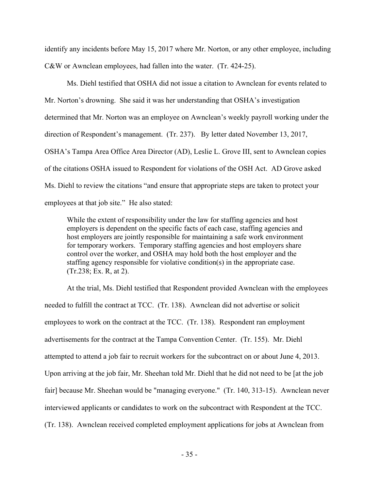identify any incidents before May 15, 2017 where Mr. Norton, or any other employee, including C&W or Awnclean employees, had fallen into the water. (Tr. 424-25).

Ms. Diehl testified that OSHA did not issue a citation to Awnclean for events related to Mr. Norton's drowning. She said it was her understanding that OSHA's investigation determined that Mr. Norton was an employee on Awnclean's weekly payroll working under the direction of Respondent's management. (Tr. 237). By letter dated November 13, 2017, OSHA's Tampa Area Office Area Director (AD), Leslie L. Grove III, sent to Awnclean copies of the citations OSHA issued to Respondent for violations of the OSH Act. AD Grove asked Ms. Diehl to review the citations "and ensure that appropriate steps are taken to protect your employees at that job site." He also stated:

While the extent of responsibility under the law for staffing agencies and host employers is dependent on the specific facts of each case, staffing agencies and host employers are jointly responsible for maintaining a safe work environment for temporary workers. Temporary staffing agencies and host employers share control over the worker, and OSHA may hold both the host employer and the staffing agency responsible for violative condition(s) in the appropriate case. (Tr.238; Ex. R, at 2).

At the trial, Ms. Diehl testified that Respondent provided Awnclean with the employees needed to fulfill the contract at TCC. (Tr. 138). Awnclean did not advertise or solicit employees to work on the contract at the TCC. (Tr. 138). Respondent ran employment advertisements for the contract at the Tampa Convention Center. (Tr. 155). Mr. Diehl attempted to attend a job fair to recruit workers for the subcontract on or about June 4, 2013. Upon arriving at the job fair, Mr. Sheehan told Mr. Diehl that he did not need to be [at the job fair] because Mr. Sheehan would be "managing everyone." (Tr. 140, 313-15). Awnclean never interviewed applicants or candidates to work on the subcontract with Respondent at the TCC. (Tr. 138). Awnclean received completed employment applications for jobs at Awnclean from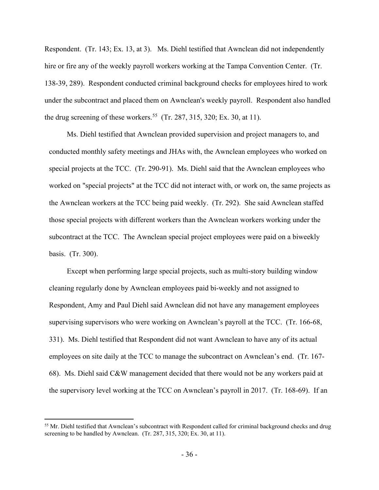Respondent. (Tr. 143; Ex. 13, at 3). Ms. Diehl testified that Awnclean did not independently hire or fire any of the weekly payroll workers working at the Tampa Convention Center. (Tr. 138-39, 289). Respondent conducted criminal background checks for employees hired to work under the subcontract and placed them on Awnclean's weekly payroll. Respondent also handled the drug screening of these workers.<sup>[55](#page-35-0)</sup> (Tr. 287, 315, 320; Ex. 30, at 11).

Ms. Diehl testified that Awnclean provided supervision and project managers to, and conducted monthly safety meetings and JHAs with, the Awnclean employees who worked on special projects at the TCC. (Tr. 290-91). Ms. Diehl said that the Awnclean employees who worked on "special projects" at the TCC did not interact with, or work on, the same projects as the Awnclean workers at the TCC being paid weekly. (Tr. 292). She said Awnclean staffed those special projects with different workers than the Awnclean workers working under the subcontract at the TCC. The Awnclean special project employees were paid on a biweekly basis. (Tr. 300).

Except when performing large special projects, such as multi-story building window cleaning regularly done by Awnclean employees paid bi-weekly and not assigned to Respondent, Amy and Paul Diehl said Awnclean did not have any management employees supervising supervisors who were working on Awnclean's payroll at the TCC. (Tr. 166-68, 331). Ms. Diehl testified that Respondent did not want Awnclean to have any of its actual employees on site daily at the TCC to manage the subcontract on Awnclean's end. (Tr. 167- 68). Ms. Diehl said C&W management decided that there would not be any workers paid at the supervisory level working at the TCC on Awnclean's payroll in 2017. (Tr. 168-69). If an

<span id="page-35-0"></span><sup>&</sup>lt;sup>55</sup> Mr. Diehl testified that Awnclean's subcontract with Respondent called for criminal background checks and drug screening to be handled by Awnclean. (Tr. 287, 315, 320; Ex. 30, at 11).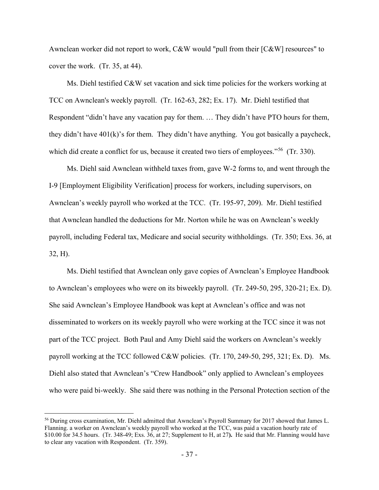Awnclean worker did not report to work, C&W would "pull from their [C&W] resources" to cover the work. (Tr. 35, at 44).

Ms. Diehl testified C&W set vacation and sick time policies for the workers working at TCC on Awnclean's weekly payroll. (Tr. 162-63, 282; Ex. 17). Mr. Diehl testified that Respondent "didn't have any vacation pay for them. … They didn't have PTO hours for them, they didn't have 401(k)'s for them. They didn't have anything. You got basically a paycheck, which did create a conflict for us, because it created two tiers of employees."<sup>[56](#page-36-0)</sup> (Tr. 330).

Ms. Diehl said Awnclean withheld taxes from, gave W-2 forms to, and went through the I-9 [Employment Eligibility Verification] process for workers, including supervisors, on Awnclean's weekly payroll who worked at the TCC. (Tr. 195-97, 209). Mr. Diehl testified that Awnclean handled the deductions for Mr. Norton while he was on Awnclean's weekly payroll, including Federal tax, Medicare and social security withholdings. (Tr. 350; Exs. 36, at 32, H).

Ms. Diehl testified that Awnclean only gave copies of Awnclean's Employee Handbook to Awnclean's employees who were on its biweekly payroll. (Tr. 249-50, 295, 320-21; Ex. D). She said Awnclean's Employee Handbook was kept at Awnclean's office and was not disseminated to workers on its weekly payroll who were working at the TCC since it was not part of the TCC project. Both Paul and Amy Diehl said the workers on Awnclean's weekly payroll working at the TCC followed C&W policies. (Tr. 170, 249-50, 295, 321; Ex. D). Ms. Diehl also stated that Awnclean's "Crew Handbook" only applied to Awnclean's employees who were paid bi-weekly. She said there was nothing in the Personal Protection section of the

<span id="page-36-0"></span><sup>56</sup> During cross examination, Mr. Diehl admitted that Awnclean's Payroll Summary for 2017 showed that James L. Flanning. a worker on Awnclean's weekly payroll who worked at the TCC, was paid a vacation hourly rate of \$10.00 for 34.5 hours. (Tr. 348-49; Exs. 36, at 27; Supplement to H, at 27**).** He said that Mr. Flanning would have to clear any vacation with Respondent. (Tr. 359).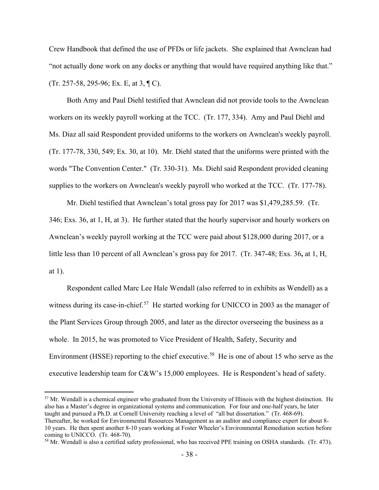Crew Handbook that defined the use of PFDs or life jackets. She explained that Awnclean had "not actually done work on any docks or anything that would have required anything like that." (Tr. 257-58, 295-96; Ex. E, at 3, ¶ C).

Both Amy and Paul Diehl testified that Awnclean did not provide tools to the Awnclean workers on its weekly payroll working at the TCC. (Tr. 177, 334). Amy and Paul Diehl and Ms. Diaz all said Respondent provided uniforms to the workers on Awnclean's weekly payroll. (Tr. 177-78, 330, 549; Ex. 30, at 10). Mr. Diehl stated that the uniforms were printed with the words "The Convention Center." (Tr. 330-31). Ms. Diehl said Respondent provided cleaning supplies to the workers on Awnclean's weekly payroll who worked at the TCC. (Tr. 177-78).

Mr. Diehl testified that Awnclean's total gross pay for 2017 was \$1,479,285.59. (Tr. 346; Exs. 36, at 1, H, at 3). He further stated that the hourly supervisor and hourly workers on Awnclean's weekly payroll working at the TCC were paid about \$128,000 during 2017, or a little less than 10 percent of all Awnclean's gross pay for 2017. (Tr. 347-48; Exs. 36**,** at 1, H, at 1).

Respondent called Marc Lee Hale Wendall (also referred to in exhibits as Wendell) as a witness during its case-in-chief.<sup>[57](#page-37-0)</sup> He started working for UNICCO in 2003 as the manager of the Plant Services Group through 2005, and later as the director overseeing the business as a whole. In 2015, he was promoted to Vice President of Health, Safety, Security and Environment (HSSE) reporting to the chief executive.<sup>58</sup> He is one of about 15 who serve as the executive leadership team for C&W's 15,000 employees. He is Respondent's head of safety.

<span id="page-37-0"></span><sup>57</sup> Mr. Wendall is a chemical engineer who graduated from the University of Illinois with the highest distinction. He also has a Master's degree in organizational systems and communication. For four and one-half years, he later taught and pursued a Ph.D. at Cornell University reaching a level of "all but dissertation." (Tr. 468-69). Thereafter, he worked for Environmental Resources Management as an auditor and compliance expert for about 8-

<sup>10</sup> years. He then spent another 8-10 years working at Foster Wheeler's Environmental Remediation section before coming to UNICCO. (Tr. 468-70).

<span id="page-37-1"></span><sup>&</sup>lt;sup>58</sup> Mr. Wendall is also a certified safety professional, who has received PPE training on OSHA standards. (Tr. 473).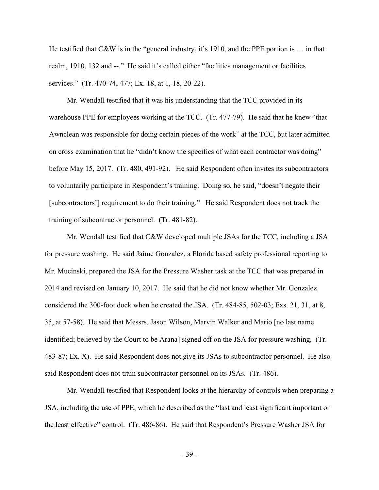He testified that C&W is in the "general industry, it's 1910, and the PPE portion is ... in that realm, 1910, 132 and --." He said it's called either "facilities management or facilities services." (Tr. 470-74, 477; Ex. 18, at 1, 18, 20-22).

Mr. Wendall testified that it was his understanding that the TCC provided in its warehouse PPE for employees working at the TCC. (Tr. 477-79). He said that he knew "that Awnclean was responsible for doing certain pieces of the work" at the TCC, but later admitted on cross examination that he "didn't know the specifics of what each contractor was doing" before May 15, 2017. (Tr. 480, 491-92). He said Respondent often invites its subcontractors to voluntarily participate in Respondent's training. Doing so, he said, "doesn't negate their [subcontractors'] requirement to do their training." He said Respondent does not track the training of subcontractor personnel. (Tr. 481-82).

Mr. Wendall testified that C&W developed multiple JSAs for the TCC, including a JSA for pressure washing. He said Jaime Gonzalez, a Florida based safety professional reporting to Mr. Mucinski, prepared the JSA for the Pressure Washer task at the TCC that was prepared in 2014 and revised on January 10, 2017. He said that he did not know whether Mr. Gonzalez considered the 300-foot dock when he created the JSA. (Tr. 484-85, 502-03; Exs. 21, 31, at 8, 35, at 57-58). He said that Messrs. Jason Wilson, Marvin Walker and Mario [no last name identified; believed by the Court to be Arana] signed off on the JSA for pressure washing. (Tr. 483-87; Ex. X). He said Respondent does not give its JSAs to subcontractor personnel. He also said Respondent does not train subcontractor personnel on its JSAs. (Tr. 486).

Mr. Wendall testified that Respondent looks at the hierarchy of controls when preparing a JSA, including the use of PPE, which he described as the "last and least significant important or the least effective" control. (Tr. 486-86). He said that Respondent's Pressure Washer JSA for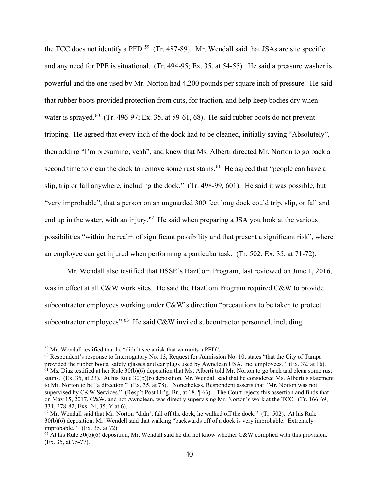the TCC does not identify a PFD.<sup>59</sup> (Tr. 487-89). Mr. Wendall said that JSAs are site specific and any need for PPE is situational. (Tr. 494-95; Ex. 35, at 54-55). He said a pressure washer is powerful and the one used by Mr. Norton had 4,200 pounds per square inch of pressure. He said that rubber boots provided protection from cuts, for traction, and help keep bodies dry when water is sprayed.<sup>60</sup> (Tr. 496-97; Ex. 35, at 59-61, 68). He said rubber boots do not prevent tripping. He agreed that every inch of the dock had to be cleaned, initially saying "Absolutely", then adding "I'm presuming, yeah", and knew that Ms. Alberti directed Mr. Norton to go back a second time to clean the dock to remove some rust stains.<sup>61</sup> He agreed that "people can have a slip, trip or fall anywhere, including the dock." (Tr. 498-99, 601). He said it was possible, but "very improbable", that a person on an unguarded 300 feet long dock could trip, slip, or fall and end up in the water, with an injury.<sup>62</sup> He said when preparing a JSA you look at the various possibilities "within the realm of significant possibility and that present a significant risk", where an employee can get injured when performing a particular task. (Tr. 502; Ex. 35, at 71-72).

Mr. Wendall also testified that HSSE's HazCom Program, last reviewed on June 1, 2016, was in effect at all C&W work sites. He said the HazCom Program required C&W to provide subcontractor employees working under C&W's direction "precautions to be taken to protect subcontractor employees".<sup>63</sup> He said C&W invited subcontractor personnel, including

<span id="page-39-0"></span><sup>59</sup> Mr. Wendall testified that he "didn't see a risk that warrants a PFD".

<span id="page-39-2"></span><span id="page-39-1"></span><sup>&</sup>lt;sup>60</sup> Respondent's response to Interrogatory No. 13, Request for Admission No. 10, states "that the City of Tampa provided the rubber boots, safety glasses and ear plugs used by Awnclean USA, Inc. employees." (Ex. 32, at 16).  $\frac{61}{10}$  Ms. Diaz testified at her Rule 30(b)(6) deposition that Ms. Alberti told Mr. Norton to go back and clean some rust stains. (Ex. 35, at 23). At his Rule 30(b)(6) deposition, Mr. Wendall said that he considered Ms. Alberti's statement to Mr. Norton to be "a direction." (Ex. 35, at 78). Nonetheless, Respondent asserts that "Mr. Norton was not supervised by C&W Services." (Resp't Post Hr'g. Br., at 18, ¶ 63). The Court rejects this assertion and finds that on May 15, 2017, C&W, and not Awnclean, was directly supervising Mr. Norton's work at the TCC. (Tr. 166-69, 331, 378-82; Exs. 24, 35, Y at 6).

<span id="page-39-3"></span> $62$  Mr. Wendall said that Mr. Norton "didn't fall off the dock, he walked off the dock." (Tr. 502). At his Rule 30(b)(6) deposition, Mr. Wendell said that walking "backwards off of a dock is very improbable. Extremely improbable." (Ex. 35, at 72).

<span id="page-39-4"></span> $63$  At his Rule 30(b)(6) deposition, Mr. Wendall said he did not know whether C&W complied with this provision. (Ex. 35, at 75-77).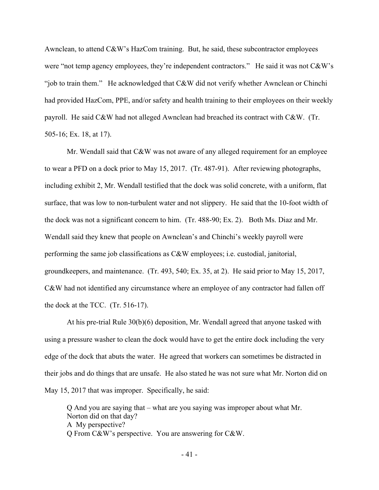Awnclean, to attend C&W's HazCom training. But, he said, these subcontractor employees were "not temp agency employees, they're independent contractors." He said it was not C&W's "job to train them." He acknowledged that C&W did not verify whether Awnclean or Chinchi had provided HazCom, PPE, and/or safety and health training to their employees on their weekly payroll. He said C&W had not alleged Awnclean had breached its contract with C&W. (Tr. 505-16; Ex. 18, at 17).

Mr. Wendall said that C&W was not aware of any alleged requirement for an employee to wear a PFD on a dock prior to May 15, 2017. (Tr. 487-91). After reviewing photographs, including exhibit 2, Mr. Wendall testified that the dock was solid concrete, with a uniform, flat surface, that was low to non-turbulent water and not slippery. He said that the 10-foot width of the dock was not a significant concern to him. (Tr. 488-90; Ex. 2). Both Ms. Diaz and Mr. Wendall said they knew that people on Awnclean's and Chinchi's weekly payroll were performing the same job classifications as C&W employees; i.e. custodial, janitorial, groundkeepers, and maintenance. (Tr. 493, 540; Ex. 35, at 2). He said prior to May 15, 2017, C&W had not identified any circumstance where an employee of any contractor had fallen off the dock at the TCC. (Tr. 516-17).

At his pre-trial Rule 30(b)(6) deposition, Mr. Wendall agreed that anyone tasked with using a pressure washer to clean the dock would have to get the entire dock including the very edge of the dock that abuts the water. He agreed that workers can sometimes be distracted in their jobs and do things that are unsafe. He also stated he was not sure what Mr. Norton did on May 15, 2017 that was improper. Specifically, he said:

Q And you are saying that – what are you saying was improper about what Mr. Norton did on that day? A My perspective? Q From C&W's perspective. You are answering for C&W.

- 41 -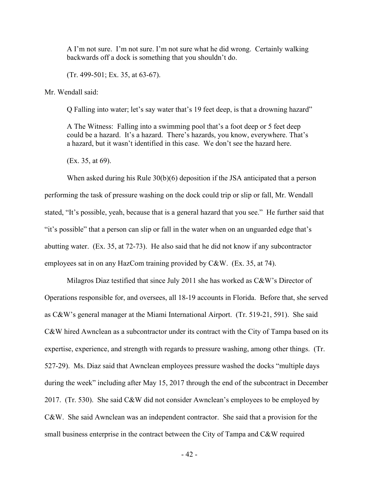A I'm not sure. I'm not sure. I'm not sure what he did wrong. Certainly walking backwards off a dock is something that you shouldn't do.

(Tr. 499-501; Ex. 35, at 63-67).

Mr. Wendall said:

Q Falling into water; let's say water that's 19 feet deep, is that a drowning hazard"

A The Witness: Falling into a swimming pool that's a foot deep or 5 feet deep could be a hazard. It's a hazard. There's hazards, you know, everywhere. That's a hazard, but it wasn't identified in this case. We don't see the hazard here.

(Ex. 35, at 69).

When asked during his Rule 30(b)(6) deposition if the JSA anticipated that a person performing the task of pressure washing on the dock could trip or slip or fall, Mr. Wendall stated, "It's possible, yeah, because that is a general hazard that you see." He further said that "it's possible" that a person can slip or fall in the water when on an unguarded edge that's abutting water. (Ex. 35, at 72-73). He also said that he did not know if any subcontractor employees sat in on any HazCom training provided by C&W. (Ex. 35, at 74).

Milagros Diaz testified that since July 2011 she has worked as C&W's Director of Operations responsible for, and oversees, all 18-19 accounts in Florida. Before that, she served as C&W's general manager at the Miami International Airport. (Tr. 519-21, 591). She said C&W hired Awnclean as a subcontractor under its contract with the City of Tampa based on its expertise, experience, and strength with regards to pressure washing, among other things. (Tr. 527-29). Ms. Diaz said that Awnclean employees pressure washed the docks "multiple days during the week" including after May 15, 2017 through the end of the subcontract in December 2017. (Tr. 530). She said C&W did not consider Awnclean's employees to be employed by C&W. She said Awnclean was an independent contractor. She said that a provision for the small business enterprise in the contract between the City of Tampa and C&W required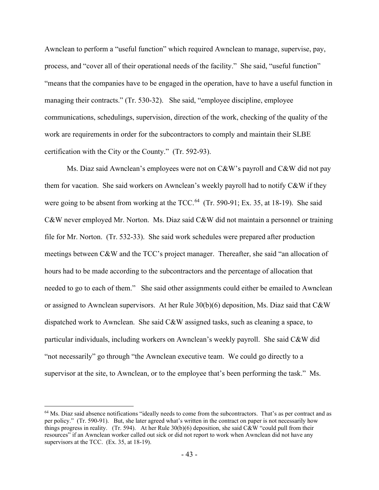Awnclean to perform a "useful function" which required Awnclean to manage, supervise, pay, process, and "cover all of their operational needs of the facility." She said, "useful function" "means that the companies have to be engaged in the operation, have to have a useful function in managing their contracts." (Tr. 530-32). She said, "employee discipline, employee communications, schedulings, supervision, direction of the work, checking of the quality of the work are requirements in order for the subcontractors to comply and maintain their SLBE certification with the City or the County." (Tr. 592-93).

Ms. Diaz said Awnclean's employees were not on  $C\&W$ 's payroll and  $C\&W$  did not pay them for vacation. She said workers on Awnclean's weekly payroll had to notify C&W if they were going to be absent from working at the  $TCC<sup>64</sup>$  (Tr. 590-91; Ex. 35, at 18-19). She said C&W never employed Mr. Norton. Ms. Diaz said C&W did not maintain a personnel or training file for Mr. Norton. (Tr. 532-33). She said work schedules were prepared after production meetings between C&W and the TCC's project manager. Thereafter, she said "an allocation of hours had to be made according to the subcontractors and the percentage of allocation that needed to go to each of them." She said other assignments could either be emailed to Awnclean or assigned to Awnclean supervisors. At her Rule  $30(b)(6)$  deposition, Ms. Diaz said that C&W dispatched work to Awnclean. She said C&W assigned tasks, such as cleaning a space, to particular individuals, including workers on Awnclean's weekly payroll. She said C&W did "not necessarily" go through "the Awnclean executive team. We could go directly to a supervisor at the site, to Awnclean, or to the employee that's been performing the task." Ms.

<span id="page-42-0"></span> $64$  Ms. Diaz said absence notifications "ideally needs to come from the subcontractors. That's as per contract and as per policy." (Tr. 590-91). But, she later agreed what's written in the contract on paper is not necessarily how things progress in reality. (Tr. 594). At her Rule  $30(b)(6)$  deposition, she said C&W "could pull from their resources" if an Awnclean worker called out sick or did not report to work when Awnclean did not have any supervisors at the TCC. (Ex. 35, at 18-19).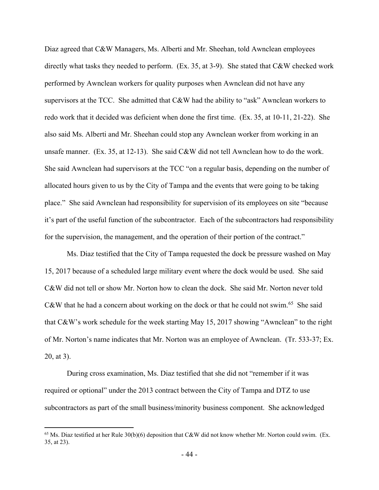Diaz agreed that C&W Managers, Ms. Alberti and Mr. Sheehan, told Awnclean employees directly what tasks they needed to perform. (Ex. 35, at 3-9). She stated that C&W checked work performed by Awnclean workers for quality purposes when Awnclean did not have any supervisors at the TCC. She admitted that C&W had the ability to "ask" Awnclean workers to redo work that it decided was deficient when done the first time. (Ex. 35, at 10-11, 21-22). She also said Ms. Alberti and Mr. Sheehan could stop any Awnclean worker from working in an unsafe manner. (Ex. 35, at 12-13). She said C&W did not tell Awnclean how to do the work. She said Awnclean had supervisors at the TCC "on a regular basis, depending on the number of allocated hours given to us by the City of Tampa and the events that were going to be taking place." She said Awnclean had responsibility for supervision of its employees on site "because it's part of the useful function of the subcontractor. Each of the subcontractors had responsibility for the supervision, the management, and the operation of their portion of the contract."

Ms. Diaz testified that the City of Tampa requested the dock be pressure washed on May 15, 2017 because of a scheduled large military event where the dock would be used. She said C&W did not tell or show Mr. Norton how to clean the dock. She said Mr. Norton never told C&W that he had a concern about working on the dock or that he could not swim.<sup>[65](#page-43-0)</sup> She said that C&W's work schedule for the week starting May 15, 2017 showing "Awnclean" to the right of Mr. Norton's name indicates that Mr. Norton was an employee of Awnclean. (Tr. 533-37; Ex. 20, at 3).

During cross examination, Ms. Diaz testified that she did not "remember if it was required or optional" under the 2013 contract between the City of Tampa and DTZ to use subcontractors as part of the small business/minority business component. She acknowledged

<span id="page-43-0"></span><sup>&</sup>lt;sup>65</sup> Ms. Diaz testified at her Rule  $30(b)(6)$  deposition that C&W did not know whether Mr. Norton could swim. (Ex. 35, at 23).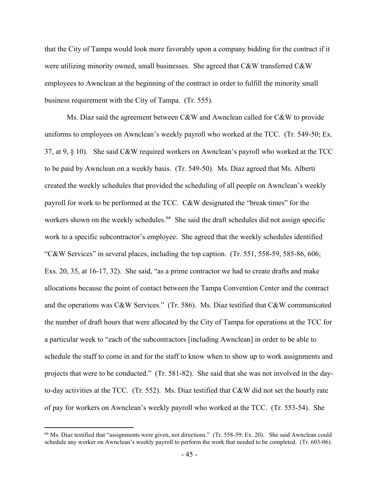that the City of Tampa would look more favorably upon a company bidding for the contract if it were utilizing minority owned, small businesses. She agreed that C&W transferred C&W employees to Awnclean at the beginning of the contract in order to fulfill the minority small business requirement with the City of Tampa. (Tr. 555).

Ms. Diaz said the agreement between C&W and Awnclean called for C&W to provide uniforms to employees on Awnclean's weekly payroll who worked at the TCC. (Tr. 549-50; Ex. 37, at 9, § 10). She said C&W required workers on Awnclean's payroll who worked at the TCC to be paid by Awnclean on a weekly basis. (Tr. 549-50). Ms. Diaz agreed that Ms. Alberti created the weekly schedules that provided the scheduling of all people on Awnclean's weekly payroll for work to be performed at the TCC. C&W designated the "break times" for the workers shown on the weekly schedules.<sup>[66](#page-44-0)</sup> She said the draft schedules did not assign specific work to a specific subcontractor's employee. She agreed that the weekly schedules identified "C&W Services" in several places, including the top caption. (Tr. 551, 558-59, 585-86, 606; Exs. 20, 35, at 16-17, 32). She said, "as a prime contractor we had to create drafts and make allocations because the point of contact between the Tampa Convention Center and the contract and the operations was C&W Services." (Tr. 586). Ms. Diaz testified that C&W communicated the number of draft hours that were allocated by the City of Tampa for operations at the TCC for a particular week to "each of the subcontractors [including Awnclean] in order to be able to schedule the staff to come in and for the staff to know when to show up to work assignments and projects that were to be conducted." (Tr. 581-82). She said that she was not involved in the dayto-day activities at the TCC. (Tr. 552). Ms. Diaz testified that C&W did not set the hourly rate of pay for workers on Awnclean's weekly payroll who worked at the TCC. (Tr. 553-54). She

<span id="page-44-0"></span><sup>&</sup>lt;sup>66</sup> Ms. Diaz testified that "assignments were given, not directions." (Tr. 558-59; Ex. 20). She said Awnclean could schedule any worker on Awnclean's weekly payroll to perform the work that needed to be completed. (Tr. 603-06).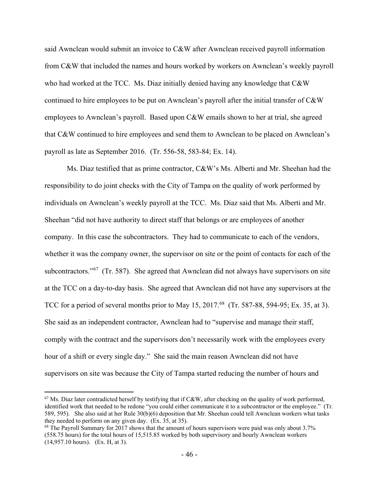said Awnclean would submit an invoice to C&W after Awnclean received payroll information from C&W that included the names and hours worked by workers on Awnclean's weekly payroll who had worked at the TCC. Ms. Diaz initially denied having any knowledge that C&W continued to hire employees to be put on Awnclean's payroll after the initial transfer of C&W employees to Awnclean's payroll. Based upon C&W emails shown to her at trial, she agreed that C&W continued to hire employees and send them to Awnclean to be placed on Awnclean's payroll as late as September 2016. (Tr. 556-58, 583-84; Ex. 14).

Ms. Diaz testified that as prime contractor, C&W's Ms. Alberti and Mr. Sheehan had the responsibility to do joint checks with the City of Tampa on the quality of work performed by individuals on Awnclean's weekly payroll at the TCC. Ms. Diaz said that Ms. Alberti and Mr. Sheehan "did not have authority to direct staff that belongs or are employees of another company. In this case the subcontractors. They had to communicate to each of the vendors, whether it was the company owner, the supervisor on site or the point of contacts for each of the subcontractors."<sup>67</sup> (Tr. 587). She agreed that Awnclean did not always have supervisors on site at the TCC on a day-to-day basis. She agreed that Awnclean did not have any supervisors at the TCC for a period of several months prior to May 15, 2017.<sup>68</sup> (Tr. 587-88, 594-95; Ex. 35, at 3). She said as an independent contractor, Awnclean had to "supervise and manage their staff, comply with the contract and the supervisors don't necessarily work with the employees every hour of a shift or every single day." She said the main reason Awnclean did not have supervisors on site was because the City of Tampa started reducing the number of hours and

<span id="page-45-0"></span> $67$  Ms. Diaz later contradicted herself by testifying that if C&W, after checking on the quality of work performed, identified work that needed to be redone "you could either communicate it to a subcontractor or the employee." (Tr. 589, 595). She also said at her Rule 30(b)(6) deposition that Mr. Sheehan could tell Awnclean workers what tasks they needed to perform on any given day. (Ex. 35, at 35).

<span id="page-45-1"></span><sup>&</sup>lt;sup>68</sup> The Payroll Summary for 2017 shows that the amount of hours supervisors were paid was only about 3.7% (558.75 hours) for the total hours of 15,515.85 worked by both supervisory and hourly Awnclean workers (14,957.10 hours). (Ex. H, at 3).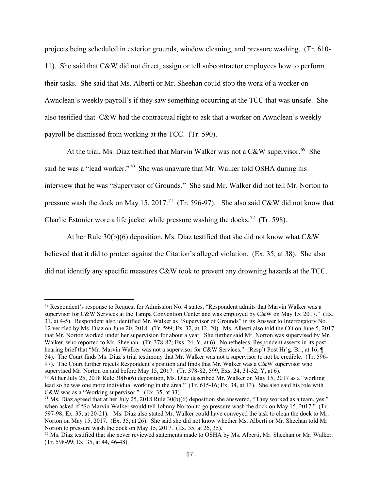projects being scheduled in exterior grounds, window cleaning, and pressure washing. (Tr. 610- 11). She said that C&W did not direct, assign or tell subcontractor employees how to perform their tasks. She said that Ms. Alberti or Mr. Sheehan could stop the work of a worker on Awnclean's weekly payroll's if they saw something occurring at the TCC that was unsafe. She also testified that C&W had the contractual right to ask that a worker on Awnclean's weekly payroll be dismissed from working at the TCC. (Tr. 590).

At the trial, Ms. Diaz testified that Marvin Walker was not a  $C&W$  supervisor.<sup>69</sup> She said he was a "lead worker."[70](#page-46-1) She was unaware that Mr. Walker told OSHA during his interview that he was "Supervisor of Grounds." She said Mr. Walker did not tell Mr. Norton to pressure wash the dock on May 15, 2017.<sup>[71](#page-46-2)</sup> (Tr. 596-97). She also said C&W did not know that Charlie Estonier wore a life jacket while pressure washing the docks.<sup>[72](#page-46-3)</sup> (Tr. 598).

At her Rule 30(b)(6) deposition, Ms. Diaz testified that she did not know what C&W believed that it did to protect against the Citation's alleged violation. (Ex. 35, at 38). She also did not identify any specific measures C&W took to prevent any drowning hazards at the TCC.

<span id="page-46-0"></span><sup>69</sup> Respondent's response to Request for Admission No. 4 states, "Respondent admits that Marvin Walker was a supervisor for C&W Services at the Tampa Convention Center and was employed by C&W on May 15, 2017." (Ex. 31, at 4-5). Respondent also identified Mr. Walker as "Supervisor of Grounds" in its Answer to Interrogatory No. 12 verified by Ms. Diaz on June 20, 2018. (Tr. 599; Ex. 32, at 12, 20). Ms. Alberti also told the CO on June 5, 2017 that Mr. Norton worked under her supervision for about a year. She further said Mr. Norton was supervised by Mr. Walker, who reported to Mr. Sheehan. (Tr. 378-82; Exs. 24, Y, at 6). Nonetheless, Respondent asserts in its post hearing brief that "Mr. Marvin Walker was not a supervisor for C&W Services." (Resp't Post Hr'g. Br., at 16, ¶ 54). The Court finds Ms. Diaz's trial testimony that Mr. Walker was not a supervisor to not be credible. (Tr. 596- 97). The Court further rejects Respondent's position and finds that Mr. Walker was a C&W supervisor who supervised Mr. Norton on and before May 15, 2017. (Tr. 378-82, 599, Exs. 24, 31-32, Y, at 6).

<span id="page-46-1"></span> $70$  At her July 25, 2018 Rule 30(b)(6) deposition, Ms. Diaz described Mr. Walker on May 15, 2017 as a "working lead so he was one more individual working in the area." (Tr. 615-16; Ex. 34, at 13). She also said his role with C&W was as a "Working supervisor." (Ex. 35, at 33).

<span id="page-46-2"></span><sup>&</sup>lt;sup>71</sup> Ms. Diaz agreed that at her July 25, 2018 Rule  $30(b)(6)$  deposition she answered, "They worked as a team, yes." when asked if "So Marvin Walker would tell Johnny Norton to go pressure wash the dock on May 15, 2017." (Tr. 597-98; Ex. 35, at 20-21). Ms. Diaz also stated Mr. Walker could have conveyed the task to clean the dock to Mr. Norton on May 15, 2017. (Ex. 35, at 26). She said she did not know whether Ms. Alberti or Mr. Sheehan told Mr. Norton to pressure wash the dock on May 15, 2017. (Ex. 35, at 26, 35).

<span id="page-46-3"></span> $^{72}$  Ms. Diaz testified that she never reviewed statements made to OSHA by Ms. Alberti, Mr. Sheehan or Mr. Walker. (Tr. 598-99; Ex. 35, at 44, 46-48).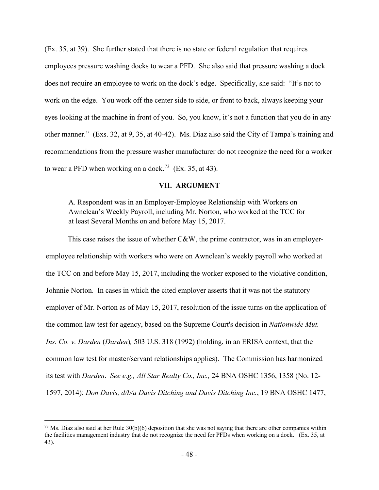(Ex. 35, at 39). She further stated that there is no state or federal regulation that requires employees pressure washing docks to wear a PFD. She also said that pressure washing a dock does not require an employee to work on the dock's edge. Specifically, she said: "It's not to work on the edge. You work off the center side to side, or front to back, always keeping your eyes looking at the machine in front of you. So, you know, it's not a function that you do in any other manner." (Exs. 32, at 9, 35, at 40-42). Ms. Diaz also said the City of Tampa's training and recommendations from the pressure washer manufacturer do not recognize the need for a worker to wear a PFD when working on a dock.<sup>[73](#page-47-0)</sup> (Ex. 35, at 43).

## **VII. ARGUMENT**

A. Respondent was in an Employer-Employee Relationship with Workers on Awnclean's Weekly Payroll, including Mr. Norton, who worked at the TCC for at least Several Months on and before May 15, 2017.

This case raises the issue of whether C&W, the prime contractor, was in an employeremployee relationship with workers who were on Awnclean's weekly payroll who worked at the TCC on and before May 15, 2017, including the worker exposed to the violative condition, Johnnie Norton. In cases in which the cited employer asserts that it was not the statutory employer of Mr. Norton as of May 15, 2017, resolution of the issue turns on the application of the common law test for agency, based on the Supreme Court's decision in *Nationwide Mut. Ins. Co. v. Darden* (*Darden*)*,* 503 U.S. 318 (1992) (holding, in an ERISA context, that the common law test for master/servant relationships applies). The Commission has harmonized its test with *Darden*. *See e.g., All Star Realty Co., Inc.,* 24 BNA OSHC 1356, 1358 (No. 12- 1597, 2014); *Don Davis, d/b/a Davis Ditching and Davis Ditching Inc.*, 19 BNA OSHC 1477,

<span id="page-47-0"></span><sup>&</sup>lt;sup>73</sup> Ms. Diaz also said at her Rule 30(b)(6) deposition that she was not saying that there are other companies within the facilities management industry that do not recognize the need for PFDs when working on a dock. (Ex. 35, at 43).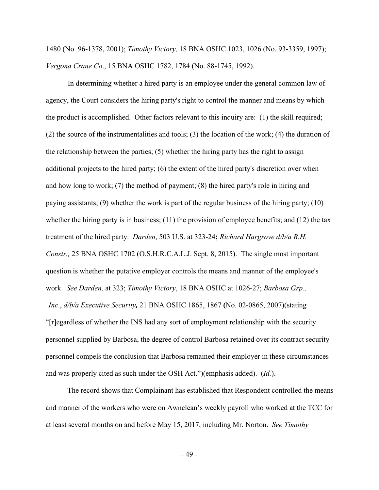1480 (No. 96-1378, 2001); *Timothy Victory,* 18 BNA OSHC 1023, 1026 (No. 93-3359, 1997); *Vergona Crane Co*., 15 BNA OSHC 1782, 1784 (No. 88-1745, 1992).

In determining whether a hired party is an employee under the general common law of agency, the Court considers the hiring party's right to control the manner and means by which the product is accomplished. Other factors relevant to this inquiry are: (1) the skill required; (2) the source of the instrumentalities and tools; (3) the location of the work; (4) the duration of the relationship between the parties; (5) whether the hiring party has the right to assign additional projects to the hired party; (6) the extent of the hired party's discretion over when and how long to work; (7) the method of payment; (8) the hired party's role in hiring and paying assistants; (9) whether the work is part of the regular business of the hiring party; (10) whether the hiring party is in business; (11) the provision of employee benefits; and (12) the tax treatment of the hired party. *Darden*, 503 U.S. at 323-24**;** *Richard Hargrove d/b/a R.H. Constr.,* 25 BNA OSHC 1702 (O.S.H.R.C.A.L.J. Sept. 8, 2015). The single most important question is whether the putative employer controls the means and manner of the employee's work. *See Darden,* at 323; *Timothy Victory*, 18 BNA OSHC at 1026-27; *Barbosa Grp., Inc*., *d/b/a Executive Security,* 21 BNA OSHC 1865, 1867 **(**No. 02-0865, 2007)(stating "[r]egardless of whether the INS had any sort of employment relationship with the security personnel supplied by Barbosa, the degree of control Barbosa retained over its contract security personnel compels the conclusion that Barbosa remained their employer in these circumstances and was properly cited as such under the OSH Act.")(emphasis added). (*Id.*).

The record shows that Complainant has established that Respondent controlled the means and manner of the workers who were on Awnclean's weekly payroll who worked at the TCC for at least several months on and before May 15, 2017, including Mr. Norton. *See Timothy* 

- 49 -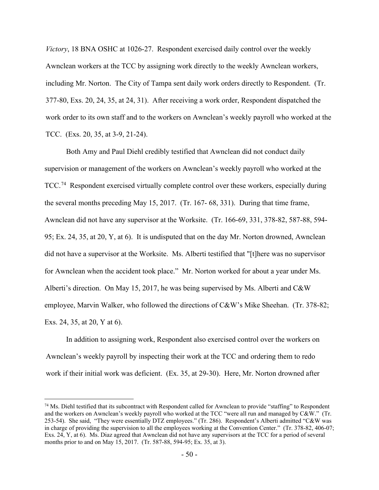*Victory*, 18 BNA OSHC at 1026-27. Respondent exercised daily control over the weekly Awnclean workers at the TCC by assigning work directly to the weekly Awnclean workers, including Mr. Norton. The City of Tampa sent daily work orders directly to Respondent. (Tr. 377-80, Exs. 20, 24, 35, at 24, 31). After receiving a work order, Respondent dispatched the work order to its own staff and to the workers on Awnclean's weekly payroll who worked at the TCC. (Exs. 20, 35, at 3-9, 21-24).

Both Amy and Paul Diehl credibly testified that Awnclean did not conduct daily supervision or management of the workers on Awnclean's weekly payroll who worked at the TCC.<sup>74</sup> Respondent exercised virtually complete control over these workers, especially during the several months preceding May 15, 2017. (Tr. 167- 68, 331). During that time frame, Awnclean did not have any supervisor at the Worksite. (Tr. 166-69, 331, 378-82, 587-88, 594- 95; Ex. 24, 35, at 20, Y, at 6). It is undisputed that on the day Mr. Norton drowned, Awnclean did not have a supervisor at the Worksite. Ms. Alberti testified that "[t]here was no supervisor for Awnclean when the accident took place." Mr. Norton worked for about a year under Ms. Alberti's direction. On May 15, 2017, he was being supervised by Ms. Alberti and C&W employee, Marvin Walker, who followed the directions of C&W's Mike Sheehan. (Tr. 378-82; Exs. 24, 35, at 20, Y at 6).

In addition to assigning work, Respondent also exercised control over the workers on Awnclean's weekly payroll by inspecting their work at the TCC and ordering them to redo work if their initial work was deficient. (Ex. 35, at 29-30). Here, Mr. Norton drowned after

<span id="page-49-0"></span> $74$  Ms. Diehl testified that its subcontract with Respondent called for Awnclean to provide "staffing" to Respondent and the workers on Awnclean's weekly payroll who worked at the TCC "were all run and managed by C&W." (Tr. 253-54). She said, "They were essentially DTZ employees." (Tr. 286). Respondent's Alberti admitted "C&W was in charge of providing the supervision to all the employees working at the Convention Center." (Tr. 378-82, 406-07; Exs. 24, Y, at 6). Ms. Diaz agreed that Awnclean did not have any supervisors at the TCC for a period of several months prior to and on May 15, 2017. (Tr. 587-88, 594-95; Ex. 35, at 3).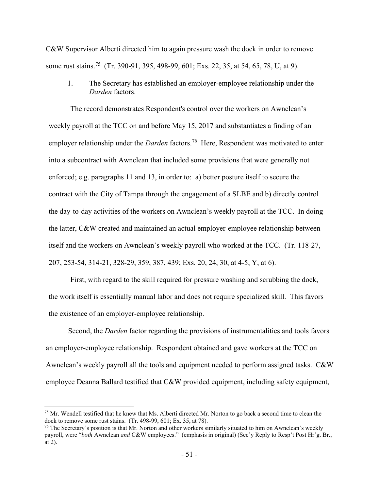C&W Supervisor Alberti directed him to again pressure wash the dock in order to remove some rust stains.<sup>[75](#page-50-0)</sup> (Tr. 390-91, 395, 498-99, 601; Exs. 22, 35, at 54, 65, 78, U, at 9).

1. The Secretary has established an employer-employee relationship under the *Darden* factors.

The record demonstrates Respondent's control over the workers on Awnclean's weekly payroll at the TCC on and before May 15, 2017 and substantiates a finding of an employer relationship under the *Darden* factors.<sup>76</sup> Here, Respondent was motivated to enter into a subcontract with Awnclean that included some provisions that were generally not enforced; e.g. paragraphs 11 and 13, in order to: a) better posture itself to secure the contract with the City of Tampa through the engagement of a SLBE and b) directly control the day-to-day activities of the workers on Awnclean's weekly payroll at the TCC. In doing the latter, C&W created and maintained an actual employer-employee relationship between itself and the workers on Awnclean's weekly payroll who worked at the TCC. (Tr. 118-27, 207, 253-54, 314-21, 328-29, 359, 387, 439; Exs. 20, 24, 30, at 4-5, Y, at 6).

First, with regard to the skill required for pressure washing and scrubbing the dock, the work itself is essentially manual labor and does not require specialized skill. This favors the existence of an employer-employee relationship.

Second, the *Darden* factor regarding the provisions of instrumentalities and tools favors an employer-employee relationship. Respondent obtained and gave workers at the TCC on Awnclean's weekly payroll all the tools and equipment needed to perform assigned tasks. C&W employee Deanna Ballard testified that C&W provided equipment, including safety equipment,

<span id="page-50-0"></span> $75$  Mr. Wendell testified that he knew that Ms. Alberti directed Mr. Norton to go back a second time to clean the dock to remove some rust stains. (Tr. 498-99, 601; Ex. 35, at 78).

<span id="page-50-1"></span> $76$  The Secretary's position is that Mr. Norton and other workers similarly situated to him on Awnclean's weekly payroll, were "*both* Awnclean *and* C&W employees." (emphasis in original) (Sec'y Reply to Resp't Post Hr'g. Br., at 2).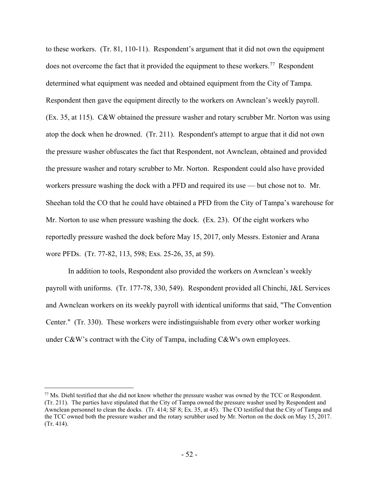to these workers. (Tr. 81, 110-11). Respondent's argument that it did not own the equipment does not overcome the fact that it provided the equipment to these workers.<sup>[77](#page-51-0)</sup> Respondent determined what equipment was needed and obtained equipment from the City of Tampa. Respondent then gave the equipment directly to the workers on Awnclean's weekly payroll. (Ex. 35, at 115). C&W obtained the pressure washer and rotary scrubber Mr. Norton was using atop the dock when he drowned. (Tr. 211). Respondent's attempt to argue that it did not own the pressure washer obfuscates the fact that Respondent, not Awnclean, obtained and provided the pressure washer and rotary scrubber to Mr. Norton. Respondent could also have provided workers pressure washing the dock with a PFD and required its use — but chose not to. Mr. Sheehan told the CO that he could have obtained a PFD from the City of Tampa's warehouse for Mr. Norton to use when pressure washing the dock. (Ex. 23). Of the eight workers who reportedly pressure washed the dock before May 15, 2017, only Messrs. Estonier and Arana wore PFDs. (Tr. 77-82, 113, 598; Exs. 25-26, 35, at 59).

In addition to tools, Respondent also provided the workers on Awnclean's weekly payroll with uniforms. (Tr. 177-78, 330, 549). Respondent provided all Chinchi, J&L Services and Awnclean workers on its weekly payroll with identical uniforms that said, "The Convention Center." (Tr. 330). These workers were indistinguishable from every other worker working under C&W's contract with the City of Tampa, including C&W's own employees.

<span id="page-51-0"></span><sup>77</sup> Ms. Diehl testified that she did not know whether the pressure washer was owned by the TCC or Respondent. (Tr. 211). The parties have stipulated that the City of Tampa owned the pressure washer used by Respondent and Awnclean personnel to clean the docks. (Tr. 414; SF 8; Ex. 35, at 45). The CO testified that the City of Tampa and the TCC owned both the pressure washer and the rotary scrubber used by Mr. Norton on the dock on May 15, 2017. (Tr. 414).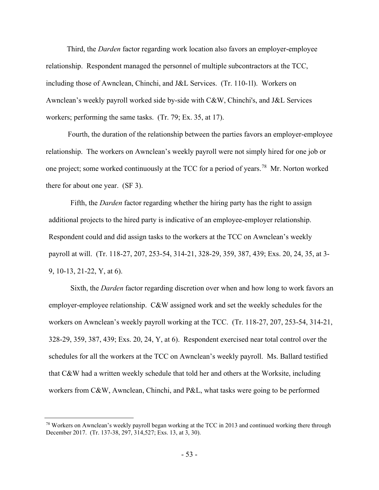Third, the *Darden* factor regarding work location also favors an employer-employee relationship. Respondent managed the personnel of multiple subcontractors at the TCC, including those of Awnclean, Chinchi, and J&L Services. (Tr. 110-1l). Workers on Awnclean's weekly payroll worked side by-side with C&W, Chinchi's, and J&L Services workers; performing the same tasks. (Tr. 79; Ex. 35, at 17).

Fourth, the duration of the relationship between the parties favors an employer-employee relationship. The workers on Awnclean's weekly payroll were not simply hired for one job or one project; some worked continuously at the TCC for a period of years.[78](#page-52-0) Mr. Norton worked there for about one year. (SF 3).

Fifth, the *Darden* factor regarding whether the hiring party has the right to assign additional projects to the hired party is indicative of an employee-employer relationship. Respondent could and did assign tasks to the workers at the TCC on Awnclean's weekly payroll at will. (Tr. 118-27, 207, 253-54, 314-21, 328-29, 359, 387, 439; Exs. 20, 24, 35, at 3- 9, 10-13, 21-22, Y, at 6).

Sixth, the *Darden* factor regarding discretion over when and how long to work favors an employer-employee relationship. C&W assigned work and set the weekly schedules for the workers on Awnclean's weekly payroll working at the TCC. (Tr. 118-27, 207, 253-54, 314-21, 328-29, 359, 387, 439; Exs. 20, 24, Y, at 6). Respondent exercised near total control over the schedules for all the workers at the TCC on Awnclean's weekly payroll. Ms. Ballard testified that C&W had a written weekly schedule that told her and others at the Worksite, including workers from C&W, Awnclean, Chinchi, and P&L, what tasks were going to be performed

<span id="page-52-0"></span><sup>&</sup>lt;sup>78</sup> Workers on Awnclean's weekly payroll began working at the TCC in 2013 and continued working there through December 2017. (Tr. 137-38, 297, 314,527; Exs. 13, at 3, 30).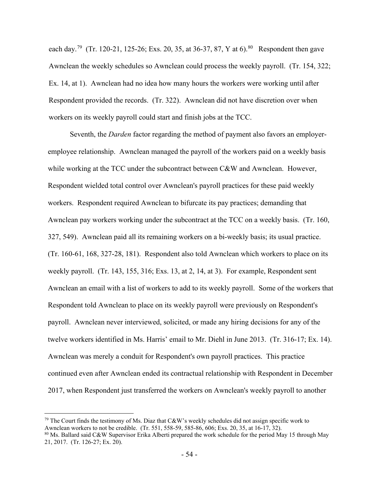each day.<sup>79</sup> (Tr. 120-21, 125-26; Exs. 20, 35, at 36-37, 87, Y at 6).<sup>80</sup> Respondent then gave Awnclean the weekly schedules so Awnclean could process the weekly payroll. (Tr. 154, 322; Ex. 14, at 1). Awnclean had no idea how many hours the workers were working until after Respondent provided the records. (Tr. 322). Awnclean did not have discretion over when workers on its weekly payroll could start and finish jobs at the TCC.

Seventh, the *Darden* factor regarding the method of payment also favors an employeremployee relationship. Awnclean managed the payroll of the workers paid on a weekly basis while working at the TCC under the subcontract between C&W and Awnclean. However, Respondent wielded total control over Awnclean's payroll practices for these paid weekly workers. Respondent required Awnclean to bifurcate its pay practices; demanding that Awnclean pay workers working under the subcontract at the TCC on a weekly basis. (Tr. 160, 327, 549). Awnclean paid all its remaining workers on a bi-weekly basis; its usual practice. (Tr. 160-61, 168, 327-28, 181). Respondent also told Awnclean which workers to place on its weekly payroll. (Tr. 143, 155, 316; Exs. 13, at 2, 14, at 3). For example, Respondent sent Awnclean an email with a list of workers to add to its weekly payroll. Some of the workers that Respondent told Awnclean to place on its weekly payroll were previously on Respondent's payroll. Awnclean never interviewed, solicited, or made any hiring decisions for any of the twelve workers identified in Ms. Harris' email to Mr. Diehl in June 2013. (Tr. 316-17; Ex. 14). Awnclean was merely a conduit for Respondent's own payroll practices. This practice continued even after Awnclean ended its contractual relationship with Respondent in December 2017, when Respondent just transferred the workers on Awnclean's weekly payroll to another

<span id="page-53-0"></span><sup>&</sup>lt;sup>79</sup> The Court finds the testimony of Ms. Diaz that C&W's weekly schedules did not assign specific work to Awnclean workers to not be credible. (Tr. 551, 558-59, 585-86, 606; Exs. 20, 35, at 16-17, 32).

<span id="page-53-1"></span> $^{80}$  Ms. Ballard said C&W Supervisor Erika Alberti prepared the work schedule for the period May 15 through May 21, 2017. (Tr. 126-27; Ex. 20).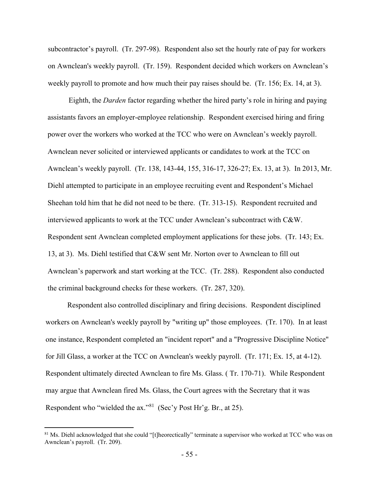subcontractor's payroll. (Tr. 297-98). Respondent also set the hourly rate of pay for workers on Awnclean's weekly payroll. (Tr. 159). Respondent decided which workers on Awnclean's weekly payroll to promote and how much their pay raises should be. (Tr. 156; Ex. 14, at 3).

 Eighth, the *Darden* factor regarding whether the hired party's role in hiring and paying assistants favors an employer-employee relationship. Respondent exercised hiring and firing power over the workers who worked at the TCC who were on Awnclean's weekly payroll. Awnclean never solicited or interviewed applicants or candidates to work at the TCC on Awnclean's weekly payroll. (Tr. 138, 143-44, 155, 316-17, 326-27; Ex. 13, at 3). In 2013, Mr. Diehl attempted to participate in an employee recruiting event and Respondent's Michael Sheehan told him that he did not need to be there. (Tr. 313-15). Respondent recruited and interviewed applicants to work at the TCC under Awnclean's subcontract with C&W. Respondent sent Awnclean completed employment applications for these jobs. (Tr. 143; Ex. 13, at 3). Ms. Diehl testified that C&W sent Mr. Norton over to Awnclean to fill out Awnclean's paperwork and start working at the TCC. (Tr. 288). Respondent also conducted the criminal background checks for these workers. (Tr. 287, 320).

Respondent also controlled disciplinary and firing decisions. Respondent disciplined workers on Awnclean's weekly payroll by "writing up" those employees. (Tr. 170). In at least one instance, Respondent completed an "incident report" and a "Progressive Discipline Notice" for Jill Glass, a worker at the TCC on Awnclean's weekly payroll. (Tr. 171; Ex. 15, at 4-12). Respondent ultimately directed Awnclean to fire Ms. Glass. ( Tr. 170-71). While Respondent may argue that Awnclean fired Ms. Glass, the Court agrees with the Secretary that it was Respondent who "wielded the ax."<sup>[81](#page-54-0)</sup> (Sec'y Post Hr'g. Br., at 25).

<span id="page-54-0"></span><sup>&</sup>lt;sup>81</sup> Ms. Diehl acknowledged that she could "[t]heorectically" terminate a supervisor who worked at TCC who was on Awnclean's payroll. (Tr. 209).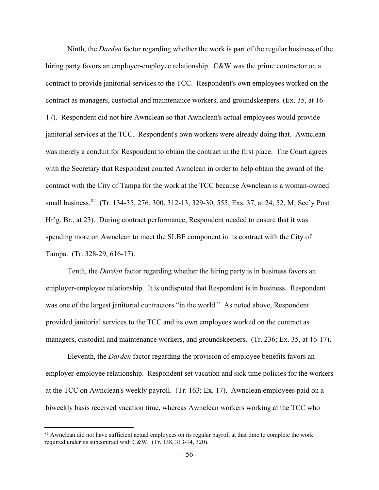Ninth, the *Darden* factor regarding whether the work is part of the regular business of the hiring party favors an employer-employee relationship. C&W was the prime contractor on a contract to provide janitorial services to the TCC. Respondent's own employees worked on the contract as managers, custodial and maintenance workers, and groundskeepers. (Ex. 35, at 16- 17). Respondent did not hire Awnclean so that Awnclean's actual employees would provide janitorial services at the TCC. Respondent's own workers were already doing that. Awnclean was merely a conduit for Respondent to obtain the contract in the first place. The Court agrees with the Secretary that Respondent courted Awnclean in order to help obtain the award of the contract with the City of Tampa for the work at the TCC because Awnclean is a woman-owned small business.<sup>82</sup> (Tr. 134-35, 276, 300, 312-13, 329-30, 555; Exs. 37, at 24, 52, M; Sec'y Post Hr'g. Br., at 23). During contract performance, Respondent needed to ensure that it was spending more on Awnclean to meet the SLBE component in its contract with the City of Tampa. (Tr. 328-29, 616-17).

Tenth, the *Darden* factor regarding whether the hiring party is in business favors an employer-employee relationship. It is undisputed that Respondent is in business. Respondent was one of the largest janitorial contractors "in the world." As noted above, Respondent provided janitorial services to the TCC and its own employees worked on the contract as managers, custodial and maintenance workers, and groundskeepers. (Tr. 236; Ex. 35, at 16-17).

Eleventh, the *Darden* factor regarding the provision of employee benefits favors an employer-employee relationship. Respondent set vacation and sick time policies for the workers at the TCC on Awnclean's weekly payroll. (Tr. 163; Ex. 17). Awnclean employees paid on a biweekly basis received vacation time, whereas Awnclean workers working at the TCC who

<span id="page-55-0"></span><sup>&</sup>lt;sup>82</sup> Awnclean did not have sufficient actual employees on its regular payroll at that time to complete the work required under its subcontract with C&W. (Tr. 138, 313-14, 320).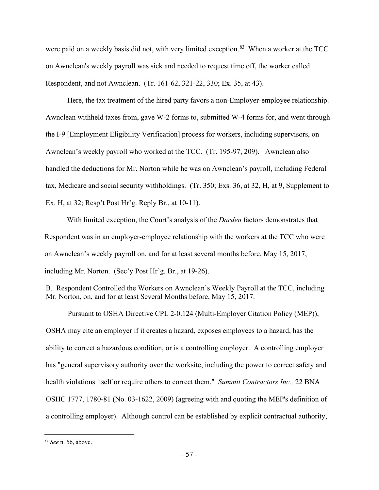were paid on a weekly basis did not, with very limited exception.<sup>[83](#page-56-0)</sup> When a worker at the TCC on Awnclean's weekly payroll was sick and needed to request time off, the worker called Respondent, and not Awnclean. (Tr. 161-62, 321-22, 330; Ex. 35, at 43).

Here, the tax treatment of the hired party favors a non-Employer-employee relationship. Awnclean withheld taxes from, gave W-2 forms to, submitted W-4 forms for, and went through the I-9 [Employment Eligibility Verification] process for workers, including supervisors, on Awnclean's weekly payroll who worked at the TCC. (Tr. 195-97, 209). Awnclean also handled the deductions for Mr. Norton while he was on Awnclean's payroll, including Federal tax, Medicare and social security withholdings. (Tr. 350; Exs. 36, at 32, H, at 9, Supplement to Ex. H, at 32; Resp't Post Hr'g. Reply Br., at 10-11).

With limited exception, the Court's analysis of the *Darden* factors demonstrates that Respondent was in an employer-employee relationship with the workers at the TCC who were on Awnclean's weekly payroll on, and for at least several months before, May 15, 2017, including Mr. Norton. (Sec'y Post Hr'g. Br., at 19-26).

B. Respondent Controlled the Workers on Awnclean's Weekly Payroll at the TCC, including Mr. Norton, on, and for at least Several Months before, May 15, 2017.

Pursuant to OSHA Directive CPL 2-0.124 (Multi-Employer Citation Policy (MEP)), OSHA may cite an employer if it creates a hazard, exposes employees to a hazard, has the ability to correct a hazardous condition, or is a controlling employer. A controlling employer has "general supervisory authority over the worksite, including the power to correct safety and health violations itself or require others to correct them." *Summit Contractors Inc.,* 22 BNA OSHC 1777, 1780-81 (No. 03-1622, 2009) (agreeing with and quoting the MEP's definition of a controlling employer). Although control can be established by explicit contractual authority,

<span id="page-56-0"></span><sup>83</sup> *See* n. 56, above.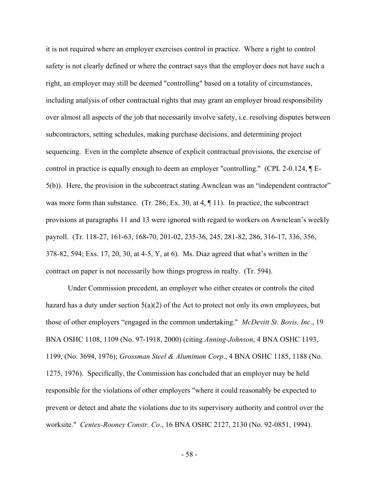it is not required where an employer exercises control in practice. Where a right to control safety is not clearly defined or where the contract says that the employer does not have such a right, an employer may still be deemed "controlling" based on a totality of circumstances, including analysis of other contractual rights that may grant an employer broad responsibility over almost all aspects of the job that necessarily involve safety, i.e. resolving disputes between subcontractors, setting schedules, making purchase decisions, and determining project sequencing. Even in the complete absence of explicit contractual provisions, the exercise of control in practice is equally enough to deem an employer "controlling." (CPL 2-0.124, ¶ E-5(b)). Here, the provision in the subcontract stating Awnclean was an "independent contractor" was more form than substance. (Tr. 286; Ex. 30, at 4,  $\P$  11). In practice, the subcontract provisions at paragraphs 11 and 13 were ignored with regard to workers on Awnclean's weekly payroll. (Tr. 118-27, 161-63, 168-70, 201-02, 235-36, 245, 281-82, 286, 316-17, 336, 356, 378-82, 594; Exs. 17, 20, 30, at 4-5, Y, at 6). Ms. Diaz agreed that what's written in the contract on paper is not necessarily how things progress in realty. (Tr. 594).

Under Commission precedent, an employer who either creates or controls the cited hazard has a duty under section  $5(a)(2)$  of the Act to protect not only its own employees, but those of other employers "engaged in the common undertaking." *McDevitt St. Bovis, Inc*., 19 BNA OSHC 1108, 1109 (No. 97-1918, 2000) (citing *Anning-Johnson*, 4 BNA OSHC 1193, 1199, (No. 3694, 1976); *Grossman Steel & Aluminum Corp*., 4 BNA OSHC 1185, 1188 (No. 1275, 1976). Specifically, the Commission has concluded that an employer may be held responsible for the violations of other employers "where it could reasonably be expected to prevent or detect and abate the violations due to its supervisory authority and control over the worksite." *Centex-Rooney Constr. Co*., 16 BNA OSHC 2127, 2130 (No. 92-0851, 1994).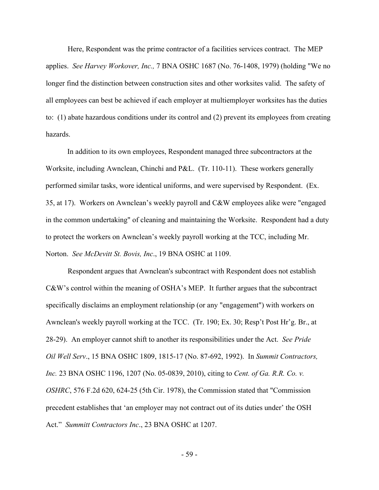Here, Respondent was the prime contractor of a facilities services contract. The MEP applies. *See Harvey Workover, Inc.,* 7 BNA OSHC 1687 (No. 76-1408, 1979) (holding "We no longer find the distinction between construction sites and other worksites valid. The safety of all employees can best be achieved if each employer at multiemployer worksites has the duties to: (1) abate hazardous conditions under its control and (2) prevent its employees from creating hazards.

In addition to its own employees, Respondent managed three subcontractors at the Worksite, including Awnclean, Chinchi and P&L. (Tr. 110-11). These workers generally performed similar tasks, wore identical uniforms, and were supervised by Respondent. (Ex. 35, at 17). Workers on Awnclean's weekly payroll and C&W employees alike were "engaged in the common undertaking" of cleaning and maintaining the Worksite. Respondent had a duty to protect the workers on Awnclean's weekly payroll working at the TCC, including Mr. Norton. *See McDevitt St. Bovis, Inc*., 19 BNA OSHC at 1109.

Respondent argues that Awnclean's subcontract with Respondent does not establish C&W's control within the meaning of OSHA's MEP. It further argues that the subcontract specifically disclaims an employment relationship (or any "engagement") with workers on Awnclean's weekly payroll working at the TCC. (Tr. 190; Ex. 30; Resp't Post Hr'g. Br., at 28-29). An employer cannot shift to another its responsibilities under the Act. *See Pride Oil Well Serv*., 15 BNA OSHC 1809, 1815-17 (No. 87-692, 1992). In *Summit Contractors, Inc.* 23 BNA OSHC 1196, 1207 (No. 05-0839, 2010), citing to *Cent. of Ga. R.R. Co. v. OSHRC*, 576 F.2d 620, 624-25 (5th Cir. 1978), the Commission stated that "Commission precedent establishes that 'an employer may not contract out of its duties under' the OSH Act." *Summitt Contractors Inc*., 23 BNA OSHC at 1207.

- 59 -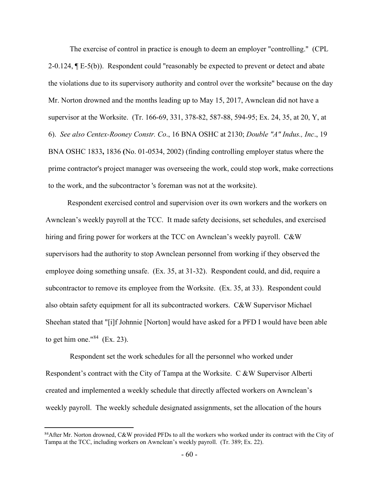The exercise of control in practice is enough to deem an employer "controlling." (CPL 2-0.124, ¶ E-5(b)). Respondent could "reasonably be expected to prevent or detect and abate the violations due to its supervisory authority and control over the worksite" because on the day Mr. Norton drowned and the months leading up to May 15, 2017, Awnclean did not have a supervisor at the Worksite. (Tr. 166-69, 331, 378-82, 587-88, 594-95; Ex. 24, 35, at 20, Y, at 6). *See also Centex-Rooney Constr. Co*., 16 BNA OSHC at 2130; *Double "A" Indus., Inc*., 19 BNA OSHC 1833**,** 1836 **(**No. 01-0534, 2002) (finding controlling employer status where the prime contractor's project manager was overseeing the work, could stop work, make corrections to the work, and the subcontractor 's foreman was not at the worksite).

Respondent exercised control and supervision over its own workers and the workers on Awnclean's weekly payroll at the TCC. It made safety decisions, set schedules, and exercised hiring and firing power for workers at the TCC on Awnclean's weekly payroll. C&W supervisors had the authority to stop Awnclean personnel from working if they observed the employee doing something unsafe. (Ex. 35, at 31-32). Respondent could, and did, require a subcontractor to remove its employee from the Worksite. (Ex. 35, at 33). Respondent could also obtain safety equipment for all its subcontracted workers. C&W Supervisor Michael Sheehan stated that "[i]f Johnnie [Norton] would have asked for a PFD I would have been able to get him one."<sup>[84](#page-59-0)</sup> (Ex. 23).

Respondent set the work schedules for all the personnel who worked under Respondent's contract with the City of Tampa at the Worksite. C &W Supervisor Alberti created and implemented a weekly schedule that directly affected workers on Awnclean's weekly payroll. The weekly schedule designated assignments, set the allocation of the hours

<span id="page-59-0"></span><sup>&</sup>lt;sup>84</sup>After Mr. Norton drowned, C&W provided PFDs to all the workers who worked under its contract with the City of Tampa at the TCC, including workers on Awnclean's weekly payroll. (Tr. 389; Ex. 22).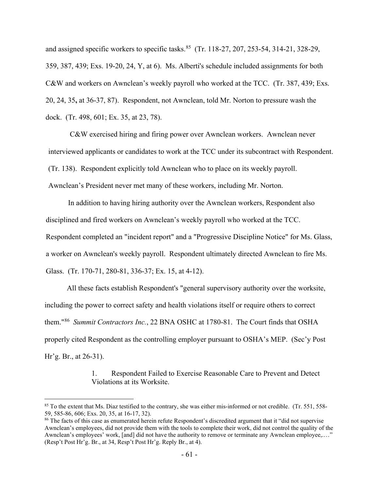and assigned specific workers to specific tasks.<sup>85</sup> (Tr. 118-27, 207, 253-54, 314-21, 328-29, 359, 387, 439; Exs. 19-20, 24, Y, at 6). Ms. Alberti's schedule included assignments for both C&W and workers on Awnclean's weekly payroll who worked at the TCC. (Tr. 387, 439; Exs. 20, 24, 35**,** at 36-37, 87). Respondent, not Awnclean, told Mr. Norton to pressure wash the dock. (Tr. 498, 601; Ex. 35, at 23, 78).

C&W exercised hiring and firing power over Awnclean workers. Awnclean never interviewed applicants or candidates to work at the TCC under its subcontract with Respondent. (Tr. 138). Respondent explicitly told Awnclean who to place on its weekly payroll. Awnclean's President never met many of these workers, including Mr. Norton.

In addition to having hiring authority over the Awnclean workers, Respondent also disciplined and fired workers on Awnclean's weekly payroll who worked at the TCC. Respondent completed an "incident report" and a "Progressive Discipline Notice" for Ms. Glass, a worker on Awnclean's weekly payroll. Respondent ultimately directed Awnclean to fire Ms. Glass. (Tr. 170-71, 280-81, 336-37; Ex. 15, at 4-12).

All these facts establish Respondent's "general supervisory authority over the worksite, including the power to correct safety and health violations itself or require others to correct them."[86](#page-60-1) *Summit Contractors Inc.*, 22 BNA OSHC at 1780-81. The Court finds that OSHA properly cited Respondent as the controlling employer pursuant to OSHA's MEP. (Sec'y Post Hr'g. Br., at 26-31).

> 1. Respondent Failed to Exercise Reasonable Care to Prevent and Detect Violations at its Worksite.

<span id="page-60-0"></span> $85$  To the extent that Ms. Diaz testified to the contrary, she was either mis-informed or not credible. (Tr. 551, 558-59, 585-86, 606; Exs. 20, 35, at 16-17, 32).

<span id="page-60-1"></span><sup>&</sup>lt;sup>86</sup> The facts of this case as enumerated herein refute Respondent's discredited argument that it "did not supervise Awnclean's employees, did not provide them with the tools to complete their work, did not control the quality of the Awnclean's employees' work, [and] did not have the authority to remove or terminate any Awnclean employee,.…" (Resp't Post Hr'g. Br., at 34, Resp't Post Hr'g. Reply Br., at 4).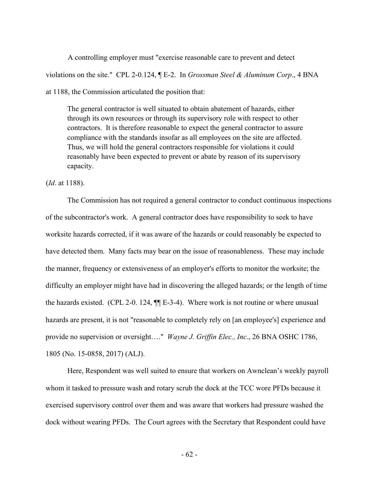A controlling employer must "exercise reasonable care to prevent and detect violations on the site." CPL 2-0.124, ¶ E-2. In *Grossman Steel & Aluminum Corp*., 4 BNA at 1188, the Commission articulated the position that:

The general contractor is well situated to obtain abatement of hazards, either through its own resources or through its supervisory role with respect to other contractors. It is therefore reasonable to expect the general contractor to assure compliance with the standards insofar as all employees on the site are affected. Thus, we will hold the general contractors responsible for violations it could reasonably have been expected to prevent or abate by reason of its supervisory capacity.

(*Id*. at 1188).

The Commission has not required a general contractor to conduct continuous inspections of the subcontractor's work. A general contractor does have responsibility to seek to have worksite hazards corrected, if it was aware of the hazards or could reasonably be expected to have detected them. Many facts may bear on the issue of reasonableness. These may include the manner, frequency or extensiveness of an employer's efforts to monitor the worksite; the difficulty an employer might have had in discovering the alleged hazards; or the length of time the hazards existed. (CPL 2-0. 124, ¶¶ E-3-4). Where work is not routine or where unusual hazards are present, it is not "reasonable to completely rely on [an employee's] experience and provide no supervision or oversight…." *Wayne J. Griffin Elec., Inc*., 26 BNA OSHC 1786, 1805 (No. 15-0858, 2017) (ALJ).

Here, Respondent was well suited to ensure that workers on Awnclean's weekly payroll whom it tasked to pressure wash and rotary scrub the dock at the TCC wore PFDs because it exercised supervisory control over them and was aware that workers had pressure washed the dock without wearing PFDs. The Court agrees with the Secretary that Respondent could have

- 62 -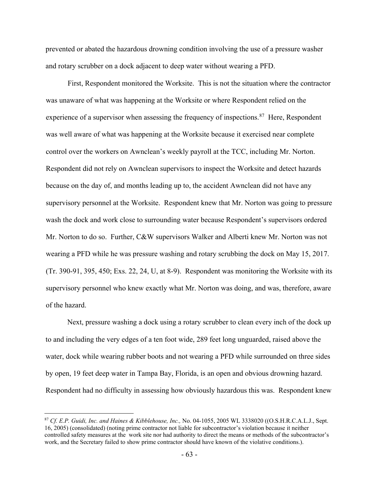prevented or abated the hazardous drowning condition involving the use of a pressure washer and rotary scrubber on a dock adjacent to deep water without wearing a PFD.

First, Respondent monitored the Worksite. This is not the situation where the contractor was unaware of what was happening at the Worksite or where Respondent relied on the experience of a supervisor when assessing the frequency of inspections.<sup>[87](#page-62-0)</sup> Here, Respondent was well aware of what was happening at the Worksite because it exercised near complete control over the workers on Awnclean's weekly payroll at the TCC, including Mr. Norton. Respondent did not rely on Awnclean supervisors to inspect the Worksite and detect hazards because on the day of, and months leading up to, the accident Awnclean did not have any supervisory personnel at the Worksite. Respondent knew that Mr. Norton was going to pressure wash the dock and work close to surrounding water because Respondent's supervisors ordered Mr. Norton to do so. Further, C&W supervisors Walker and Alberti knew Mr. Norton was not wearing a PFD while he was pressure washing and rotary scrubbing the dock on May 15, 2017. (Tr. 390-91, 395, 450; Exs. 22, 24, U, at 8-9). Respondent was monitoring the Worksite with its supervisory personnel who knew exactly what Mr. Norton was doing, and was, therefore, aware of the hazard.

Next, pressure washing a dock using a rotary scrubber to clean every inch of the dock up to and including the very edges of a ten foot wide, 289 feet long unguarded, raised above the water, dock while wearing rubber boots and not wearing a PFD while surrounded on three sides by open, 19 feet deep water in Tampa Bay, Florida, is an open and obvious drowning hazard. Respondent had no difficulty in assessing how obviously hazardous this was. Respondent knew

<span id="page-62-0"></span><sup>87</sup> *Cf. E.P. Guidi, Inc. and Haines & Kibblehouse, Inc.,* No. 04-1055, 2005 WL 3338020 ((O.S.H.R.C.A.L.J., Sept. 16, 2005) (consolidated) (noting prime contractor not liable for subcontractor's violation because it neither controlled safety measures at the work site nor had authority to direct the means or methods of the subcontractor's work, and the Secretary failed to show prime contractor should have known of the violative conditions.).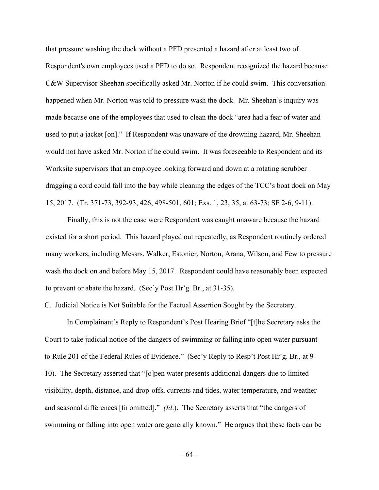that pressure washing the dock without a PFD presented a hazard after at least two of Respondent's own employees used a PFD to do so. Respondent recognized the hazard because C&W Supervisor Sheehan specifically asked Mr. Norton if he could swim. This conversation happened when Mr. Norton was told to pressure wash the dock. Mr. Sheehan's inquiry was made because one of the employees that used to clean the dock "area had a fear of water and used to put a jacket [on]." If Respondent was unaware of the drowning hazard, Mr. Sheehan would not have asked Mr. Norton if he could swim. It was foreseeable to Respondent and its Worksite supervisors that an employee looking forward and down at a rotating scrubber dragging a cord could fall into the bay while cleaning the edges of the TCC's boat dock on May 15, 2017. (Tr. 371-73, 392-93, 426, 498-501, 601; Exs. 1, 23, 35, at 63-73; SF 2-6, 9-11).

Finally, this is not the case were Respondent was caught unaware because the hazard existed for a short period. This hazard played out repeatedly, as Respondent routinely ordered many workers, including Messrs. Walker, Estonier, Norton, Arana, Wilson, and Few to pressure wash the dock on and before May 15, 2017. Respondent could have reasonably been expected to prevent or abate the hazard. (Sec'y Post Hr'g. Br., at 31-35).

C. Judicial Notice is Not Suitable for the Factual Assertion Sought by the Secretary.

 In Complainant's Reply to Respondent's Post Hearing Brief "[t]he Secretary asks the Court to take judicial notice of the dangers of swimming or falling into open water pursuant to Rule 201 of the Federal Rules of Evidence." (Sec'y Reply to Resp't Post Hr'g. Br., at 9- 10). The Secretary asserted that "[o]pen water presents additional dangers due to limited visibility, depth, distance, and drop-offs, currents and tides, water temperature, and weather and seasonal differences [fn omitted]." *(Id*.). The Secretary asserts that "the dangers of swimming or falling into open water are generally known." He argues that these facts can be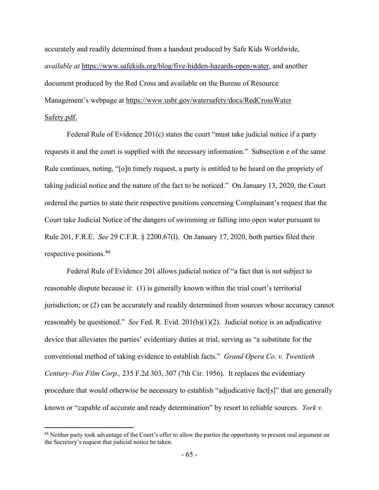accurately and readily determined from a handout produced by Safe Kids Worldwide, *available at* [https://www.safekids.org/blog/five-hidden-hazards-open-water,](https://www.safekids.org/blog/five-hidden-hazards-open-water) and another document produced by the Red Cross and available on the Bureau of Resource Management's webpage at [https://www.usbr.gov/watersafety/docs/RedCrossWater](https://www.usbr.gov/watersafety/docs/RedCrossWater%20Safety.pdf.)  [Safety.pdf.](https://www.usbr.gov/watersafety/docs/RedCrossWater%20Safety.pdf.)

Federal Rule of Evidence 201(c) states the court "must take judicial notice if a party requests it and the court is supplied with the necessary information." Subsection e of the same Rule continues, noting, "[o]n timely request, a party is entitled to be heard on the propriety of taking judicial notice and the nature of the fact to be noticed." On January 13, 2020, the Court ordered the parties to state their respective positions concerning Complainant's request that the Court take Judicial Notice of the dangers of swimming or falling into open water pursuant to Rule 201, F.R.E. *See* 29 C.F.R. § 2200.67(l). On January 17, 2020, both parties filed their respective positions.[88](#page-64-0) 

Federal Rule of Evidence 201 allows judicial notice of "a fact that is not subject to reasonable dispute because it: (1) is generally known within the trial court's territorial jurisdiction; or (2) can be accurately and readily determined from sources whose accuracy cannot reasonably be questioned." *See* Fed. R. Evid. 201(b)(1)(2). Judicial notice is an adjudicative device that alleviates the parties' evidentiary duties at trial, serving as "a substitute for the conventional method of taking evidence to establish facts." *[Grand Opera Co. v. Twentieth](http://www.westlaw.com/Link/Document/FullText?findType=Y&serNum=1956117085&pubNum=350&originatingDoc=I3e3f4d3f934611d9bdd1cfdd544ca3a4&refType=RP&fi=co_pp_sp_350_307&originationContext=document&vr=3.0&rs=cblt1.0&transitionType=DocumentItem&contextData=(sc.Search)#co_pp_sp_350_307)  Century–Fox Film Corp.,* [235 F.2d 303, 307 \(7th Cir. 1956\).](http://www.westlaw.com/Link/Document/FullText?findType=Y&serNum=1956117085&pubNum=350&originatingDoc=I3e3f4d3f934611d9bdd1cfdd544ca3a4&refType=RP&fi=co_pp_sp_350_307&originationContext=document&vr=3.0&rs=cblt1.0&transitionType=DocumentItem&contextData=(sc.Search)#co_pp_sp_350_307) It replaces the evidentiary procedure that would otherwise be necessary to establish "adjudicative fact[s]" that are generally known or "capable of accurate and ready determination" by resort to reliable sources. *York v.* 

<span id="page-64-0"></span><sup>88</sup> Neither party took advantage of the Court's offer to allow the parties the opportunity to present oral argument on the Secretary's request that judicial notice be taken.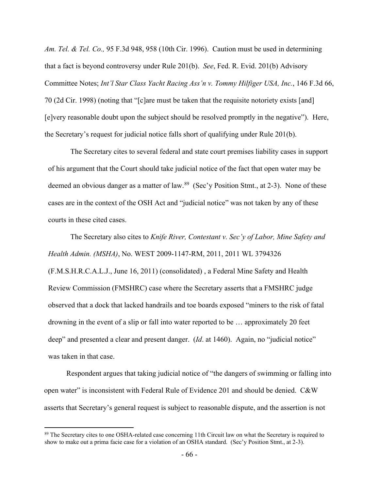*Am. Tel. & Tel. Co.,* 95 F.3d 948, 958 (10th Cir. 1996). Caution must be used in determining that a fact is beyond controversy under Rule 201(b). *See*, Fed. R. Evid. 201(b) Advisory Committee Notes; *Int'l Star Class Yacht Racing Ass'n v. Tommy Hilfiger USA, Inc.*, 146 F.3d 66, 70 (2d Cir. 1998) (noting that "[c]are must be taken that the requisite notoriety exists [and] [e]very reasonable doubt upon the subject should be resolved promptly in the negative"). Here, the Secretary's request for judicial notice falls short of qualifying under Rule 201(b).

The Secretary cites to several federal and state court premises liability cases in support of his argument that the Court should take judicial notice of the fact that open water may be deemed an obvious danger as a matter of law.<sup>89</sup> (Sec'y Position Stmt., at 2-3). None of these cases are in the context of the OSH Act and "judicial notice" was not taken by any of these courts in these cited cases.

The Secretary also cites to *Knife River, Contestant v. Sec'y of Labor, Mine Safety and Health Admin. (MSHA)*, No. WEST 2009-1147-RM, 2011, 2011 WL 3794326 (F.M.S.H.R.C.A.L.J., June 16, 2011) (consolidated) , a Federal Mine Safety and Health Review Commission (FMSHRC) case where the Secretary asserts that a FMSHRC judge observed that a dock that lacked handrails and toe boards exposed "miners to the risk of fatal drowning in the event of a slip or fall into water reported to be … approximately 20 feet deep" and presented a clear and present danger. (*Id.* at 1460). Again, no "judicial notice" was taken in that case.

Respondent argues that taking judicial notice of "the dangers of swimming or falling into open water" is inconsistent with Federal Rule of Evidence 201 and should be denied. C&W asserts that Secretary's general request is subject to reasonable dispute, and the assertion is not

<span id="page-65-0"></span><sup>&</sup>lt;sup>89</sup> The Secretary cites to one OSHA-related case concerning 11th Circuit law on what the Secretary is required to show to make out a prima facie case for a violation of an OSHA standard. (Sec'y Position Stmt., at 2-3).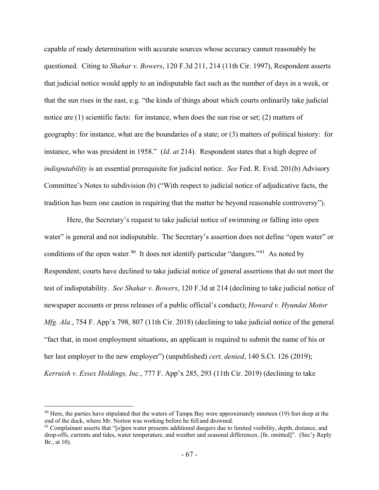capable of ready determination with accurate sources whose accuracy cannot reasonably be questioned. Citing to *Shahar v. Bowers*, 120 F.3d 211, 214 (11th Cir. 1997), Respondent asserts that judicial notice would apply to an indisputable fact such as the number of days in a week, or that the sun rises in the east, e.g. "the kinds of things about which courts ordinarily take judicial notice are (1) scientific facts: for instance, when does the sun rise or set; (2) matters of geography: for instance, what are the boundaries of a state; or (3) matters of political history: for instance, who was president in 1958."(*Id. at* 214). Respondent states that a high degree of *indisputability* is an essential prerequisite for judicial notice. *See* Fed. R. Evid. 201(b) Advisory Committee's Notes to subdivision (b) ("With respect to judicial notice of adjudicative facts, the tradition has been one caution in requiring that the matter be beyond reasonable controversy").

 Here, the Secretary's request to take judicial notice of swimming or falling into open water" is general and not indisputable. The Secretary's assertion does not define "open water" or conditions of the open water.<sup>[90](#page-66-0)</sup> It does not identify particular "dangers."<sup>91</sup> As noted by Respondent, courts have declined to take judicial notice of general assertions that do not meet the test of indisputability. *See Shahar v. Bowers*, 120 F.3d at 214 (declining to take judicial notice of newspaper accounts or press releases of a public official's conduct); *Howard v. Hyundai Motor Mfg. Ala.*, 754 F. App'x 798, 807 (11th Cir. 2018) (declining to take judicial notice of the general "fact that, in most employment situations, an applicant is required to submit the name of his or her last employer to the new employer") (unpublished) *cert. denied*, 140 S.Ct. 126 (2019); *Kerruish v. Essex Holdings, Inc.*, 777 F. App'x 285, 293 (11th Cir. 2019) (declining to take

<span id="page-66-0"></span> $90$  Here, the parties have stipulated that the waters of Tampa Bay were approximately nineteen (19) feet deep at the end of the dock, where Mr. Norton was working before he fell and drowned.

<span id="page-66-1"></span><sup>91</sup> Complainant asserts that "[o]pen water presents additional dangers due to limited visibility, depth, distance, and drop-offs, currents and tides, water temperature, and weather and seasonal differences. [fn. omitted]". (Sec'y Reply Br., at 10).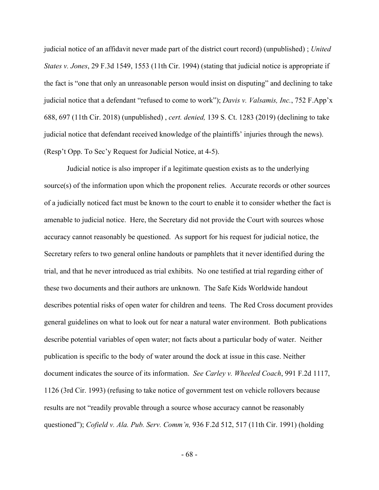judicial notice of an affidavit never made part of the district court record) (unpublished) ; *United States v. Jones*, 29 F.3d 1549, 1553 (11th Cir. 1994) (stating that judicial notice is appropriate if the fact is "one that only an unreasonable person would insist on disputing" and declining to take judicial notice that a defendant "refused to come to work"); *Davis v. Valsamis, Inc.*, 752 F.App'x 688, 697 (11th Cir. 2018) (unpublished) , *cert. denied,* 139 S. Ct. 1283 (2019) (declining to take judicial notice that defendant received knowledge of the plaintiffs' injuries through the news). (Resp't Opp. To Sec'y Request for Judicial Notice, at 4-5).

Judicial notice is also improper if a legitimate question exists as to the underlying source(s) of the information upon which the proponent relies. Accurate records or other sources of a judicially noticed fact must be known to the court to enable it to consider whether the fact is amenable to judicial notice. Here, the Secretary did not provide the Court with sources whose accuracy cannot reasonably be questioned. As support for his request for judicial notice, the Secretary refers to two general online handouts or pamphlets that it never identified during the trial, and that he never introduced as trial exhibits. No one testified at trial regarding either of these two documents and their authors are unknown. The Safe Kids Worldwide handout describes potential risks of open water for children and teens. The Red Cross document provides general guidelines on what to look out for near a natural water environment. Both publications describe potential variables of open water; not facts about a particular body of water. Neither publication is specific to the body of water around the dock at issue in this case. Neither document indicates the source of its information. *See Carley v. Wheeled Coach*, 991 F.2d 1117, 1126 (3rd Cir. 1993) (refusing to take notice of government test on vehicle rollovers because results are not "readily provable through a source whose accuracy cannot be reasonably questioned"); *Cofield v. Ala. Pub. Serv. Comm'n,* 936 F.2d 512, 517 (11th Cir. 1991) (holding

- 68 -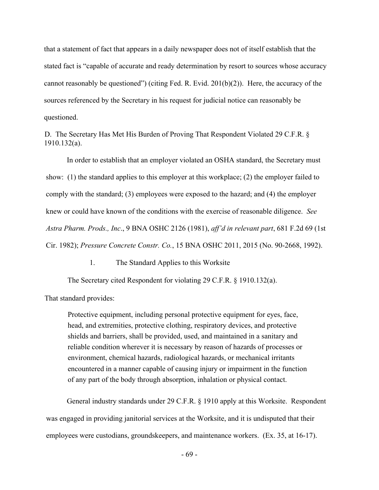that a statement of fact that appears in a daily newspaper does not of itself establish that the stated fact is "capable of accurate and ready determination by resort to sources whose accuracy cannot reasonably be questioned") (citing Fed. R. Evid.  $201(b)(2)$ ). Here, the accuracy of the sources referenced by the Secretary in his request for judicial notice can reasonably be questioned.

D. The Secretary Has Met His Burden of Proving That Respondent Violated 29 C.F.R. § 1910.132(a).

In order to establish that an employer violated an OSHA standard, the Secretary must show: (1) the standard applies to this employer at this workplace; (2) the employer failed to comply with the standard; (3) employees were exposed to the hazard; and (4) the employer knew or could have known of the conditions with the exercise of reasonable diligence. *See Astra Pharm. Prods., Inc*., 9 BNA OSHC 2126 (1981), *aff'd in relevant part*, 681 F.2d 69 (1st Cir. 1982); *Pressure Concrete Constr. Co.*, 15 BNA OSHC 2011, 2015 (No. 90-2668, 1992).

1. The Standard Applies to this Worksite

The Secretary cited Respondent for violating 29 C.F.R. § 1910.132(a).

That standard provides:

Protective equipment, including personal protective equipment for eyes, face, head, and extremities, protective clothing, respiratory devices, and protective shields and barriers, shall be provided, used, and maintained in a sanitary and reliable condition wherever it is necessary by reason of hazards of processes or environment, chemical hazards, radiological hazards, or mechanical irritants encountered in a manner capable of causing injury or impairment in the function of any part of the body through absorption, inhalation or physical contact.

General industry standards under 29 C.F.R. § 1910 apply at this Worksite. Respondent was engaged in providing janitorial services at the Worksite, and it is undisputed that their employees were custodians, groundskeepers, and maintenance workers. (Ex. 35, at 16-17).

- 69 -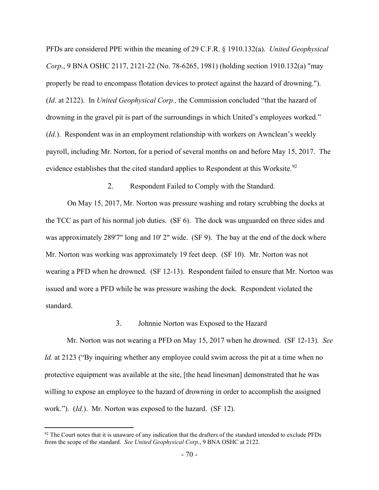PFDs are considered PPE within the meaning of 29 C.F.R. § 1910.132(a). *United Geophysical Corp*., 9 BNA OSHC 2117, 2121-22 (No. 78-6265, 1981) (holding section 1910.132(a) "may properly be read to encompass flotation devices to protect against the hazard of drowning."). (*Id*. at 2122). In *United Geophysical Corp.,* the Commission concluded "that the hazard of drowning in the gravel pit is part of the surroundings in which United's employees worked." (*Id.*). Respondent was in an employment relationship with workers on Awnclean's weekly payroll, including Mr. Norton, for a period of several months on and before May 15, 2017. The evidence establishes that the cited standard applies to Respondent at this Worksite.<sup>[92](#page-69-0)</sup>

2. Respondent Failed to Comply with the Standard.

On May 15, 2017, Mr. Norton was pressure washing and rotary scrubbing the docks at the TCC as part of his normal job duties. (SF 6). The dock was unguarded on three sides and was approximately 289'7" long and 10' 2" wide. (SF 9). The bay at the end of the dock where Mr. Norton was working was approximately 19 feet deep. (SF 10). Mr. Norton was not wearing a PFD when he drowned. (SF 12-13). Respondent failed to ensure that Mr. Norton was issued and wore a PFD while he was pressure washing the dock. Respondent violated the standard.

## 3. Johnnie Norton was Exposed to the Hazard

Mr. Norton was not wearing a PFD on May 15, 2017 when he drowned. (SF 12-13). *See Id.* at 2123 ("By inquiring whether any employee could swim across the pit at a time when no protective equipment was available at the site, [the head linesman] demonstrated that he was willing to expose an employee to the hazard of drowning in order to accomplish the assigned work."). (*Id.*). Mr. Norton was exposed to the hazard. (SF 12).

<span id="page-69-0"></span> $92$  The Court notes that it is unaware of any indication that the drafters of the standard intended to exclude PFDs from the scope of the standard. *See United Geophysical Corp*., 9 BNA OSHC at 2122.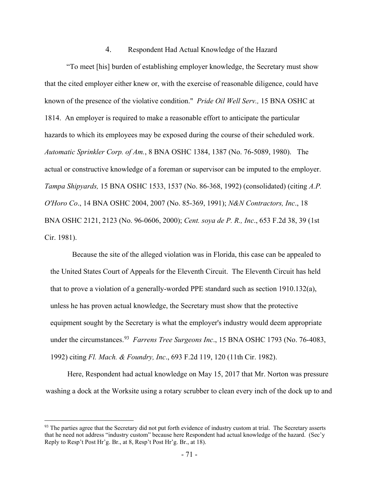## 4. Respondent Had Actual Knowledge of the Hazard

"To meet [his] burden of establishing employer knowledge, the Secretary must show that the cited employer either knew or, with the exercise of reasonable diligence, could have known of the presence of the violative condition." *Pride Oil Well Serv.,* 15 BNA OSHC at 1814. An employer is required to make a reasonable effort to anticipate the particular hazards to which its employees may be exposed during the course of their scheduled work. *Automatic Sprinkler Corp. of Am.*, 8 BNA OSHC 1384, 1387 (No. 76-5089, 1980). The actual or constructive knowledge of a foreman or supervisor can be imputed to the employer. *Tampa Shipyards,* 15 BNA OSHC 1533, 1537 (No. 86-368, 1992) (consolidated) (citing *A.P. O'Horo Co*., 14 BNA OSHC 2004, 2007 (No. 85-369, 1991); *N&N Contractors, Inc*., 18 BNA OSHC 2121, 2123 (No. 96-0606, 2000); *Cent. soya de P. R., Inc*., 653 F.2d 38, 39 (1st Cir. 1981).

Because the site of the alleged violation was in Florida, this case can be appealed to the United States Court of Appeals for the Eleventh Circuit. The Eleventh Circuit has held that to prove a violation of a generally-worded PPE standard such as section 1910.132(a), unless he has proven actual knowledge, the Secretary must show that the protective equipment sought by the Secretary is what the employer's industry would deem appropriate under the circumstances.<sup>93</sup> *Farrens Tree Surgeons Inc.*, 15 BNA OSHC 17[93](#page-70-0) (No. 76-4083, 1992) citing *Fl. Mach. & Foundry, Inc*., 693 F.2d 119, 120 (11th Cir. 1982).

Here, Respondent had actual knowledge on May 15, 2017 that Mr. Norton was pressure washing a dock at the Worksite using a rotary scrubber to clean every inch of the dock up to and

<span id="page-70-0"></span><sup>&</sup>lt;sup>93</sup> The parties agree that the Secretary did not put forth evidence of industry custom at trial. The Secretary asserts that he need not address "industry custom" because here Respondent had actual knowledge of the hazard. (Sec'y Reply to Resp't Post Hr'g. Br., at 8, Resp't Post Hr'g. Br., at 18).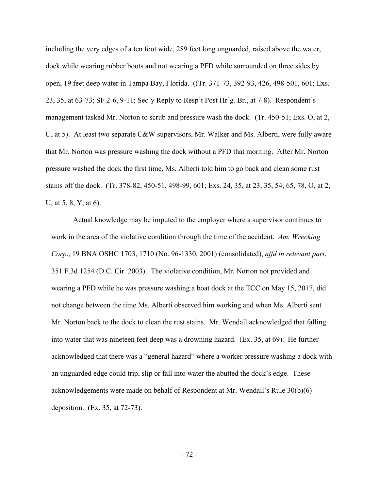including the very edges of a ten foot wide, 289 feet long unguarded, raised above the water, dock while wearing rubber boots and not wearing a PFD while surrounded on three sides by open, 19 feet deep water in Tampa Bay, Florida. ((Tr. 371-73, 392-93, 426, 498-501, 601; Exs. 23, 35, at 63-73; SF 2-6, 9-11; Sec'y Reply to Resp't Post Hr'g. Br., at 7-8). Respondent's management tasked Mr. Norton to scrub and pressure wash the dock. (Tr. 450-51; Exs. O, at 2, U, at 5). At least two separate C&W supervisors, Mr. Walker and Ms. Alberti, were fully aware that Mr. Norton was pressure washing the dock without a PFD that morning. After Mr. Norton pressure washed the dock the first time, Ms. Alberti told him to go back and clean some rust stains off the dock. (Tr. 378-82, 450-51, 498-99, 601; Exs. 24, 35, at 23, 35, 54, 65, 78, O, at 2, U, at 5, 8, Y, at 6).

Actual knowledge may be imputed to the employer where a supervisor continues to work in the area of the violative condition through the time of the accident. *Am. Wrecking Corp*., 19 BNA OSHC 1703, 1710 (No. 96-1330, 2001) (consolidated), *affd in relevant part*, 351 F.3d 1254 (D.C. Cir. 2003). The violative condition, Mr. Norton not provided and wearing a PFD while he was pressure washing a boat dock at the TCC on May 15, 2017, did not change between the time Ms. Alberti observed him working and when Ms. Alberti sent Mr. Norton back to the dock to clean the rust stains. Mr. Wendall acknowledged that falling into water that was nineteen feet deep was a drowning hazard. (Ex. 35, at 69). He further acknowledged that there was a "general hazard" where a worker pressure washing a dock with an unguarded edge could trip, slip or fall into water the abutted the dock's edge. These acknowledgements were made on behalf of Respondent at Mr. Wendall's Rule 30(b)(6) deposition. (Ex. 35, at 72-73).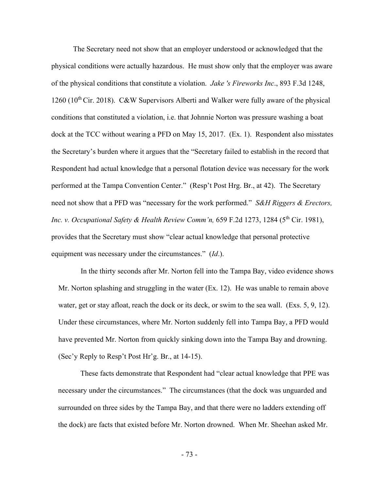The Secretary need not show that an employer understood or acknowledged that the physical conditions were actually hazardous. He must show only that the employer was aware of the physical conditions that constitute a violation. *Jake 's Fireworks Inc*., 893 F.3d 1248,  $1260$  ( $10^{th}$  Cir. 2018). C&W Supervisors Alberti and Walker were fully aware of the physical conditions that constituted a violation, i.e. that Johnnie Norton was pressure washing a boat dock at the TCC without wearing a PFD on May 15, 2017. (Ex. 1). Respondent also misstates the Secretary's burden where it argues that the "Secretary failed to establish in the record that Respondent had actual knowledge that a personal flotation device was necessary for the work performed at the Tampa Convention Center." (Resp't Post Hrg. Br., at 42). The Secretary need not show that a PFD was "necessary for the work performed." *S&H Riggers & Erectors, Inc. v. Occupational Safety & Health Review Comm'n, 659 F.2d 1273, 1284 (5<sup>th</sup> Cir. 1981),* provides that the Secretary must show "clear actual knowledge that personal protective equipment was necessary under the circumstances." (*Id*.).

In the thirty seconds after Mr. Norton fell into the Tampa Bay, video evidence shows Mr. Norton splashing and struggling in the water (Ex. 12). He was unable to remain above water, get or stay afloat, reach the dock or its deck, or swim to the sea wall. (Exs. 5, 9, 12). Under these circumstances, where Mr. Norton suddenly fell into Tampa Bay, a PFD would have prevented Mr. Norton from quickly sinking down into the Tampa Bay and drowning. (Sec'y Reply to Resp't Post Hr'g. Br., at 14-15).

These facts demonstrate that Respondent had "clear actual knowledge that PPE was necessary under the circumstances." The circumstances (that the dock was unguarded and surrounded on three sides by the Tampa Bay, and that there were no ladders extending off the dock) are facts that existed before Mr. Norton drowned. When Mr. Sheehan asked Mr.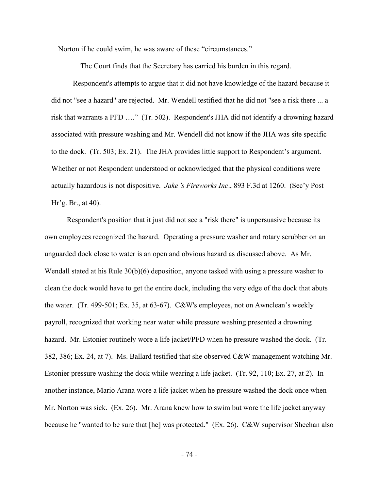Norton if he could swim, he was aware of these "circumstances."

The Court finds that the Secretary has carried his burden in this regard.

Respondent's attempts to argue that it did not have knowledge of the hazard because it did not "see a hazard" are rejected. Mr. Wendell testified that he did not "see a risk there ... a risk that warrants a PFD …." (Tr. 502). Respondent's JHA did not identify a drowning hazard associated with pressure washing and Mr. Wendell did not know if the JHA was site specific to the dock. (Tr. 503; Ex. 21). The JHA provides little support to Respondent's argument. Whether or not Respondent understood or acknowledged that the physical conditions were actually hazardous is not dispositive. *Jake 's Fireworks Inc*., 893 F.3d at 1260. (Sec'y Post Hr'g. Br., at 40).

Respondent's position that it just did not see a "risk there" is unpersuasive because its own employees recognized the hazard. Operating a pressure washer and rotary scrubber on an unguarded dock close to water is an open and obvious hazard as discussed above. As Mr. Wendall stated at his Rule 30(b)(6) deposition, anyone tasked with using a pressure washer to clean the dock would have to get the entire dock, including the very edge of the dock that abuts the water. (Tr. 499-501; Ex. 35, at 63-67). C&W's employees, not on Awnclean's weekly payroll, recognized that working near water while pressure washing presented a drowning hazard. Mr. Estonier routinely wore a life jacket/PFD when he pressure washed the dock. (Tr. 382, 386; Ex. 24, at 7). Ms. Ballard testified that she observed C&W management watching Mr. Estonier pressure washing the dock while wearing a life jacket. (Tr. 92, 110; Ex. 27, at 2). In another instance, Mario Arana wore a life jacket when he pressure washed the dock once when Mr. Norton was sick. (Ex. 26). Mr. Arana knew how to swim but wore the life jacket anyway because he "wanted to be sure that [he] was protected." (Ex. 26). C&W supervisor Sheehan also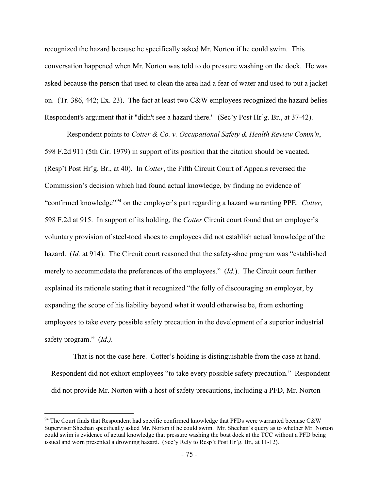recognized the hazard because he specifically asked Mr. Norton if he could swim. This conversation happened when Mr. Norton was told to do pressure washing on the dock. He was asked because the person that used to clean the area had a fear of water and used to put a jacket on. (Tr. 386, 442; Ex. 23). The fact at least two C&W employees recognized the hazard belies Respondent's argument that it "didn't see a hazard there." (Sec'y Post Hr'g. Br., at 37-42).

Respondent points to *Cotter & Co. v. Occupational Safety & Health Review Comm'n*, 598 F.2d 911 (5th Cir. 1979) in support of its position that the citation should be vacated. (Resp't Post Hr'g. Br., at 40). In *Cotter*, the Fifth Circuit Court of Appeals reversed the Commission's decision which had found actual knowledge, by finding no evidence of "confirmed knowledge"[94](#page-74-0) on the employer's part regarding a hazard warranting PPE. *Cotter*, 598 F.2d at 915. In support of its holding, the *Cotter* Circuit court found that an employer's voluntary provision of steel-toed shoes to employees did not establish actual knowledge of the hazard. (*Id.* at 914). The Circuit court reasoned that the safety-shoe program was "established merely to accommodate the preferences of the employees." (*Id.*).The Circuit court further explained its rationale stating that it recognized "the folly of discouraging an employer, by expanding the scope of his liability beyond what it would otherwise be, from exhorting employees to take every possible safety precaution in the development of a superior industrial safety program." (*Id.).*

That is not the case here. Cotter's holding is distinguishable from the case at hand. Respondent did not exhort employees "to take every possible safety precaution." Respondent did not provide Mr. Norton with a host of safety precautions, including a PFD, Mr. Norton

<span id="page-74-0"></span> $94$  The Court finds that Respondent had specific confirmed knowledge that PFDs were warranted because C&W Supervisor Sheehan specifically asked Mr. Norton if he could swim. Mr. Sheehan's query as to whether Mr. Norton could swim is evidence of actual knowledge that pressure washing the boat dock at the TCC without a PFD being issued and worn presented a drowning hazard. (Sec'y Rely to Resp't Post Hr'g. Br., at 11-12).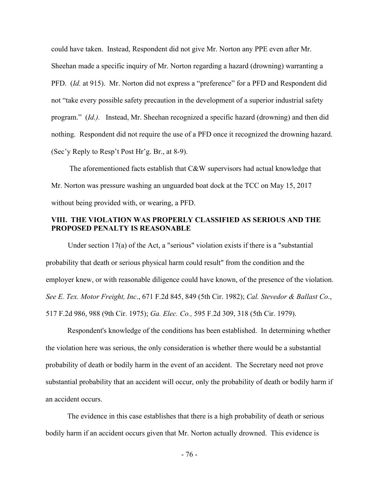could have taken. Instead, Respondent did not give Mr. Norton any PPE even after Mr. Sheehan made a specific inquiry of Mr. Norton regarding a hazard (drowning) warranting a PFD. *(Id. at 915).* Mr. Norton did not express a "preference" for a PFD and Respondent did not "take every possible safety precaution in the development of a superior industrial safety program." (*Id.).* Instead, Mr. Sheehan recognized a specific hazard (drowning) and then did nothing. Respondent did not require the use of a PFD once it recognized the drowning hazard. (Sec'y Reply to Resp't Post Hr'g. Br., at 8-9).

The aforementioned facts establish that C&W supervisors had actual knowledge that Mr. Norton was pressure washing an unguarded boat dock at the TCC on May 15, 2017 without being provided with, or wearing, a PFD.

## **VIII. THE VIOLATION WAS PROPERLY CLASSIFIED AS SERIOUS AND THE PROPOSED PENALTY IS REASONABLE**

Under section 17(a) of the Act, a "serious" violation exists if there is a "substantial probability that death or serious physical harm could result" from the condition and the employer knew, or with reasonable diligence could have known, of the presence of the violation. *See E. Tex. Motor Freight, Inc*., 671 F.2d 845, 849 (5th Cir. 1982); *Cal. Stevedor & Ballast Co*., 517 F.2d 986, 988 (9th Cir. 1975); *Ga. Elec. Co.,* 595 F.2d 309, 318 (5th Cir. 1979).

Respondent's knowledge of the conditions has been established. In determining whether the violation here was serious, the only consideration is whether there would be a substantial probability of death or bodily harm in the event of an accident. The Secretary need not prove substantial probability that an accident will occur, only the probability of death or bodily harm if an accident occurs.

The evidence in this case establishes that there is a high probability of death or serious bodily harm if an accident occurs given that Mr. Norton actually drowned. This evidence is

- 76 -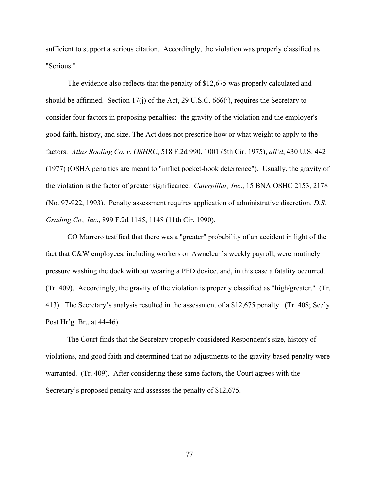sufficient to support a serious citation. Accordingly, the violation was properly classified as "Serious."

The evidence also reflects that the penalty of \$12,675 was properly calculated and should be affirmed. Section  $17(i)$  of the Act, 29 U.S.C. 666 $(i)$ , requires the Secretary to consider four factors in proposing penalties: the gravity of the violation and the employer's good faith, history, and size. The Act does not prescribe how or what weight to apply to the factors. *Atlas Roofing Co. v. OSHRC*, 518 F.2d 990, 1001 (5th Cir. 1975), *aff'd*, 430 U.S. 442 (1977) (OSHA penalties are meant to "inflict pocket-book deterrence"). Usually, the gravity of the violation is the factor of greater significance. *Caterpillar, Inc*., 15 BNA OSHC 2153, 2178 (No. 97-922, 1993). Penalty assessment requires application of administrative discretion. *D.S. Grading Co., Inc*., 899 F.2d 1145, 1148 (11th Cir. 1990).

CO Marrero testified that there was a "greater" probability of an accident in light of the fact that C&W employees, including workers on Awnclean's weekly payroll, were routinely pressure washing the dock without wearing a PFD device, and, in this case a fatality occurred. (Tr. 409). Accordingly, the gravity of the violation is properly classified as "high/greater." (Tr. 413). The Secretary's analysis resulted in the assessment of a \$12,675 penalty. (Tr. 408; Sec'y Post Hr'g. Br., at 44-46).

The Court finds that the Secretary properly considered Respondent's size, history of violations, and good faith and determined that no adjustments to the gravity-based penalty were warranted. (Tr. 409). After considering these same factors, the Court agrees with the Secretary's proposed penalty and assesses the penalty of \$12,675.

- 77 -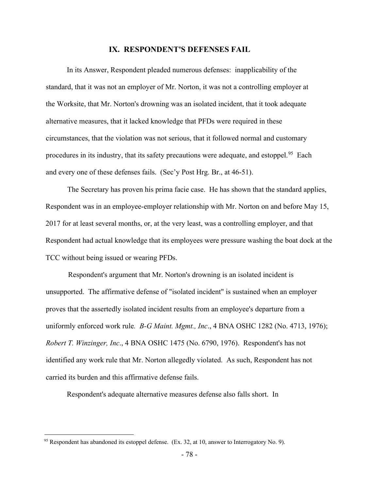## **IX. RESPONDENT'S DEFENSES FAIL**

In its Answer, Respondent pleaded numerous defenses: inapplicability of the standard, that it was not an employer of Mr. Norton, it was not a controlling employer at the Worksite, that Mr. Norton's drowning was an isolated incident, that it took adequate alternative measures, that it lacked knowledge that PFDs were required in these circumstances, that the violation was not serious, that it followed normal and customary procedures in its industry, that its safety precautions were adequate, and estoppel.<sup>95</sup> Each and every one of these defenses fails. (Sec'y Post Hrg. Br., at 46-51).

The Secretary has proven his prima facie case. He has shown that the standard applies, Respondent was in an employee-employer relationship with Mr. Norton on and before May 15, 2017 for at least several months, or, at the very least, was a controlling employer, and that Respondent had actual knowledge that its employees were pressure washing the boat dock at the TCC without being issued or wearing PFDs.

Respondent's argument that Mr. Norton's drowning is an isolated incident is unsupported. The affirmative defense of "isolated incident" is sustained when an employer proves that the assertedly isolated incident results from an employee's departure from a uniformly enforced work rule*. B-G Maint. Mgmt., Inc*., 4 BNA OSHC 1282 (No. 4713, 1976); *Robert T. Winzinger, Inc*., 4 BNA OSHC 1475 (No. 6790, 1976). Respondent's has not identified any work rule that Mr. Norton allegedly violated. As such, Respondent has not carried its burden and this affirmative defense fails.

Respondent's adequate alternative measures defense also falls short. In

<span id="page-77-0"></span> $95$  Respondent has abandoned its estoppel defense. (Ex. 32, at 10, answer to Interrogatory No. 9).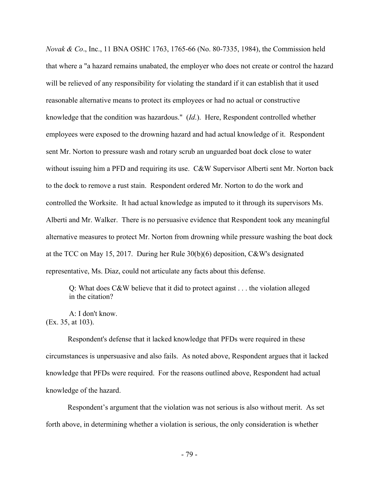*Novak & Co*., Inc., 11 BNA OSHC 1763, 1765-66 (No. 80-7335, 1984), the Commission held that where a "a hazard remains unabated, the employer who does not create or control the hazard will be relieved of any responsibility for violating the standard if it can establish that it used reasonable alternative means to protect its employees or had no actual or constructive knowledge that the condition was hazardous." (*Id*.). Here, Respondent controlled whether employees were exposed to the drowning hazard and had actual knowledge of it. Respondent sent Mr. Norton to pressure wash and rotary scrub an unguarded boat dock close to water without issuing him a PFD and requiring its use. C&W Supervisor Alberti sent Mr. Norton back to the dock to remove a rust stain. Respondent ordered Mr. Norton to do the work and controlled the Worksite. It had actual knowledge as imputed to it through its supervisors Ms. Alberti and Mr. Walker. There is no persuasive evidence that Respondent took any meaningful alternative measures to protect Mr. Norton from drowning while pressure washing the boat dock at the TCC on May 15, 2017. During her Rule 30(b)(6) deposition, C&W's designated representative, Ms. Diaz, could not articulate any facts about this defense.

Q: What does C&W believe that it did to protect against . . . the violation alleged in the citation?

A: I don't know. (Ex. 35, at 103).

Respondent's defense that it lacked knowledge that PFDs were required in these circumstances is unpersuasive and also fails. As noted above, Respondent argues that it lacked knowledge that PFDs were required. For the reasons outlined above, Respondent had actual knowledge of the hazard.

Respondent's argument that the violation was not serious is also without merit. As set forth above, in determining whether a violation is serious, the only consideration is whether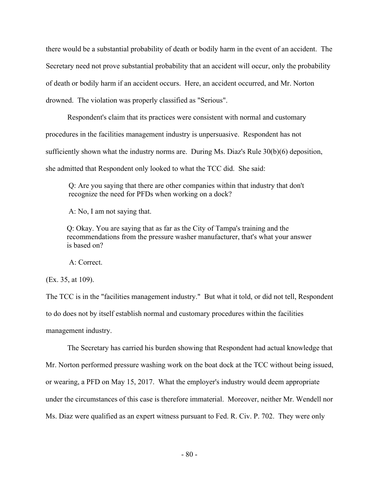there would be a substantial probability of death or bodily harm in the event of an accident. The Secretary need not prove substantial probability that an accident will occur, only the probability of death or bodily harm if an accident occurs. Here, an accident occurred, and Mr. Norton drowned. The violation was properly classified as "Serious".

Respondent's claim that its practices were consistent with normal and customary procedures in the facilities management industry is unpersuasive. Respondent has not sufficiently shown what the industry norms are. During Ms. Diaz's Rule 30(b)(6) deposition, she admitted that Respondent only looked to what the TCC did. She said:

Q: Are you saying that there are other companies within that industry that don't recognize the need for PFDs when working on a dock?

A: No, I am not saying that.

Q: Okay. You are saying that as far as the City of Tampa's training and the recommendations from the pressure washer manufacturer, that's what your answer is based on?

A: Correct.

(Ex. 35, at 109).

The TCC is in the "facilities management industry." But what it told, or did not tell, Respondent to do does not by itself establish normal and customary procedures within the facilities management industry.

The Secretary has carried his burden showing that Respondent had actual knowledge that Mr. Norton performed pressure washing work on the boat dock at the TCC without being issued, or wearing, a PFD on May 15, 2017. What the employer's industry would deem appropriate under the circumstances of this case is therefore immaterial. Moreover, neither Mr. Wendell nor Ms. Diaz were qualified as an expert witness pursuant to Fed. R. Civ. P. 702. They were only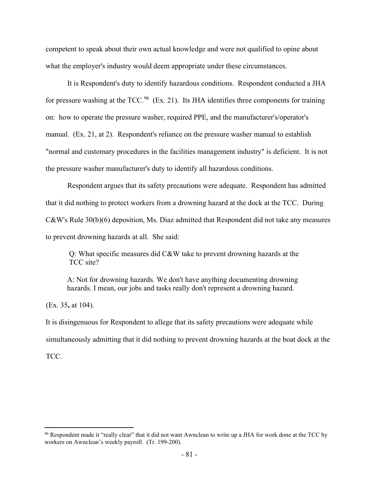competent to speak about their own actual knowledge and were not qualified to opine about what the employer's industry would deem appropriate under these circumstances.

It is Respondent's duty to identify hazardous conditions. Respondent conducted a JHA for pressure washing at the TCC.<sup>96</sup> (Ex. 21). Its JHA identifies three components for training on: how to operate the pressure washer, required PPE, and the manufacturer's/operator's manual. (Ex. 21, at 2). Respondent's reliance on the pressure washer manual to establish "normal and customary procedures in the facilities management industry" is deficient. It is not the pressure washer manufacturer's duty to identify all hazardous conditions.

Respondent argues that its safety precautions were adequate. Respondent has admitted that it did nothing to protect workers from a drowning hazard at the dock at the TCC. During C&W's Rule 30(b)(6) deposition, Ms. Diaz admitted that Respondent did not take any measures to prevent drowning hazards at all. She said:

Q: What specific measures did C&W take to prevent drowning hazards at the TCC site?

A: Not for drowning hazards. We don't have anything documenting drowning hazards. I mean, our jobs and tasks really don't represent a drowning hazard.

(Ex. 35**,** at 104).

It is disingenuous for Respondent to allege that its safety precautions were adequate while simultaneously admitting that it did nothing to prevent drowning hazards at the boat dock at the TCC.

<span id="page-80-0"></span><sup>&</sup>lt;sup>96</sup> Respondent made it "really clear" that it did not want Awnclean to write up a JHA for work done at the TCC by workers on Awnclean's weekly payroll. (Tr. 199-200).